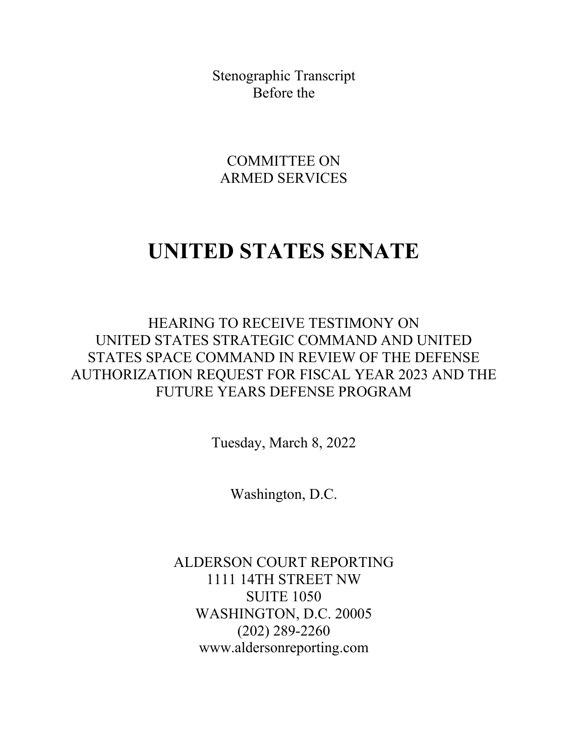Stenographic Transcript Before the

COMMITTEE ON ARMED SERVICES

## **UNITED STATES SENATE**

HEARING TO RECEIVE TESTIMONY ON UNITED STATES STRATEGIC COMMAND AND UNITED STATES SPACE COMMAND IN REVIEW OF THE DEFENSE AUTHORIZATION REQUEST FOR FISCAL YEAR 2023 AND THE FUTURE YEARS DEFENSE PROGRAM

Tuesday, March 8, 2022

Washington, D.C.

ALDERSON COURT REPORTING 1111 14TH STREET NW SUITE 1050 WASHINGTON, D.C. 20005 (202) 289-2260 www.aldersonreporting.com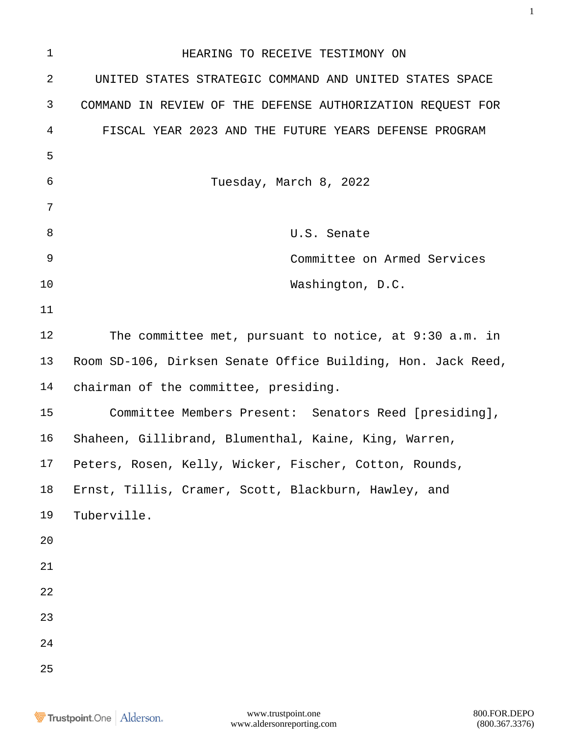| $\mathbf{1}$ | HEARING TO RECEIVE TESTIMONY ON                              |  |  |  |  |  |  |  |  |
|--------------|--------------------------------------------------------------|--|--|--|--|--|--|--|--|
| $\sqrt{2}$   | UNITED STATES STRATEGIC COMMAND AND UNITED STATES SPACE      |  |  |  |  |  |  |  |  |
| 3            | COMMAND IN REVIEW OF THE DEFENSE AUTHORIZATION REQUEST FOR   |  |  |  |  |  |  |  |  |
| 4            | FISCAL YEAR 2023 AND THE FUTURE YEARS DEFENSE PROGRAM        |  |  |  |  |  |  |  |  |
| 5            |                                                              |  |  |  |  |  |  |  |  |
| 6            | Tuesday, March 8, 2022                                       |  |  |  |  |  |  |  |  |
| 7            |                                                              |  |  |  |  |  |  |  |  |
| 8            | U.S. Senate                                                  |  |  |  |  |  |  |  |  |
| 9            | Committee on Armed Services                                  |  |  |  |  |  |  |  |  |
| 10           | Washington, D.C.                                             |  |  |  |  |  |  |  |  |
| 11           |                                                              |  |  |  |  |  |  |  |  |
| 12           | The committee met, pursuant to notice, at 9:30 a.m. in       |  |  |  |  |  |  |  |  |
| 13           | Room SD-106, Dirksen Senate Office Building, Hon. Jack Reed, |  |  |  |  |  |  |  |  |
| 14           | chairman of the committee, presiding.                        |  |  |  |  |  |  |  |  |
| 15           | Committee Members Present: Senators Reed [presiding],        |  |  |  |  |  |  |  |  |
| 16           | Shaheen, Gillibrand, Blumenthal, Kaine, King, Warren,        |  |  |  |  |  |  |  |  |
| 17           | Peters, Rosen, Kelly, Wicker, Fischer, Cotton, Rounds,       |  |  |  |  |  |  |  |  |
| $18\,$       | Ernst, Tillis, Cramer, Scott, Blackburn, Hawley, and         |  |  |  |  |  |  |  |  |
| 19           | Tuberville.                                                  |  |  |  |  |  |  |  |  |
| 20           |                                                              |  |  |  |  |  |  |  |  |
| 21           |                                                              |  |  |  |  |  |  |  |  |
| 22           |                                                              |  |  |  |  |  |  |  |  |
| 23           |                                                              |  |  |  |  |  |  |  |  |
| 24           |                                                              |  |  |  |  |  |  |  |  |
| 25           |                                                              |  |  |  |  |  |  |  |  |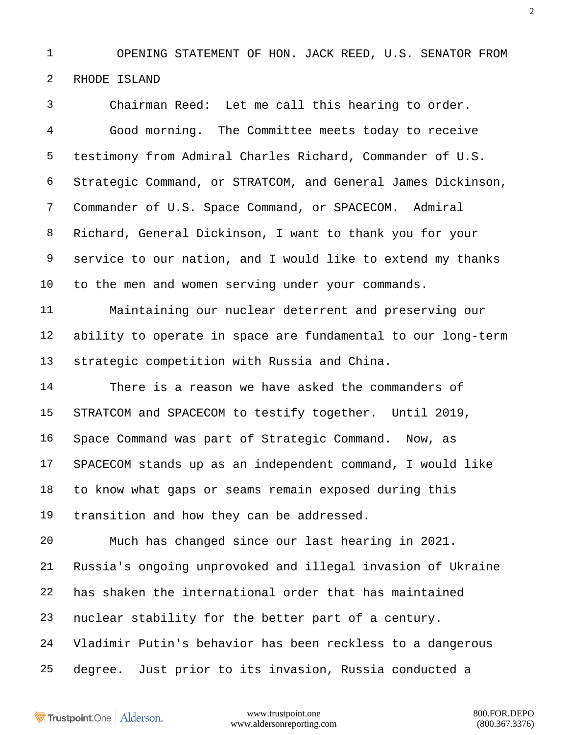OPENING STATEMENT OF HON. JACK REED, U.S. SENATOR FROM RHODE ISLAND

 Chairman Reed: Let me call this hearing to order. Good morning. The Committee meets today to receive testimony from Admiral Charles Richard, Commander of U.S. Strategic Command, or STRATCOM, and General James Dickinson, Commander of U.S. Space Command, or SPACECOM. Admiral Richard, General Dickinson, I want to thank you for your service to our nation, and I would like to extend my thanks to the men and women serving under your commands.

 Maintaining our nuclear deterrent and preserving our ability to operate in space are fundamental to our long-term strategic competition with Russia and China.

 There is a reason we have asked the commanders of STRATCOM and SPACECOM to testify together. Until 2019, Space Command was part of Strategic Command. Now, as SPACECOM stands up as an independent command, I would like to know what gaps or seams remain exposed during this transition and how they can be addressed.

 Much has changed since our last hearing in 2021. Russia's ongoing unprovoked and illegal invasion of Ukraine has shaken the international order that has maintained nuclear stability for the better part of a century. Vladimir Putin's behavior has been reckless to a dangerous degree. Just prior to its invasion, Russia conducted a

Trustpoint.One Alderson.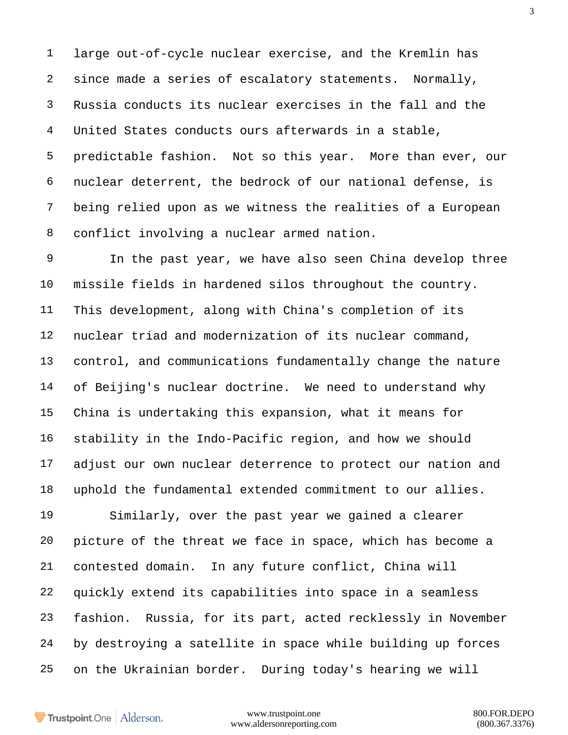large out-of-cycle nuclear exercise, and the Kremlin has since made a series of escalatory statements. Normally, Russia conducts its nuclear exercises in the fall and the United States conducts ours afterwards in a stable, predictable fashion. Not so this year. More than ever, our nuclear deterrent, the bedrock of our national defense, is being relied upon as we witness the realities of a European conflict involving a nuclear armed nation.

 In the past year, we have also seen China develop three missile fields in hardened silos throughout the country. This development, along with China's completion of its nuclear triad and modernization of its nuclear command, control, and communications fundamentally change the nature of Beijing's nuclear doctrine. We need to understand why China is undertaking this expansion, what it means for stability in the Indo-Pacific region, and how we should adjust our own nuclear deterrence to protect our nation and uphold the fundamental extended commitment to our allies.

 Similarly, over the past year we gained a clearer picture of the threat we face in space, which has become a contested domain. In any future conflict, China will quickly extend its capabilities into space in a seamless fashion. Russia, for its part, acted recklessly in November by destroying a satellite in space while building up forces on the Ukrainian border. During today's hearing we will

Trustpoint.One Alderson.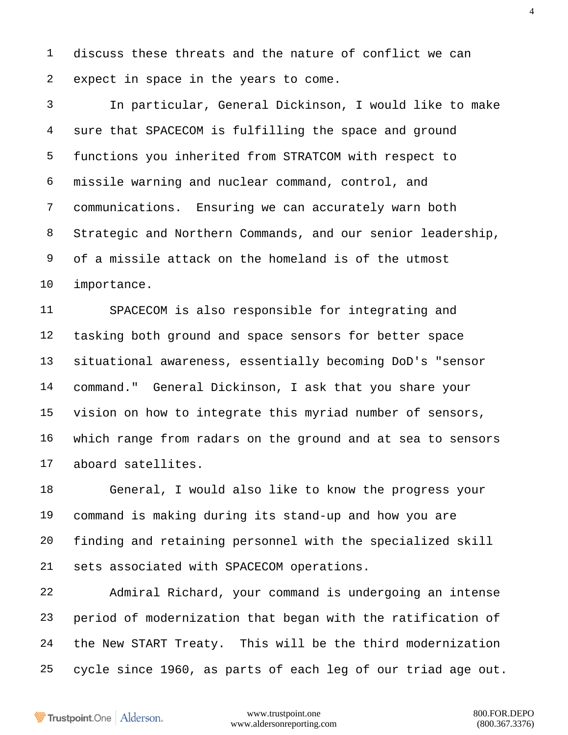discuss these threats and the nature of conflict we can expect in space in the years to come.

 In particular, General Dickinson, I would like to make sure that SPACECOM is fulfilling the space and ground functions you inherited from STRATCOM with respect to missile warning and nuclear command, control, and communications. Ensuring we can accurately warn both Strategic and Northern Commands, and our senior leadership, of a missile attack on the homeland is of the utmost importance.

 SPACECOM is also responsible for integrating and tasking both ground and space sensors for better space situational awareness, essentially becoming DoD's "sensor command." General Dickinson, I ask that you share your vision on how to integrate this myriad number of sensors, which range from radars on the ground and at sea to sensors aboard satellites.

 General, I would also like to know the progress your command is making during its stand-up and how you are finding and retaining personnel with the specialized skill sets associated with SPACECOM operations.

 Admiral Richard, your command is undergoing an intense period of modernization that began with the ratification of the New START Treaty. This will be the third modernization cycle since 1960, as parts of each leg of our triad age out.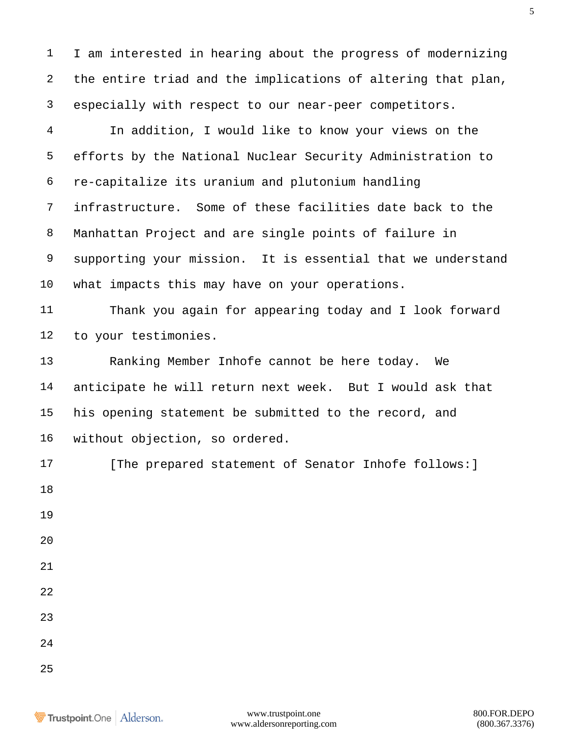I am interested in hearing about the progress of modernizing the entire triad and the implications of altering that plan, especially with respect to our near-peer competitors.

 In addition, I would like to know your views on the efforts by the National Nuclear Security Administration to re-capitalize its uranium and plutonium handling infrastructure. Some of these facilities date back to the Manhattan Project and are single points of failure in supporting your mission. It is essential that we understand what impacts this may have on your operations.

 Thank you again for appearing today and I look forward to your testimonies.

 Ranking Member Inhofe cannot be here today. We anticipate he will return next week. But I would ask that his opening statement be submitted to the record, and without objection, so ordered.

17 [The prepared statement of Senator Inhofe follows: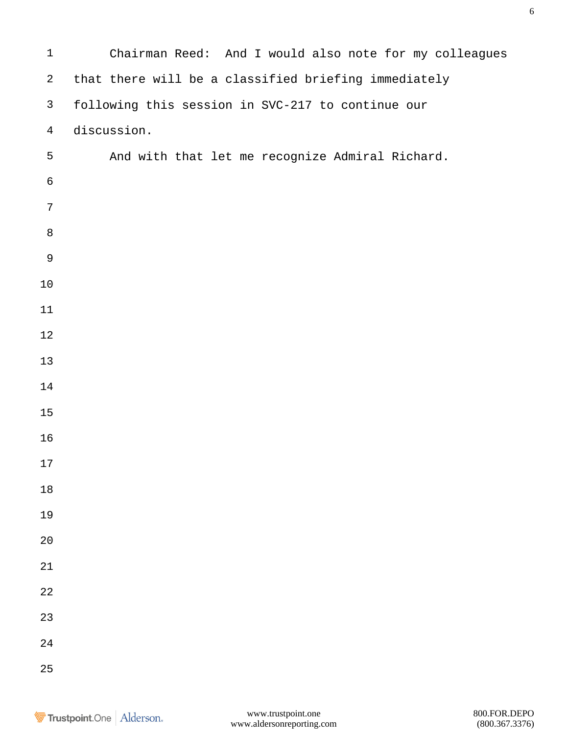| $\mathbf 1$      | Chairman Reed: And I would also note for my colleagues |  |  |  |  |  |  |  |  |
|------------------|--------------------------------------------------------|--|--|--|--|--|--|--|--|
| $\boldsymbol{2}$ | that there will be a classified briefing immediately   |  |  |  |  |  |  |  |  |
| $\mathsf{3}$     | following this session in SVC-217 to continue our      |  |  |  |  |  |  |  |  |
| $\overline{4}$   | discussion.                                            |  |  |  |  |  |  |  |  |
| 5                | And with that let me recognize Admiral Richard.        |  |  |  |  |  |  |  |  |
| $\sqrt{6}$       |                                                        |  |  |  |  |  |  |  |  |
| $\overline{7}$   |                                                        |  |  |  |  |  |  |  |  |
| $\,8\,$          |                                                        |  |  |  |  |  |  |  |  |
| 9                |                                                        |  |  |  |  |  |  |  |  |
| $10$             |                                                        |  |  |  |  |  |  |  |  |
| 11               |                                                        |  |  |  |  |  |  |  |  |
| $1\,2$           |                                                        |  |  |  |  |  |  |  |  |
| 13               |                                                        |  |  |  |  |  |  |  |  |
| 14               |                                                        |  |  |  |  |  |  |  |  |
| $15$             |                                                        |  |  |  |  |  |  |  |  |
| 16               |                                                        |  |  |  |  |  |  |  |  |
| $17$             |                                                        |  |  |  |  |  |  |  |  |
| $18\,$           |                                                        |  |  |  |  |  |  |  |  |
| 19               |                                                        |  |  |  |  |  |  |  |  |
| $20\,$           |                                                        |  |  |  |  |  |  |  |  |
| $2\sqrt{1}$      |                                                        |  |  |  |  |  |  |  |  |
| $2\sqrt{2}$      |                                                        |  |  |  |  |  |  |  |  |
| 23               |                                                        |  |  |  |  |  |  |  |  |
| 24               |                                                        |  |  |  |  |  |  |  |  |
| 25               |                                                        |  |  |  |  |  |  |  |  |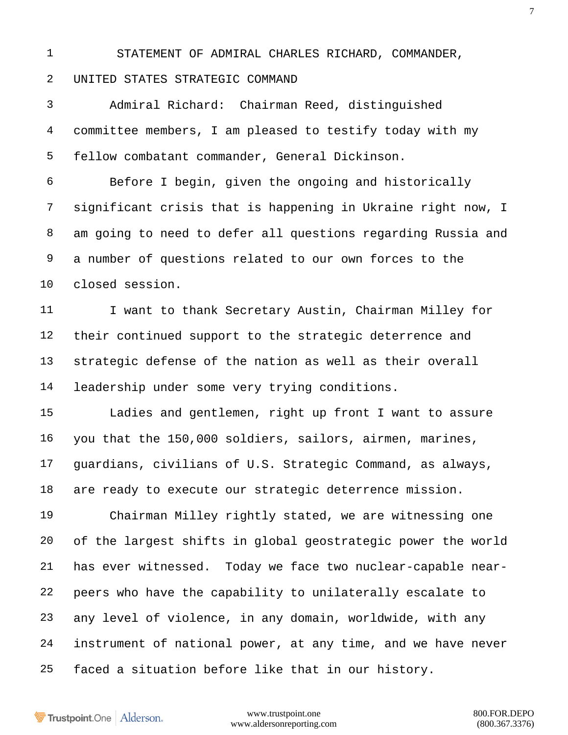STATEMENT OF ADMIRAL CHARLES RICHARD, COMMANDER,

## UNITED STATES STRATEGIC COMMAND

 Admiral Richard: Chairman Reed, distinguished committee members, I am pleased to testify today with my fellow combatant commander, General Dickinson.

 Before I begin, given the ongoing and historically significant crisis that is happening in Ukraine right now, I am going to need to defer all questions regarding Russia and a number of questions related to our own forces to the closed session.

11 I want to thank Secretary Austin, Chairman Milley for their continued support to the strategic deterrence and strategic defense of the nation as well as their overall leadership under some very trying conditions.

 Ladies and gentlemen, right up front I want to assure you that the 150,000 soldiers, sailors, airmen, marines, guardians, civilians of U.S. Strategic Command, as always, are ready to execute our strategic deterrence mission.

 Chairman Milley rightly stated, we are witnessing one of the largest shifts in global geostrategic power the world has ever witnessed. Today we face two nuclear-capable near- peers who have the capability to unilaterally escalate to any level of violence, in any domain, worldwide, with any instrument of national power, at any time, and we have never faced a situation before like that in our history.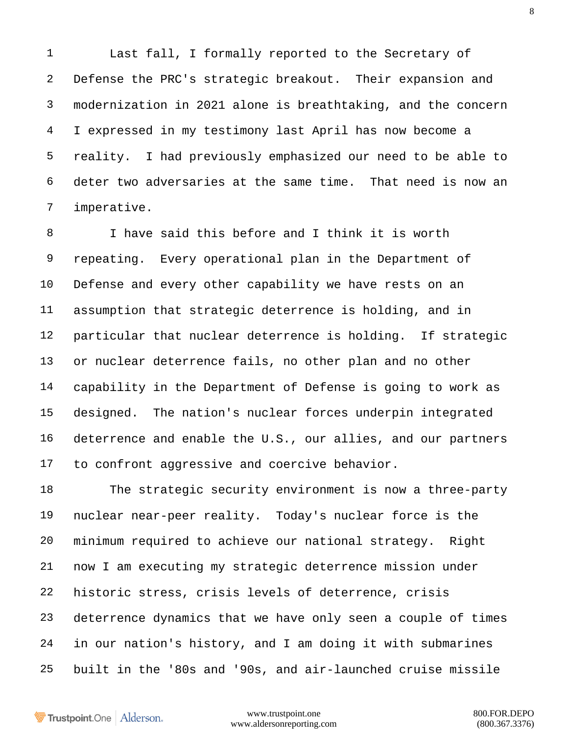Last fall, I formally reported to the Secretary of Defense the PRC's strategic breakout. Their expansion and modernization in 2021 alone is breathtaking, and the concern I expressed in my testimony last April has now become a reality. I had previously emphasized our need to be able to deter two adversaries at the same time. That need is now an imperative.

 I have said this before and I think it is worth repeating. Every operational plan in the Department of Defense and every other capability we have rests on an assumption that strategic deterrence is holding, and in particular that nuclear deterrence is holding. If strategic or nuclear deterrence fails, no other plan and no other capability in the Department of Defense is going to work as designed. The nation's nuclear forces underpin integrated deterrence and enable the U.S., our allies, and our partners to confront aggressive and coercive behavior.

 The strategic security environment is now a three-party nuclear near-peer reality. Today's nuclear force is the minimum required to achieve our national strategy. Right now I am executing my strategic deterrence mission under historic stress, crisis levels of deterrence, crisis deterrence dynamics that we have only seen a couple of times in our nation's history, and I am doing it with submarines built in the '80s and '90s, and air-launched cruise missile

Trustpoint.One Alderson.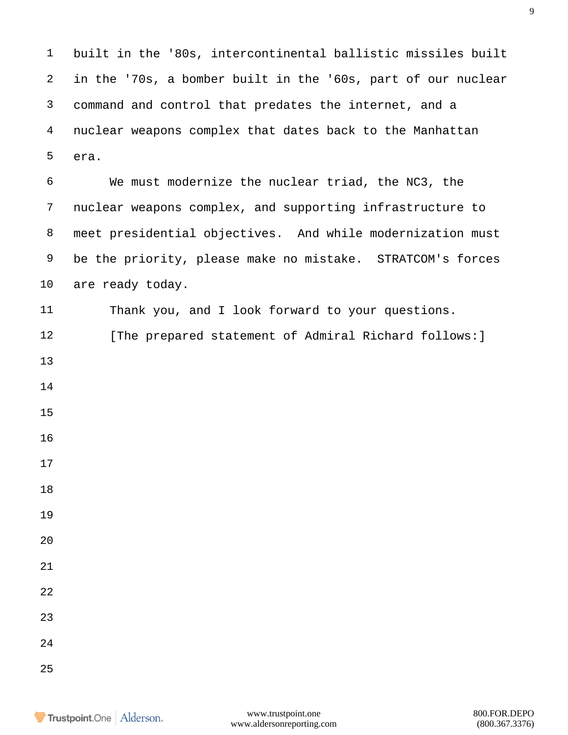built in the '80s, intercontinental ballistic missiles built in the '70s, a bomber built in the '60s, part of our nuclear command and control that predates the internet, and a nuclear weapons complex that dates back to the Manhattan era.

 We must modernize the nuclear triad, the NC3, the nuclear weapons complex, and supporting infrastructure to meet presidential objectives. And while modernization must be the priority, please make no mistake. STRATCOM's forces are ready today.

 Thank you, and I look forward to your questions. 12 [The prepared statement of Admiral Richard follows: ] 

- 
- 
- 
- 
- 
- 

- 
- 
- 

- 
- 
- 
-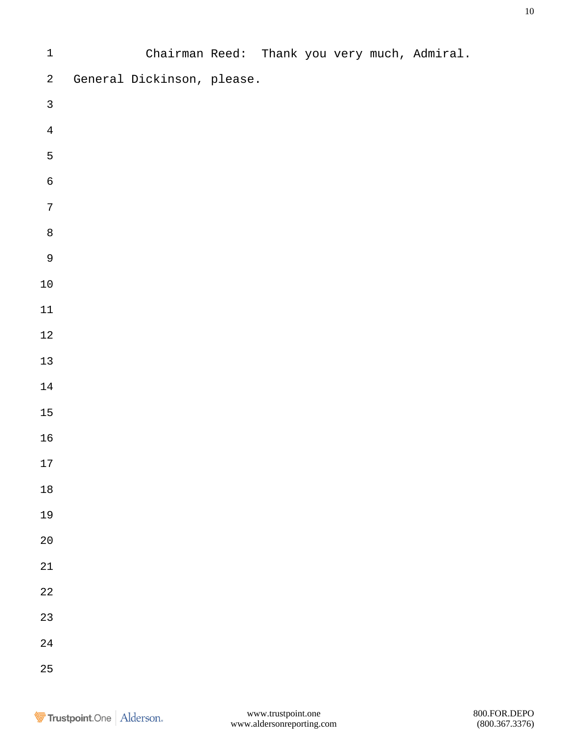| $\mathbf 1$    |                            |  |  | Chairman Reed: Thank you very much, Admiral. |
|----------------|----------------------------|--|--|----------------------------------------------|
| $\overline{a}$ | General Dickinson, please. |  |  |                                              |
| $\mathsf{3}$   |                            |  |  |                                              |
| $\overline{4}$ |                            |  |  |                                              |
| $\mathsf S$    |                            |  |  |                                              |
| $\,$ 6 $\,$    |                            |  |  |                                              |
| $\sqrt{ }$     |                            |  |  |                                              |
| $\,8\,$        |                            |  |  |                                              |
| $\mathsf 9$    |                            |  |  |                                              |
| $1\,0$         |                            |  |  |                                              |
| $11\,$         |                            |  |  |                                              |
| $1\,2$         |                            |  |  |                                              |
| $13$           |                            |  |  |                                              |
| 14             |                            |  |  |                                              |
| $15\,$         |                            |  |  |                                              |
| $16\,$         |                            |  |  |                                              |
| $17\,$         |                            |  |  |                                              |
| $1\,8$         |                            |  |  |                                              |
| 19             |                            |  |  |                                              |
| $2\,0$         |                            |  |  |                                              |
| $2\sqrt{1}$    |                            |  |  |                                              |
| $2\sqrt{2}$    |                            |  |  |                                              |
| 23             |                            |  |  |                                              |
| $2\sqrt{4}$    |                            |  |  |                                              |
| 25             |                            |  |  |                                              |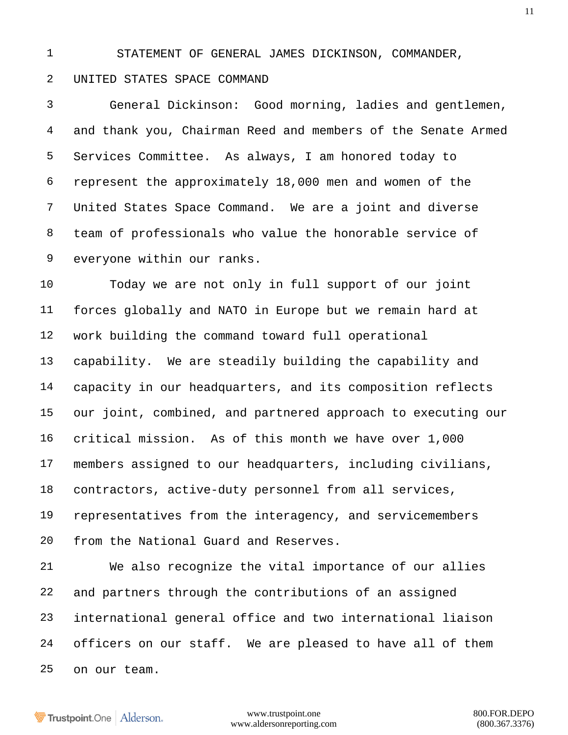STATEMENT OF GENERAL JAMES DICKINSON, COMMANDER,

## UNITED STATES SPACE COMMAND

 General Dickinson: Good morning, ladies and gentlemen, and thank you, Chairman Reed and members of the Senate Armed Services Committee. As always, I am honored today to represent the approximately 18,000 men and women of the United States Space Command. We are a joint and diverse team of professionals who value the honorable service of everyone within our ranks.

 Today we are not only in full support of our joint forces globally and NATO in Europe but we remain hard at work building the command toward full operational capability. We are steadily building the capability and capacity in our headquarters, and its composition reflects our joint, combined, and partnered approach to executing our critical mission. As of this month we have over 1,000 members assigned to our headquarters, including civilians, contractors, active-duty personnel from all services, representatives from the interagency, and servicemembers from the National Guard and Reserves.

 We also recognize the vital importance of our allies and partners through the contributions of an assigned international general office and two international liaison officers on our staff. We are pleased to have all of them on our team.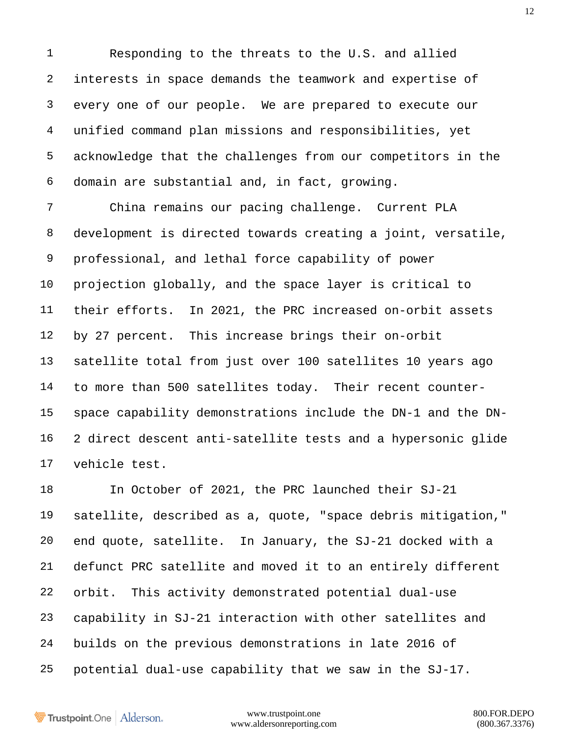Responding to the threats to the U.S. and allied interests in space demands the teamwork and expertise of every one of our people. We are prepared to execute our unified command plan missions and responsibilities, yet acknowledge that the challenges from our competitors in the domain are substantial and, in fact, growing.

 China remains our pacing challenge. Current PLA development is directed towards creating a joint, versatile, professional, and lethal force capability of power projection globally, and the space layer is critical to their efforts. In 2021, the PRC increased on-orbit assets by 27 percent. This increase brings their on-orbit satellite total from just over 100 satellites 10 years ago to more than 500 satellites today. Their recent counter- space capability demonstrations include the DN-1 and the DN- 2 direct descent anti-satellite tests and a hypersonic glide vehicle test.

 In October of 2021, the PRC launched their SJ-21 satellite, described as a, quote, "space debris mitigation," end quote, satellite. In January, the SJ-21 docked with a defunct PRC satellite and moved it to an entirely different orbit. This activity demonstrated potential dual-use capability in SJ-21 interaction with other satellites and builds on the previous demonstrations in late 2016 of potential dual-use capability that we saw in the SJ-17.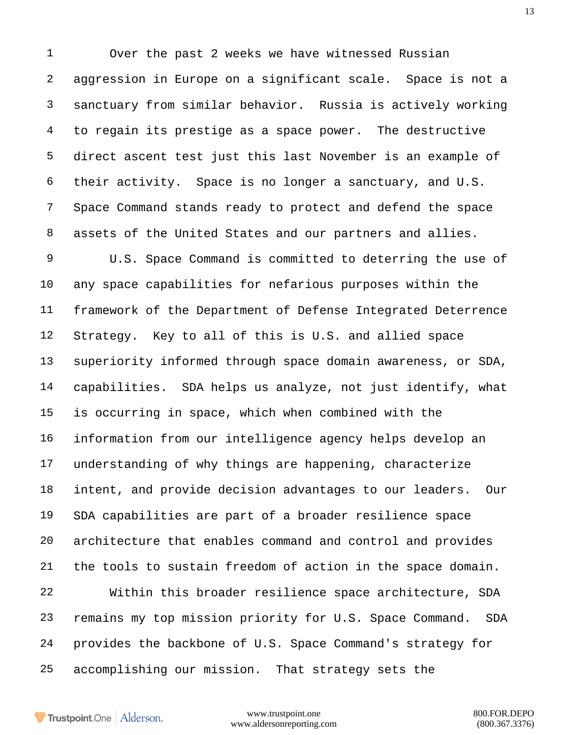Over the past 2 weeks we have witnessed Russian aggression in Europe on a significant scale. Space is not a sanctuary from similar behavior. Russia is actively working to regain its prestige as a space power. The destructive direct ascent test just this last November is an example of their activity. Space is no longer a sanctuary, and U.S. Space Command stands ready to protect and defend the space assets of the United States and our partners and allies. U.S. Space Command is committed to deterring the use of any space capabilities for nefarious purposes within the framework of the Department of Defense Integrated Deterrence Strategy. Key to all of this is U.S. and allied space superiority informed through space domain awareness, or SDA, capabilities. SDA helps us analyze, not just identify, what

 information from our intelligence agency helps develop an understanding of why things are happening, characterize intent, and provide decision advantages to our leaders. Our SDA capabilities are part of a broader resilience space architecture that enables command and control and provides the tools to sustain freedom of action in the space domain.

is occurring in space, which when combined with the

 Within this broader resilience space architecture, SDA remains my top mission priority for U.S. Space Command. SDA provides the backbone of U.S. Space Command's strategy for accomplishing our mission. That strategy sets the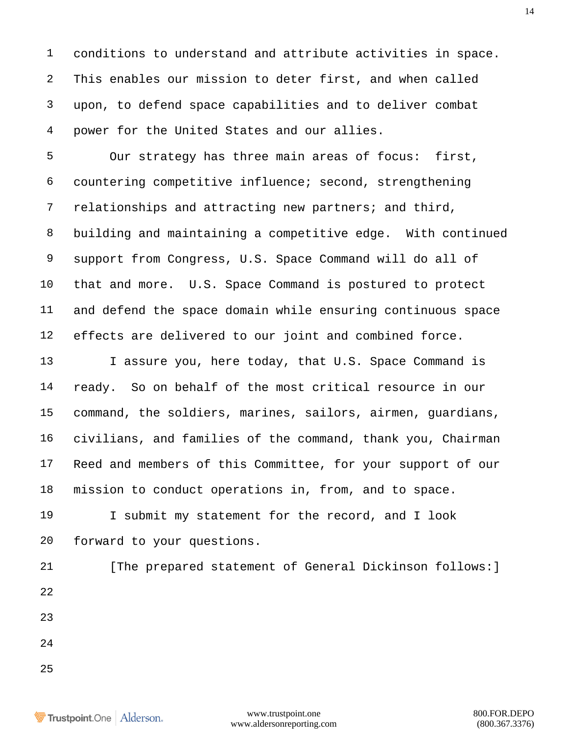conditions to understand and attribute activities in space. This enables our mission to deter first, and when called upon, to defend space capabilities and to deliver combat power for the United States and our allies.

 Our strategy has three main areas of focus: first, countering competitive influence; second, strengthening relationships and attracting new partners; and third, building and maintaining a competitive edge. With continued support from Congress, U.S. Space Command will do all of that and more. U.S. Space Command is postured to protect and defend the space domain while ensuring continuous space effects are delivered to our joint and combined force.

 I assure you, here today, that U.S. Space Command is ready. So on behalf of the most critical resource in our command, the soldiers, marines, sailors, airmen, guardians, civilians, and families of the command, thank you, Chairman Reed and members of this Committee, for your support of our mission to conduct operations in, from, and to space.

 I submit my statement for the record, and I look forward to your questions.

21 [The prepared statement of General Dickinson follows: ] 

 

Trustpoint.One Alderson.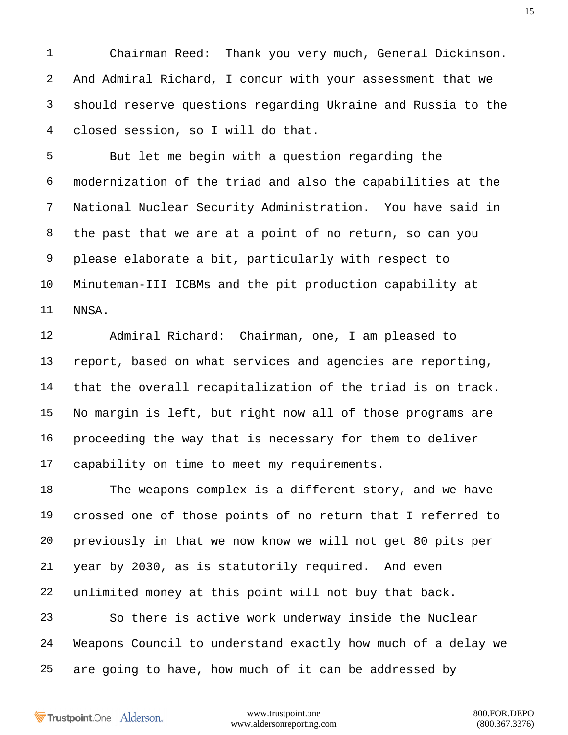Chairman Reed: Thank you very much, General Dickinson. And Admiral Richard, I concur with your assessment that we should reserve questions regarding Ukraine and Russia to the closed session, so I will do that.

 But let me begin with a question regarding the modernization of the triad and also the capabilities at the National Nuclear Security Administration. You have said in the past that we are at a point of no return, so can you please elaborate a bit, particularly with respect to Minuteman-III ICBMs and the pit production capability at NNSA.

 Admiral Richard: Chairman, one, I am pleased to report, based on what services and agencies are reporting, that the overall recapitalization of the triad is on track. No margin is left, but right now all of those programs are proceeding the way that is necessary for them to deliver capability on time to meet my requirements.

 The weapons complex is a different story, and we have crossed one of those points of no return that I referred to previously in that we now know we will not get 80 pits per year by 2030, as is statutorily required. And even unlimited money at this point will not buy that back. So there is active work underway inside the Nuclear Weapons Council to understand exactly how much of a delay we

are going to have, how much of it can be addressed by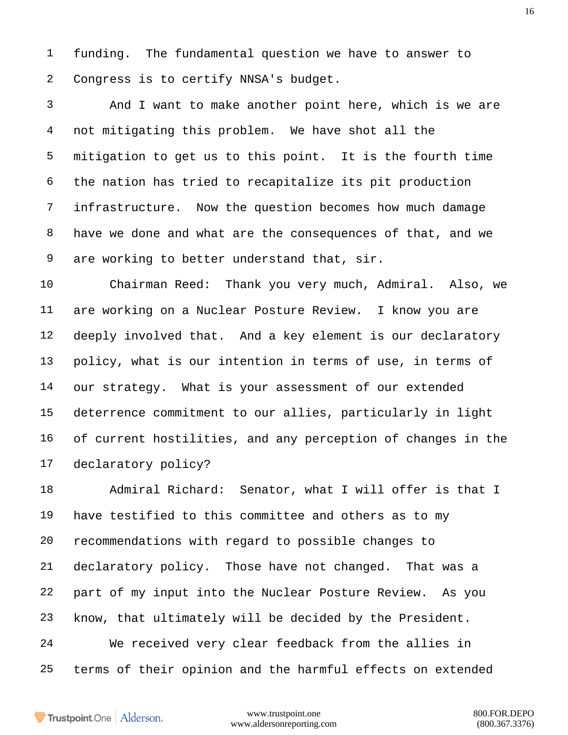funding. The fundamental question we have to answer to Congress is to certify NNSA's budget.

 And I want to make another point here, which is we are not mitigating this problem. We have shot all the mitigation to get us to this point. It is the fourth time the nation has tried to recapitalize its pit production infrastructure. Now the question becomes how much damage have we done and what are the consequences of that, and we are working to better understand that, sir.

 Chairman Reed: Thank you very much, Admiral. Also, we are working on a Nuclear Posture Review. I know you are deeply involved that. And a key element is our declaratory policy, what is our intention in terms of use, in terms of our strategy. What is your assessment of our extended deterrence commitment to our allies, particularly in light of current hostilities, and any perception of changes in the declaratory policy?

 Admiral Richard: Senator, what I will offer is that I have testified to this committee and others as to my recommendations with regard to possible changes to declaratory policy. Those have not changed. That was a part of my input into the Nuclear Posture Review. As you know, that ultimately will be decided by the President. We received very clear feedback from the allies in terms of their opinion and the harmful effects on extended

Trustpoint.One Alderson.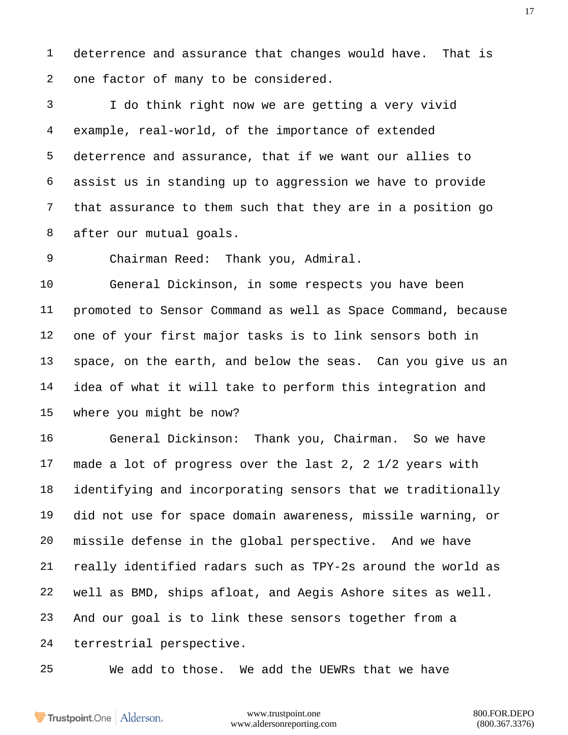deterrence and assurance that changes would have. That is one factor of many to be considered.

 I do think right now we are getting a very vivid example, real-world, of the importance of extended deterrence and assurance, that if we want our allies to assist us in standing up to aggression we have to provide that assurance to them such that they are in a position go after our mutual goals.

Chairman Reed: Thank you, Admiral.

 General Dickinson, in some respects you have been promoted to Sensor Command as well as Space Command, because one of your first major tasks is to link sensors both in space, on the earth, and below the seas. Can you give us an idea of what it will take to perform this integration and where you might be now?

 General Dickinson: Thank you, Chairman. So we have made a lot of progress over the last 2, 2 1/2 years with identifying and incorporating sensors that we traditionally did not use for space domain awareness, missile warning, or missile defense in the global perspective. And we have really identified radars such as TPY-2s around the world as well as BMD, ships afloat, and Aegis Ashore sites as well. And our goal is to link these sensors together from a terrestrial perspective.

We add to those. We add the UEWRs that we have

Trustpoint.One Alderson.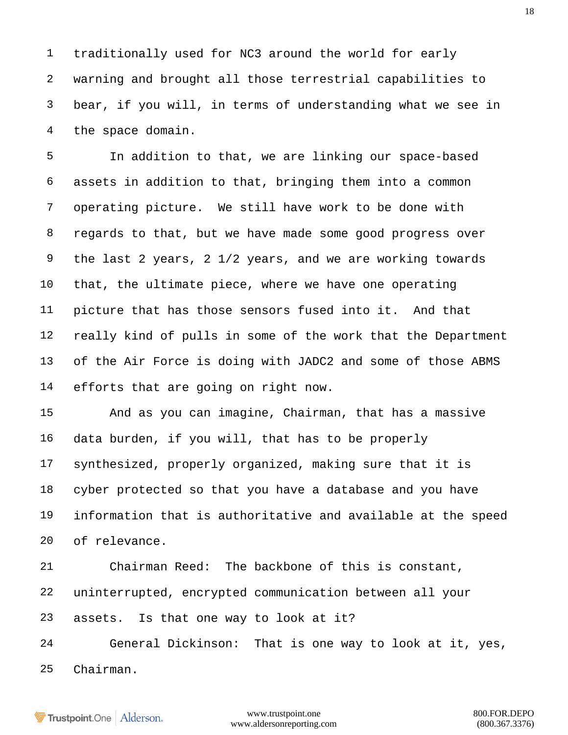traditionally used for NC3 around the world for early warning and brought all those terrestrial capabilities to bear, if you will, in terms of understanding what we see in the space domain.

 In addition to that, we are linking our space-based assets in addition to that, bringing them into a common operating picture. We still have work to be done with regards to that, but we have made some good progress over the last 2 years, 2 1/2 years, and we are working towards that, the ultimate piece, where we have one operating picture that has those sensors fused into it. And that really kind of pulls in some of the work that the Department of the Air Force is doing with JADC2 and some of those ABMS efforts that are going on right now.

 And as you can imagine, Chairman, that has a massive data burden, if you will, that has to be properly synthesized, properly organized, making sure that it is cyber protected so that you have a database and you have information that is authoritative and available at the speed of relevance.

 Chairman Reed: The backbone of this is constant, uninterrupted, encrypted communication between all your assets. Is that one way to look at it?

 General Dickinson: That is one way to look at it, yes, Chairman.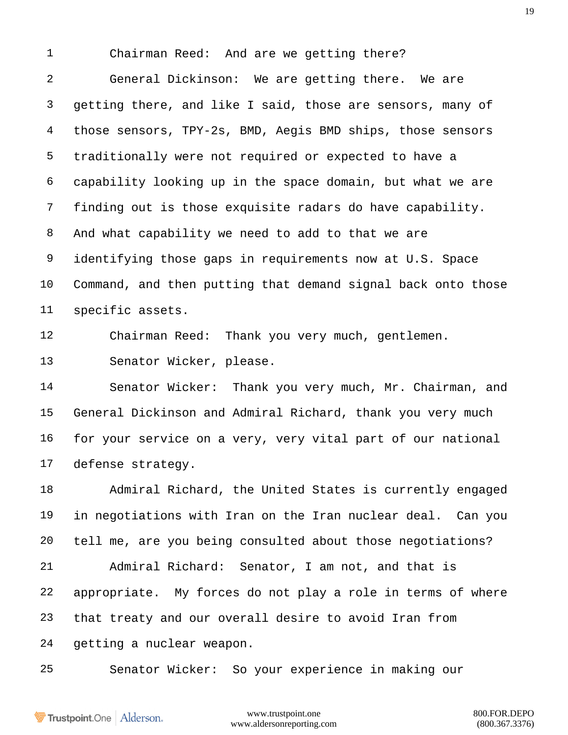Chairman Reed: And are we getting there?

 General Dickinson: We are getting there. We are getting there, and like I said, those are sensors, many of those sensors, TPY-2s, BMD, Aegis BMD ships, those sensors traditionally were not required or expected to have a capability looking up in the space domain, but what we are finding out is those exquisite radars do have capability. And what capability we need to add to that we are identifying those gaps in requirements now at U.S. Space Command, and then putting that demand signal back onto those specific assets.

Chairman Reed: Thank you very much, gentlemen.

Senator Wicker, please.

 Senator Wicker: Thank you very much, Mr. Chairman, and General Dickinson and Admiral Richard, thank you very much for your service on a very, very vital part of our national defense strategy.

 Admiral Richard, the United States is currently engaged in negotiations with Iran on the Iran nuclear deal. Can you tell me, are you being consulted about those negotiations? Admiral Richard: Senator, I am not, and that is

 appropriate. My forces do not play a role in terms of where that treaty and our overall desire to avoid Iran from getting a nuclear weapon.

Senator Wicker: So your experience in making our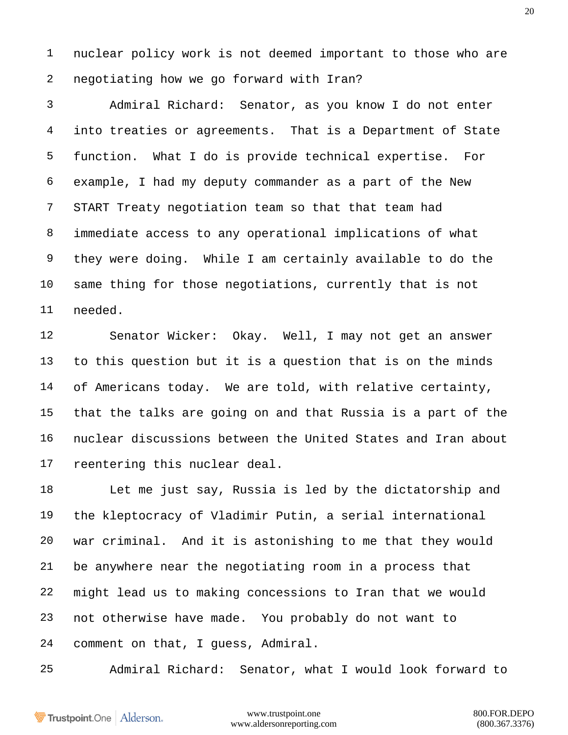nuclear policy work is not deemed important to those who are negotiating how we go forward with Iran?

 Admiral Richard: Senator, as you know I do not enter into treaties or agreements. That is a Department of State function. What I do is provide technical expertise. For example, I had my deputy commander as a part of the New START Treaty negotiation team so that that team had immediate access to any operational implications of what they were doing. While I am certainly available to do the same thing for those negotiations, currently that is not needed.

 Senator Wicker: Okay. Well, I may not get an answer to this question but it is a question that is on the minds of Americans today. We are told, with relative certainty, that the talks are going on and that Russia is a part of the nuclear discussions between the United States and Iran about reentering this nuclear deal.

 Let me just say, Russia is led by the dictatorship and the kleptocracy of Vladimir Putin, a serial international war criminal. And it is astonishing to me that they would be anywhere near the negotiating room in a process that might lead us to making concessions to Iran that we would not otherwise have made. You probably do not want to comment on that, I guess, Admiral.

Admiral Richard: Senator, what I would look forward to

Trustpoint.One Alderson.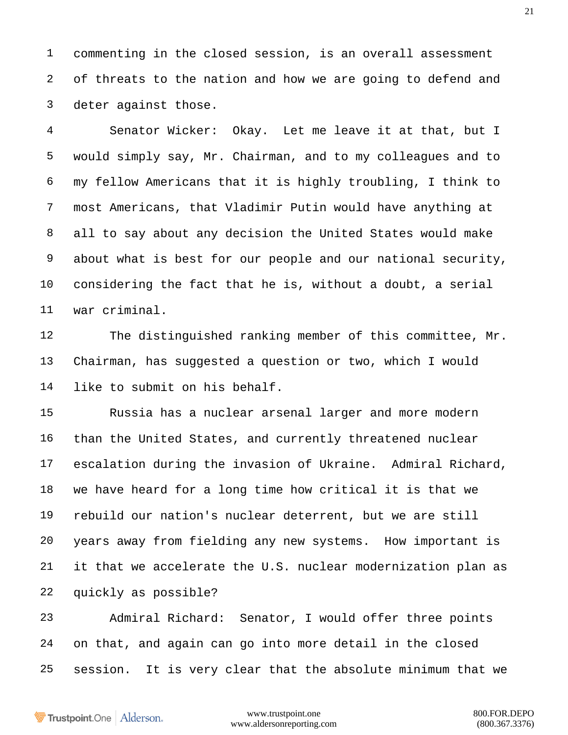commenting in the closed session, is an overall assessment of threats to the nation and how we are going to defend and deter against those.

 Senator Wicker: Okay. Let me leave it at that, but I would simply say, Mr. Chairman, and to my colleagues and to my fellow Americans that it is highly troubling, I think to most Americans, that Vladimir Putin would have anything at all to say about any decision the United States would make about what is best for our people and our national security, considering the fact that he is, without a doubt, a serial war criminal.

 The distinguished ranking member of this committee, Mr. Chairman, has suggested a question or two, which I would like to submit on his behalf.

 Russia has a nuclear arsenal larger and more modern than the United States, and currently threatened nuclear escalation during the invasion of Ukraine. Admiral Richard, we have heard for a long time how critical it is that we rebuild our nation's nuclear deterrent, but we are still years away from fielding any new systems. How important is it that we accelerate the U.S. nuclear modernization plan as quickly as possible?

 Admiral Richard: Senator, I would offer three points on that, and again can go into more detail in the closed session. It is very clear that the absolute minimum that we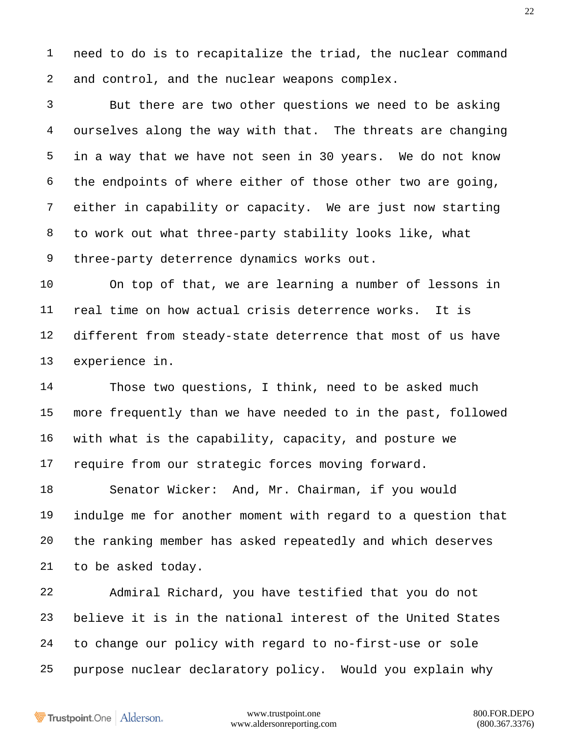need to do is to recapitalize the triad, the nuclear command and control, and the nuclear weapons complex.

 But there are two other questions we need to be asking ourselves along the way with that. The threats are changing in a way that we have not seen in 30 years. We do not know the endpoints of where either of those other two are going, either in capability or capacity. We are just now starting to work out what three-party stability looks like, what three-party deterrence dynamics works out.

 On top of that, we are learning a number of lessons in real time on how actual crisis deterrence works. It is different from steady-state deterrence that most of us have experience in.

 Those two questions, I think, need to be asked much more frequently than we have needed to in the past, followed with what is the capability, capacity, and posture we require from our strategic forces moving forward.

 Senator Wicker: And, Mr. Chairman, if you would indulge me for another moment with regard to a question that the ranking member has asked repeatedly and which deserves to be asked today.

 Admiral Richard, you have testified that you do not believe it is in the national interest of the United States to change our policy with regard to no-first-use or sole purpose nuclear declaratory policy. Would you explain why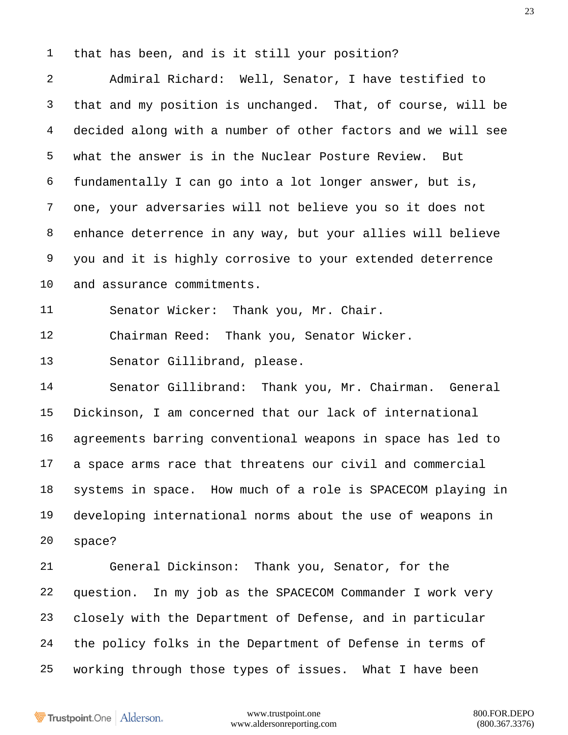that has been, and is it still your position?

 Admiral Richard: Well, Senator, I have testified to that and my position is unchanged. That, of course, will be decided along with a number of other factors and we will see what the answer is in the Nuclear Posture Review. But fundamentally I can go into a lot longer answer, but is, one, your adversaries will not believe you so it does not enhance deterrence in any way, but your allies will believe you and it is highly corrosive to your extended deterrence and assurance commitments.

Senator Wicker: Thank you, Mr. Chair.

Chairman Reed: Thank you, Senator Wicker.

Senator Gillibrand, please.

 Senator Gillibrand: Thank you, Mr. Chairman. General Dickinson, I am concerned that our lack of international agreements barring conventional weapons in space has led to a space arms race that threatens our civil and commercial systems in space. How much of a role is SPACECOM playing in developing international norms about the use of weapons in space?

 General Dickinson: Thank you, Senator, for the question. In my job as the SPACECOM Commander I work very closely with the Department of Defense, and in particular the policy folks in the Department of Defense in terms of working through those types of issues. What I have been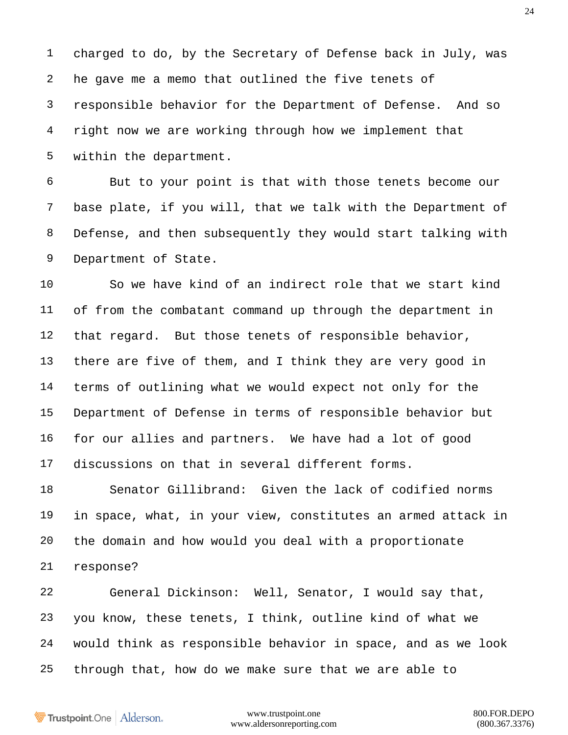charged to do, by the Secretary of Defense back in July, was he gave me a memo that outlined the five tenets of responsible behavior for the Department of Defense. And so right now we are working through how we implement that within the department.

 But to your point is that with those tenets become our base plate, if you will, that we talk with the Department of Defense, and then subsequently they would start talking with Department of State.

 So we have kind of an indirect role that we start kind of from the combatant command up through the department in 12 that regard. But those tenets of responsible behavior, there are five of them, and I think they are very good in terms of outlining what we would expect not only for the Department of Defense in terms of responsible behavior but for our allies and partners. We have had a lot of good discussions on that in several different forms.

 Senator Gillibrand: Given the lack of codified norms in space, what, in your view, constitutes an armed attack in the domain and how would you deal with a proportionate response?

 General Dickinson: Well, Senator, I would say that, you know, these tenets, I think, outline kind of what we would think as responsible behavior in space, and as we look through that, how do we make sure that we are able to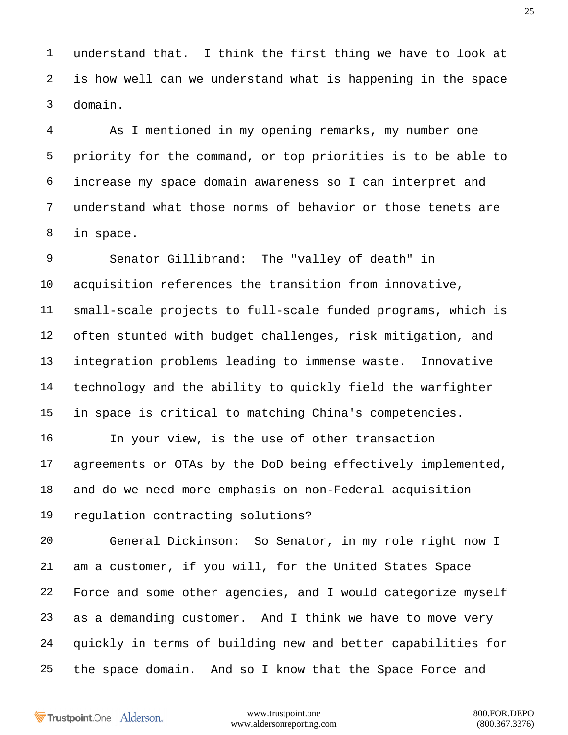understand that. I think the first thing we have to look at is how well can we understand what is happening in the space domain.

 As I mentioned in my opening remarks, my number one priority for the command, or top priorities is to be able to increase my space domain awareness so I can interpret and understand what those norms of behavior or those tenets are in space.

 Senator Gillibrand: The "valley of death" in acquisition references the transition from innovative, small-scale projects to full-scale funded programs, which is often stunted with budget challenges, risk mitigation, and integration problems leading to immense waste. Innovative technology and the ability to quickly field the warfighter in space is critical to matching China's competencies.

 In your view, is the use of other transaction agreements or OTAs by the DoD being effectively implemented, and do we need more emphasis on non-Federal acquisition regulation contracting solutions?

 General Dickinson: So Senator, in my role right now I am a customer, if you will, for the United States Space Force and some other agencies, and I would categorize myself as a demanding customer. And I think we have to move very quickly in terms of building new and better capabilities for the space domain. And so I know that the Space Force and

Trustpoint.One Alderson.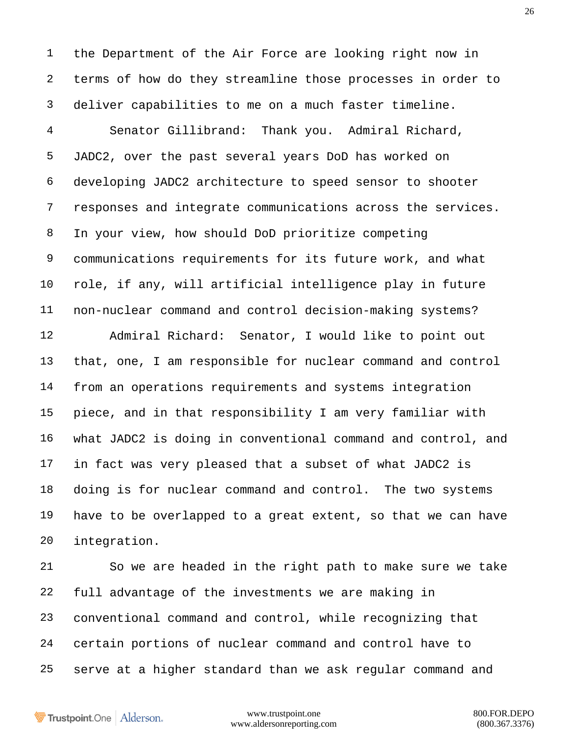the Department of the Air Force are looking right now in terms of how do they streamline those processes in order to deliver capabilities to me on a much faster timeline.

 Senator Gillibrand: Thank you. Admiral Richard, JADC2, over the past several years DoD has worked on developing JADC2 architecture to speed sensor to shooter responses and integrate communications across the services. In your view, how should DoD prioritize competing communications requirements for its future work, and what role, if any, will artificial intelligence play in future non-nuclear command and control decision-making systems? Admiral Richard: Senator, I would like to point out that, one, I am responsible for nuclear command and control from an operations requirements and systems integration piece, and in that responsibility I am very familiar with what JADC2 is doing in conventional command and control, and in fact was very pleased that a subset of what JADC2 is doing is for nuclear command and control. The two systems have to be overlapped to a great extent, so that we can have integration.

 So we are headed in the right path to make sure we take full advantage of the investments we are making in conventional command and control, while recognizing that certain portions of nuclear command and control have to serve at a higher standard than we ask regular command and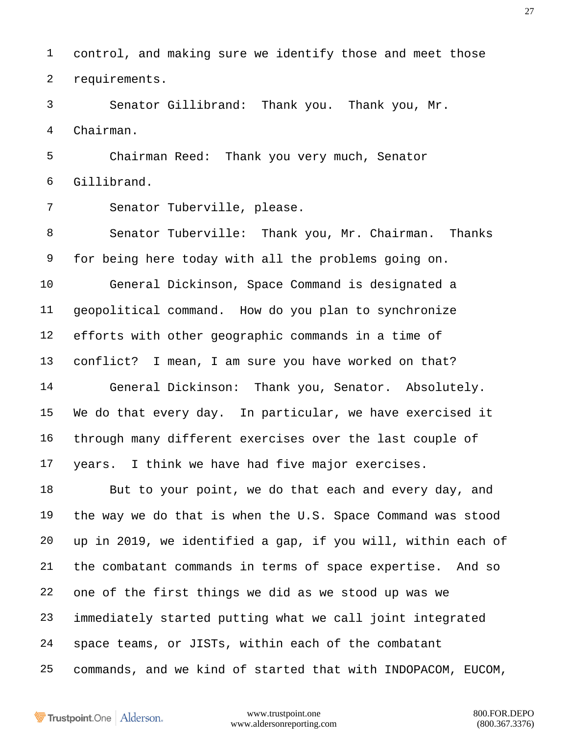control, and making sure we identify those and meet those requirements.

 Senator Gillibrand: Thank you. Thank you, Mr. Chairman.

 Chairman Reed: Thank you very much, Senator Gillibrand.

Senator Tuberville, please.

 Senator Tuberville: Thank you, Mr. Chairman. Thanks for being here today with all the problems going on. General Dickinson, Space Command is designated a geopolitical command. How do you plan to synchronize efforts with other geographic commands in a time of conflict? I mean, I am sure you have worked on that? General Dickinson: Thank you, Senator. Absolutely.

 We do that every day. In particular, we have exercised it through many different exercises over the last couple of years. I think we have had five major exercises.

 But to your point, we do that each and every day, and the way we do that is when the U.S. Space Command was stood up in 2019, we identified a gap, if you will, within each of the combatant commands in terms of space expertise. And so one of the first things we did as we stood up was we immediately started putting what we call joint integrated space teams, or JISTs, within each of the combatant commands, and we kind of started that with INDOPACOM, EUCOM,

Trustpoint.One Alderson.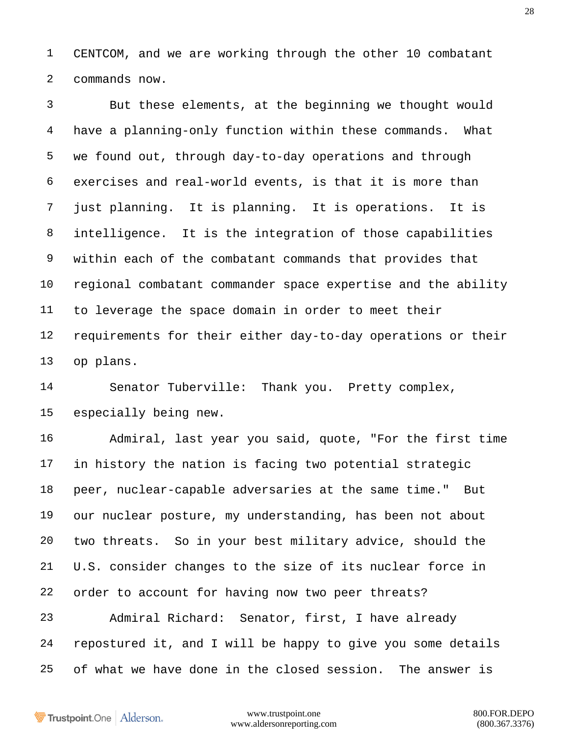CENTCOM, and we are working through the other 10 combatant commands now.

 But these elements, at the beginning we thought would have a planning-only function within these commands. What we found out, through day-to-day operations and through exercises and real-world events, is that it is more than just planning. It is planning. It is operations. It is intelligence. It is the integration of those capabilities within each of the combatant commands that provides that regional combatant commander space expertise and the ability to leverage the space domain in order to meet their requirements for their either day-to-day operations or their op plans.

 Senator Tuberville: Thank you. Pretty complex, especially being new.

 Admiral, last year you said, quote, "For the first time in history the nation is facing two potential strategic peer, nuclear-capable adversaries at the same time." But our nuclear posture, my understanding, has been not about two threats. So in your best military advice, should the U.S. consider changes to the size of its nuclear force in order to account for having now two peer threats?

 Admiral Richard: Senator, first, I have already repostured it, and I will be happy to give you some details of what we have done in the closed session. The answer is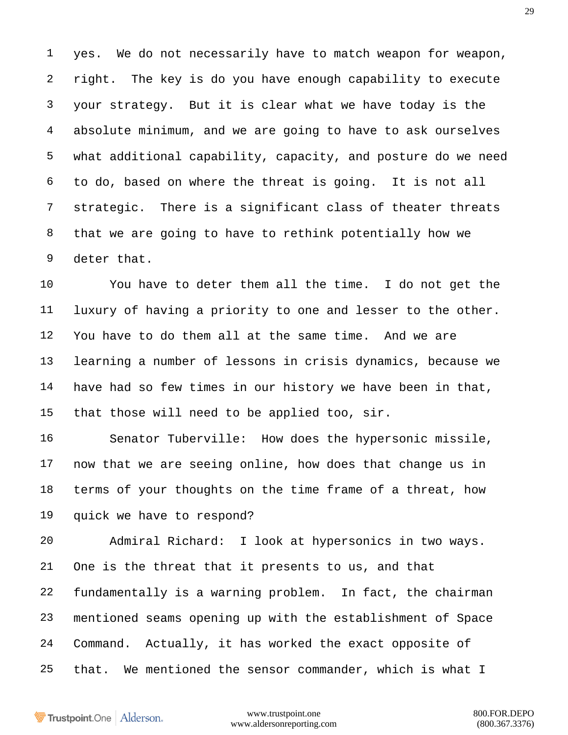yes. We do not necessarily have to match weapon for weapon, right. The key is do you have enough capability to execute your strategy. But it is clear what we have today is the absolute minimum, and we are going to have to ask ourselves what additional capability, capacity, and posture do we need to do, based on where the threat is going. It is not all strategic. There is a significant class of theater threats that we are going to have to rethink potentially how we deter that.

 You have to deter them all the time. I do not get the luxury of having a priority to one and lesser to the other. You have to do them all at the same time. And we are learning a number of lessons in crisis dynamics, because we have had so few times in our history we have been in that, that those will need to be applied too, sir.

 Senator Tuberville: How does the hypersonic missile, now that we are seeing online, how does that change us in terms of your thoughts on the time frame of a threat, how quick we have to respond?

 Admiral Richard: I look at hypersonics in two ways. One is the threat that it presents to us, and that fundamentally is a warning problem. In fact, the chairman mentioned seams opening up with the establishment of Space Command. Actually, it has worked the exact opposite of that. We mentioned the sensor commander, which is what I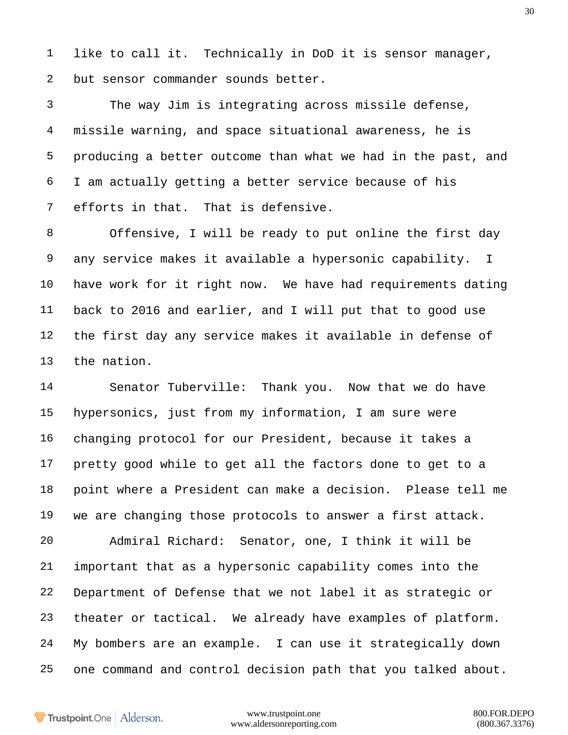like to call it. Technically in DoD it is sensor manager, but sensor commander sounds better.

 The way Jim is integrating across missile defense, missile warning, and space situational awareness, he is producing a better outcome than what we had in the past, and I am actually getting a better service because of his efforts in that. That is defensive.

 Offensive, I will be ready to put online the first day any service makes it available a hypersonic capability. I have work for it right now. We have had requirements dating back to 2016 and earlier, and I will put that to good use the first day any service makes it available in defense of the nation.

 Senator Tuberville: Thank you. Now that we do have hypersonics, just from my information, I am sure were changing protocol for our President, because it takes a pretty good while to get all the factors done to get to a point where a President can make a decision. Please tell me we are changing those protocols to answer a first attack. Admiral Richard: Senator, one, I think it will be important that as a hypersonic capability comes into the Department of Defense that we not label it as strategic or theater or tactical. We already have examples of platform. My bombers are an example. I can use it strategically down one command and control decision path that you talked about.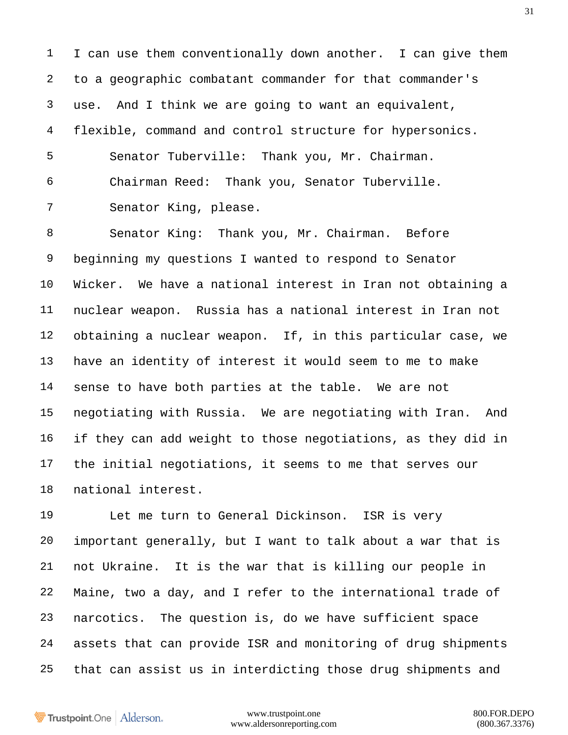I can use them conventionally down another. I can give them to a geographic combatant commander for that commander's use. And I think we are going to want an equivalent, flexible, command and control structure for hypersonics. Senator Tuberville: Thank you, Mr. Chairman. Chairman Reed: Thank you, Senator Tuberville. Senator King, please.

 Senator King: Thank you, Mr. Chairman. Before beginning my questions I wanted to respond to Senator Wicker. We have a national interest in Iran not obtaining a nuclear weapon. Russia has a national interest in Iran not obtaining a nuclear weapon. If, in this particular case, we have an identity of interest it would seem to me to make sense to have both parties at the table. We are not negotiating with Russia. We are negotiating with Iran. And if they can add weight to those negotiations, as they did in the initial negotiations, it seems to me that serves our national interest.

 Let me turn to General Dickinson. ISR is very important generally, but I want to talk about a war that is not Ukraine. It is the war that is killing our people in Maine, two a day, and I refer to the international trade of narcotics. The question is, do we have sufficient space assets that can provide ISR and monitoring of drug shipments that can assist us in interdicting those drug shipments and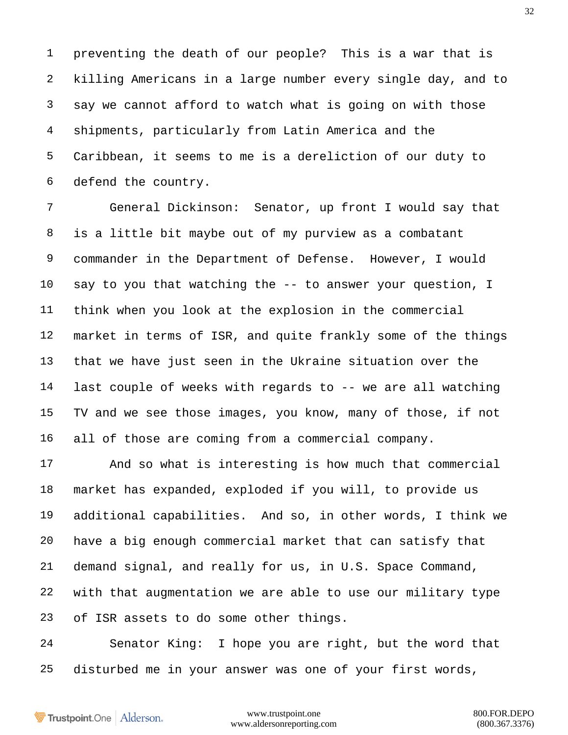preventing the death of our people? This is a war that is killing Americans in a large number every single day, and to say we cannot afford to watch what is going on with those shipments, particularly from Latin America and the Caribbean, it seems to me is a dereliction of our duty to defend the country.

 General Dickinson: Senator, up front I would say that is a little bit maybe out of my purview as a combatant commander in the Department of Defense. However, I would say to you that watching the -- to answer your question, I think when you look at the explosion in the commercial market in terms of ISR, and quite frankly some of the things that we have just seen in the Ukraine situation over the last couple of weeks with regards to -- we are all watching TV and we see those images, you know, many of those, if not all of those are coming from a commercial company.

 And so what is interesting is how much that commercial market has expanded, exploded if you will, to provide us additional capabilities. And so, in other words, I think we have a big enough commercial market that can satisfy that demand signal, and really for us, in U.S. Space Command, with that augmentation we are able to use our military type of ISR assets to do some other things.

 Senator King: I hope you are right, but the word that disturbed me in your answer was one of your first words,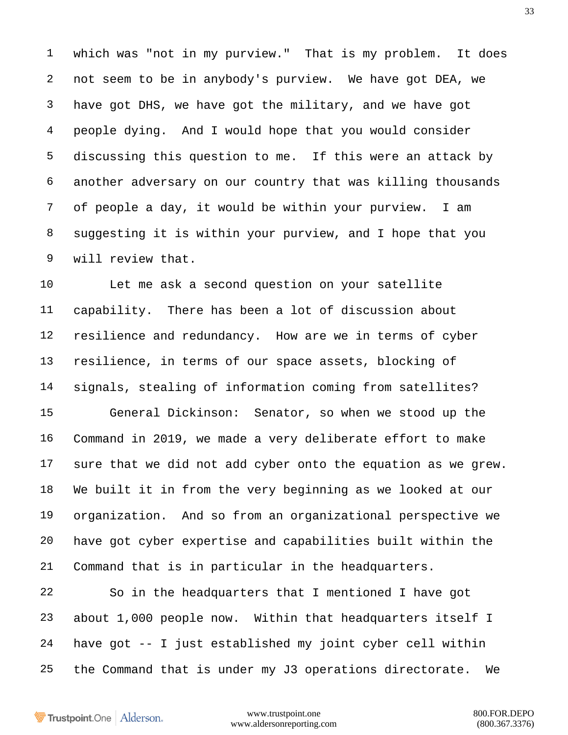which was "not in my purview." That is my problem. It does not seem to be in anybody's purview. We have got DEA, we have got DHS, we have got the military, and we have got people dying. And I would hope that you would consider discussing this question to me. If this were an attack by another adversary on our country that was killing thousands of people a day, it would be within your purview. I am suggesting it is within your purview, and I hope that you will review that.

 Let me ask a second question on your satellite capability. There has been a lot of discussion about resilience and redundancy. How are we in terms of cyber resilience, in terms of our space assets, blocking of signals, stealing of information coming from satellites? General Dickinson: Senator, so when we stood up the Command in 2019, we made a very deliberate effort to make sure that we did not add cyber onto the equation as we grew. We built it in from the very beginning as we looked at our organization. And so from an organizational perspective we have got cyber expertise and capabilities built within the Command that is in particular in the headquarters.

 So in the headquarters that I mentioned I have got about 1,000 people now. Within that headquarters itself I have got -- I just established my joint cyber cell within the Command that is under my J3 operations directorate. We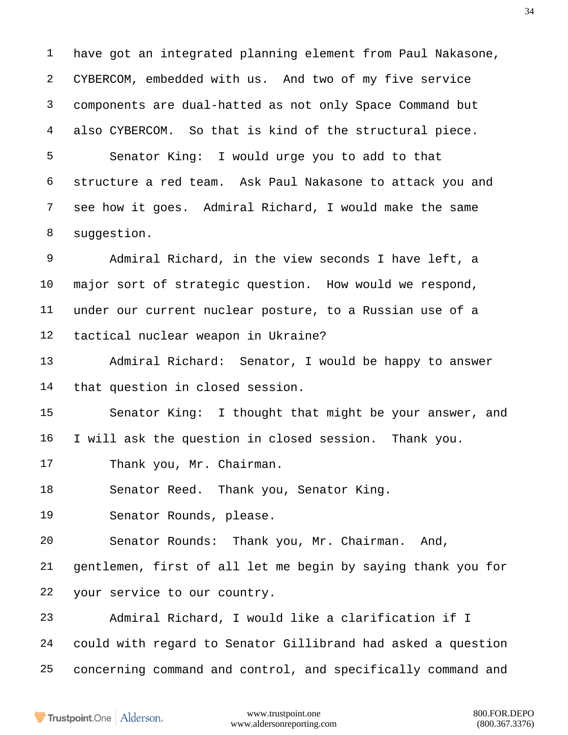have got an integrated planning element from Paul Nakasone, CYBERCOM, embedded with us. And two of my five service components are dual-hatted as not only Space Command but also CYBERCOM. So that is kind of the structural piece.

 Senator King: I would urge you to add to that structure a red team. Ask Paul Nakasone to attack you and see how it goes. Admiral Richard, I would make the same 8 suggestion.

 Admiral Richard, in the view seconds I have left, a major sort of strategic question. How would we respond, under our current nuclear posture, to a Russian use of a tactical nuclear weapon in Ukraine?

 Admiral Richard: Senator, I would be happy to answer that question in closed session.

 Senator King: I thought that might be your answer, and I will ask the question in closed session. Thank you.

17 Thank you, Mr. Chairman.

Senator Reed. Thank you, Senator King.

Senator Rounds, please.

Senator Rounds: Thank you, Mr. Chairman. And,

 gentlemen, first of all let me begin by saying thank you for your service to our country.

 Admiral Richard, I would like a clarification if I could with regard to Senator Gillibrand had asked a question concerning command and control, and specifically command and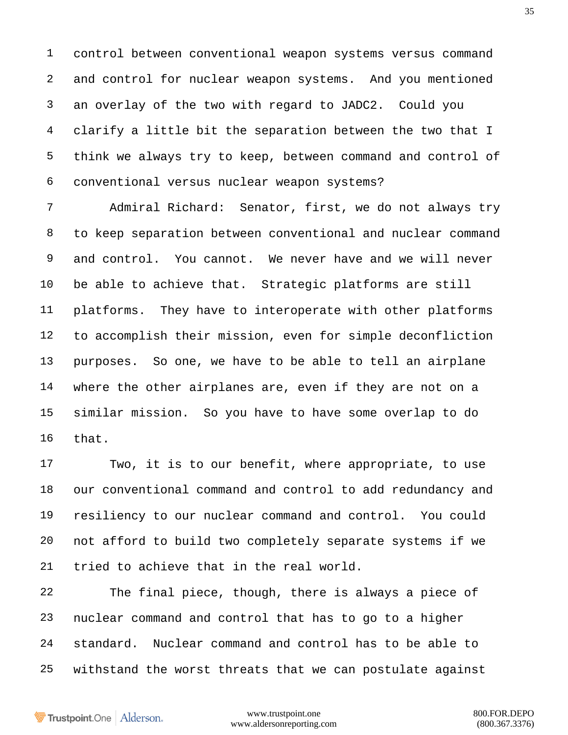control between conventional weapon systems versus command and control for nuclear weapon systems. And you mentioned an overlay of the two with regard to JADC2. Could you clarify a little bit the separation between the two that I think we always try to keep, between command and control of conventional versus nuclear weapon systems?

 Admiral Richard: Senator, first, we do not always try to keep separation between conventional and nuclear command and control. You cannot. We never have and we will never be able to achieve that. Strategic platforms are still platforms. They have to interoperate with other platforms to accomplish their mission, even for simple deconfliction purposes. So one, we have to be able to tell an airplane where the other airplanes are, even if they are not on a similar mission. So you have to have some overlap to do that.

 Two, it is to our benefit, where appropriate, to use our conventional command and control to add redundancy and resiliency to our nuclear command and control. You could not afford to build two completely separate systems if we tried to achieve that in the real world.

 The final piece, though, there is always a piece of nuclear command and control that has to go to a higher standard. Nuclear command and control has to be able to withstand the worst threats that we can postulate against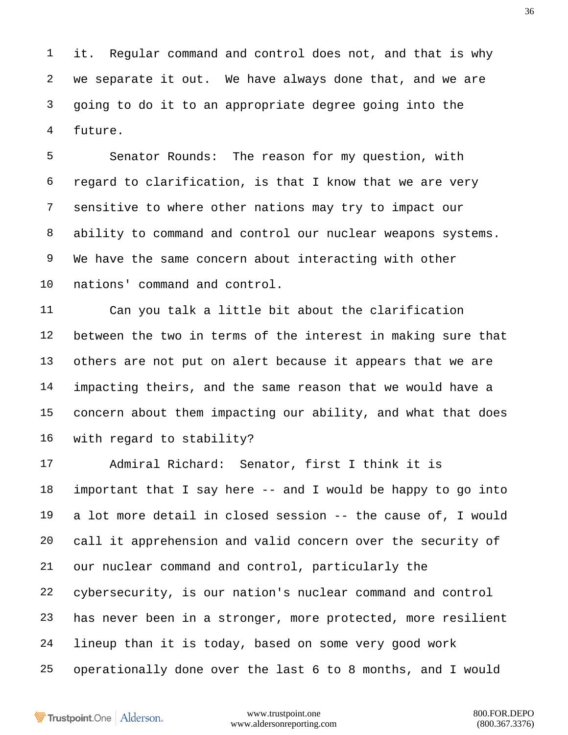it. Regular command and control does not, and that is why we separate it out. We have always done that, and we are going to do it to an appropriate degree going into the future.

 Senator Rounds: The reason for my question, with regard to clarification, is that I know that we are very sensitive to where other nations may try to impact our ability to command and control our nuclear weapons systems. We have the same concern about interacting with other nations' command and control.

 Can you talk a little bit about the clarification between the two in terms of the interest in making sure that others are not put on alert because it appears that we are impacting theirs, and the same reason that we would have a concern about them impacting our ability, and what that does with regard to stability?

 Admiral Richard: Senator, first I think it is important that I say here -- and I would be happy to go into a lot more detail in closed session -- the cause of, I would call it apprehension and valid concern over the security of our nuclear command and control, particularly the cybersecurity, is our nation's nuclear command and control has never been in a stronger, more protected, more resilient lineup than it is today, based on some very good work operationally done over the last 6 to 8 months, and I would

Trustpoint.One Alderson.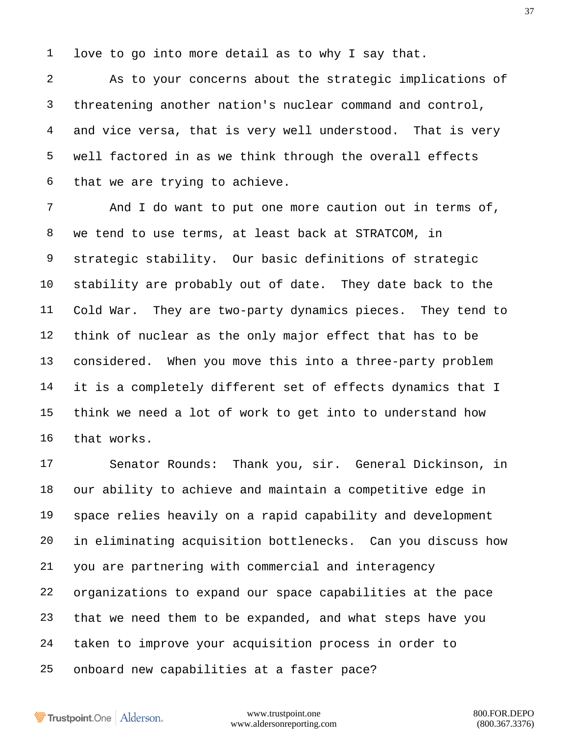love to go into more detail as to why I say that.

 As to your concerns about the strategic implications of threatening another nation's nuclear command and control, and vice versa, that is very well understood. That is very well factored in as we think through the overall effects that we are trying to achieve.

 And I do want to put one more caution out in terms of, we tend to use terms, at least back at STRATCOM, in strategic stability. Our basic definitions of strategic stability are probably out of date. They date back to the Cold War. They are two-party dynamics pieces. They tend to think of nuclear as the only major effect that has to be considered. When you move this into a three-party problem it is a completely different set of effects dynamics that I think we need a lot of work to get into to understand how that works.

 Senator Rounds: Thank you, sir. General Dickinson, in our ability to achieve and maintain a competitive edge in space relies heavily on a rapid capability and development in eliminating acquisition bottlenecks. Can you discuss how you are partnering with commercial and interagency organizations to expand our space capabilities at the pace that we need them to be expanded, and what steps have you taken to improve your acquisition process in order to onboard new capabilities at a faster pace?

Trustpoint.One Alderson.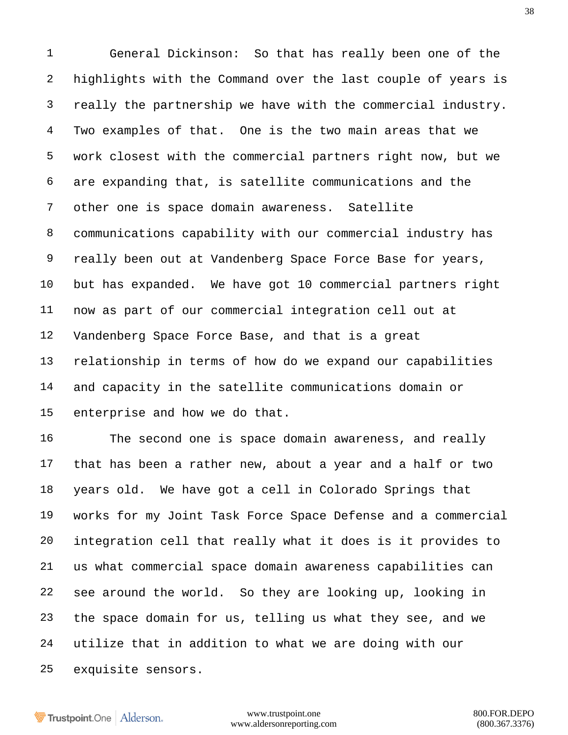General Dickinson: So that has really been one of the highlights with the Command over the last couple of years is really the partnership we have with the commercial industry. Two examples of that. One is the two main areas that we work closest with the commercial partners right now, but we are expanding that, is satellite communications and the other one is space domain awareness. Satellite communications capability with our commercial industry has really been out at Vandenberg Space Force Base for years, but has expanded. We have got 10 commercial partners right now as part of our commercial integration cell out at Vandenberg Space Force Base, and that is a great relationship in terms of how do we expand our capabilities and capacity in the satellite communications domain or enterprise and how we do that.

 The second one is space domain awareness, and really that has been a rather new, about a year and a half or two years old. We have got a cell in Colorado Springs that works for my Joint Task Force Space Defense and a commercial integration cell that really what it does is it provides to us what commercial space domain awareness capabilities can see around the world. So they are looking up, looking in the space domain for us, telling us what they see, and we utilize that in addition to what we are doing with our exquisite sensors.

Trustpoint.One Alderson.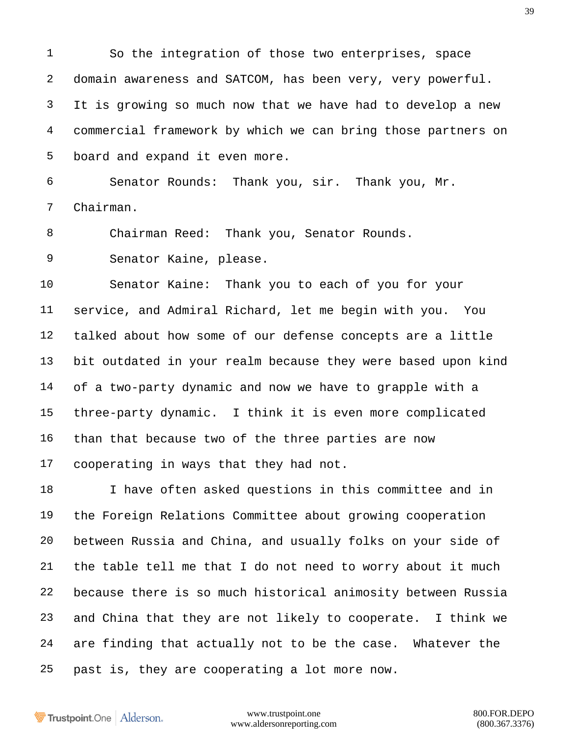So the integration of those two enterprises, space domain awareness and SATCOM, has been very, very powerful. It is growing so much now that we have had to develop a new commercial framework by which we can bring those partners on board and expand it even more.

 Senator Rounds: Thank you, sir. Thank you, Mr. Chairman.

8 Chairman Reed: Thank you, Senator Rounds.

Senator Kaine, please.

 Senator Kaine: Thank you to each of you for your service, and Admiral Richard, let me begin with you. You talked about how some of our defense concepts are a little bit outdated in your realm because they were based upon kind of a two-party dynamic and now we have to grapple with a three-party dynamic. I think it is even more complicated than that because two of the three parties are now cooperating in ways that they had not.

 I have often asked questions in this committee and in the Foreign Relations Committee about growing cooperation between Russia and China, and usually folks on your side of the table tell me that I do not need to worry about it much because there is so much historical animosity between Russia and China that they are not likely to cooperate. I think we are finding that actually not to be the case. Whatever the past is, they are cooperating a lot more now.

Trustpoint.One Alderson.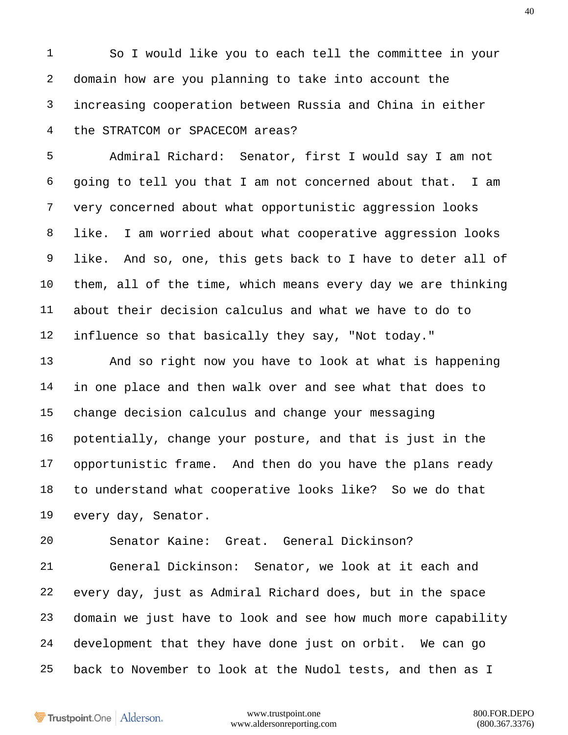So I would like you to each tell the committee in your domain how are you planning to take into account the increasing cooperation between Russia and China in either the STRATCOM or SPACECOM areas?

 Admiral Richard: Senator, first I would say I am not going to tell you that I am not concerned about that. I am very concerned about what opportunistic aggression looks like. I am worried about what cooperative aggression looks like. And so, one, this gets back to I have to deter all of them, all of the time, which means every day we are thinking about their decision calculus and what we have to do to influence so that basically they say, "Not today."

 And so right now you have to look at what is happening in one place and then walk over and see what that does to change decision calculus and change your messaging potentially, change your posture, and that is just in the opportunistic frame. And then do you have the plans ready to understand what cooperative looks like? So we do that every day, Senator.

Senator Kaine: Great. General Dickinson?

 General Dickinson: Senator, we look at it each and every day, just as Admiral Richard does, but in the space domain we just have to look and see how much more capability development that they have done just on orbit. We can go back to November to look at the Nudol tests, and then as I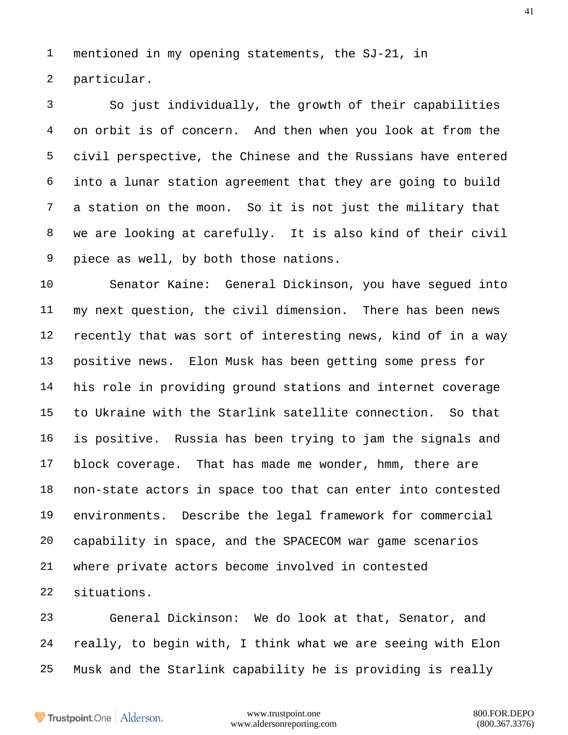mentioned in my opening statements, the SJ-21, in particular.

 So just individually, the growth of their capabilities on orbit is of concern. And then when you look at from the civil perspective, the Chinese and the Russians have entered into a lunar station agreement that they are going to build a station on the moon. So it is not just the military that we are looking at carefully. It is also kind of their civil piece as well, by both those nations.

 Senator Kaine: General Dickinson, you have segued into my next question, the civil dimension. There has been news recently that was sort of interesting news, kind of in a way positive news. Elon Musk has been getting some press for his role in providing ground stations and internet coverage to Ukraine with the Starlink satellite connection. So that is positive. Russia has been trying to jam the signals and block coverage. That has made me wonder, hmm, there are non-state actors in space too that can enter into contested environments. Describe the legal framework for commercial capability in space, and the SPACECOM war game scenarios where private actors become involved in contested situations.

 General Dickinson: We do look at that, Senator, and really, to begin with, I think what we are seeing with Elon Musk and the Starlink capability he is providing is really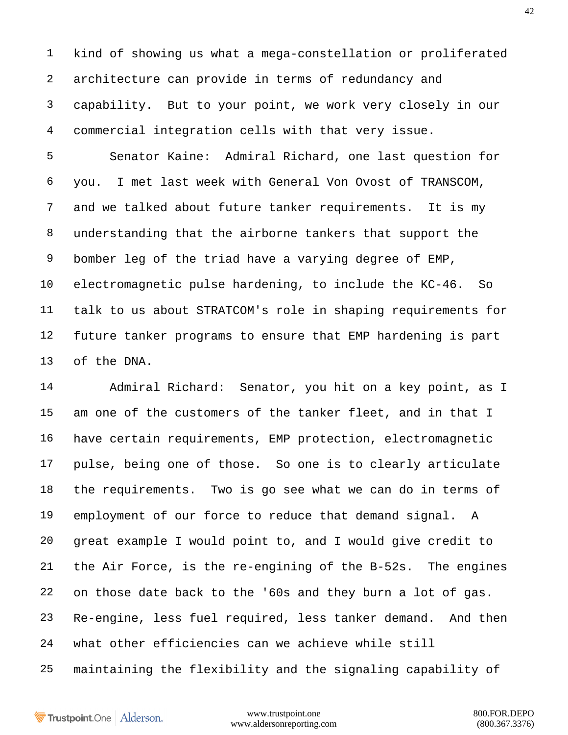kind of showing us what a mega-constellation or proliferated architecture can provide in terms of redundancy and capability. But to your point, we work very closely in our commercial integration cells with that very issue.

 Senator Kaine: Admiral Richard, one last question for you. I met last week with General Von Ovost of TRANSCOM, and we talked about future tanker requirements. It is my understanding that the airborne tankers that support the bomber leg of the triad have a varying degree of EMP, electromagnetic pulse hardening, to include the KC-46. So talk to us about STRATCOM's role in shaping requirements for future tanker programs to ensure that EMP hardening is part of the DNA.

 Admiral Richard: Senator, you hit on a key point, as I am one of the customers of the tanker fleet, and in that I have certain requirements, EMP protection, electromagnetic pulse, being one of those. So one is to clearly articulate the requirements. Two is go see what we can do in terms of employment of our force to reduce that demand signal. A great example I would point to, and I would give credit to the Air Force, is the re-engining of the B-52s. The engines on those date back to the '60s and they burn a lot of gas. Re-engine, less fuel required, less tanker demand. And then what other efficiencies can we achieve while still maintaining the flexibility and the signaling capability of

Trustpoint.One Alderson.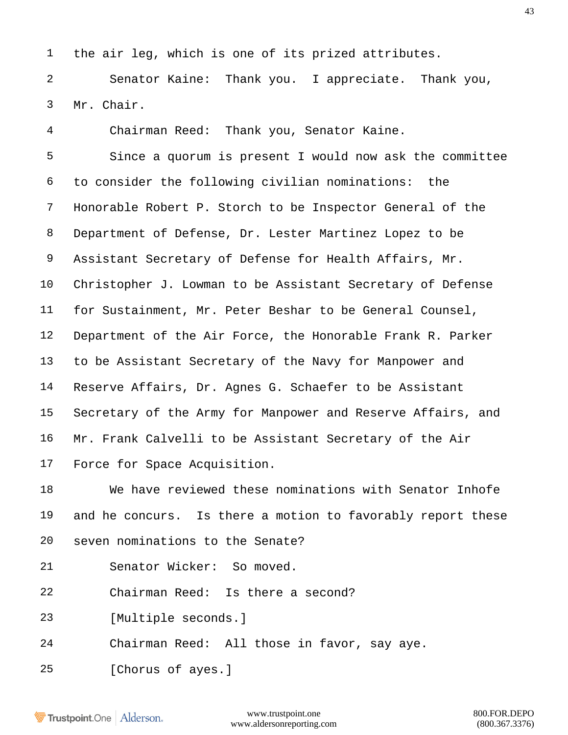the air leg, which is one of its prized attributes.

 Senator Kaine: Thank you. I appreciate. Thank you, Mr. Chair.

 Chairman Reed: Thank you, Senator Kaine. Since a quorum is present I would now ask the committee to consider the following civilian nominations: the Honorable Robert P. Storch to be Inspector General of the Department of Defense, Dr. Lester Martinez Lopez to be Assistant Secretary of Defense for Health Affairs, Mr. Christopher J. Lowman to be Assistant Secretary of Defense for Sustainment, Mr. Peter Beshar to be General Counsel, Department of the Air Force, the Honorable Frank R. Parker to be Assistant Secretary of the Navy for Manpower and Reserve Affairs, Dr. Agnes G. Schaefer to be Assistant Secretary of the Army for Manpower and Reserve Affairs, and Mr. Frank Calvelli to be Assistant Secretary of the Air Force for Space Acquisition.

 We have reviewed these nominations with Senator Inhofe and he concurs. Is there a motion to favorably report these seven nominations to the Senate?

- Senator Wicker: So moved.
- Chairman Reed: Is there a second?
- [Multiple seconds.]
- Chairman Reed: All those in favor, say aye.
- [Chorus of ayes.]

Trustpoint.One Alderson.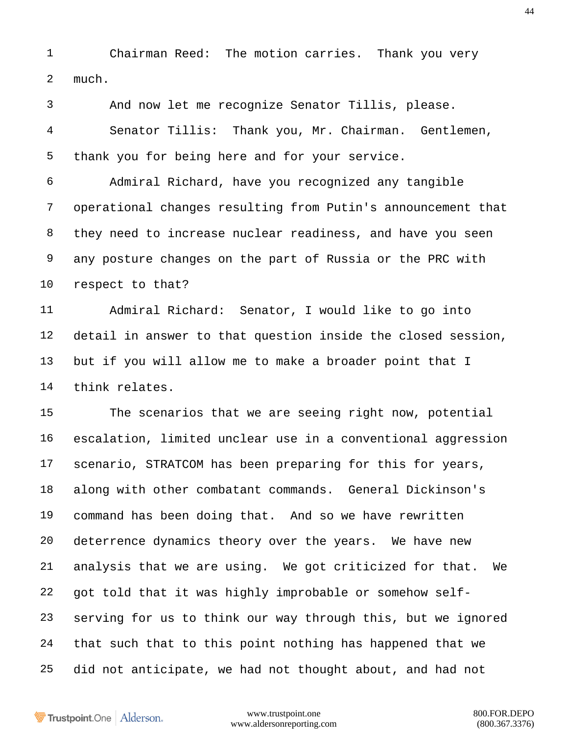Chairman Reed: The motion carries. Thank you very much.

 And now let me recognize Senator Tillis, please. Senator Tillis: Thank you, Mr. Chairman. Gentlemen, thank you for being here and for your service. Admiral Richard, have you recognized any tangible operational changes resulting from Putin's announcement that they need to increase nuclear readiness, and have you seen any posture changes on the part of Russia or the PRC with respect to that? Admiral Richard: Senator, I would like to go into detail in answer to that question inside the closed session, but if you will allow me to make a broader point that I think relates. The scenarios that we are seeing right now, potential escalation, limited unclear use in a conventional aggression scenario, STRATCOM has been preparing for this for years, along with other combatant commands. General Dickinson's command has been doing that. And so we have rewritten deterrence dynamics theory over the years. We have new analysis that we are using. We got criticized for that. We got told that it was highly improbable or somehow self- serving for us to think our way through this, but we ignored that such that to this point nothing has happened that we did not anticipate, we had not thought about, and had not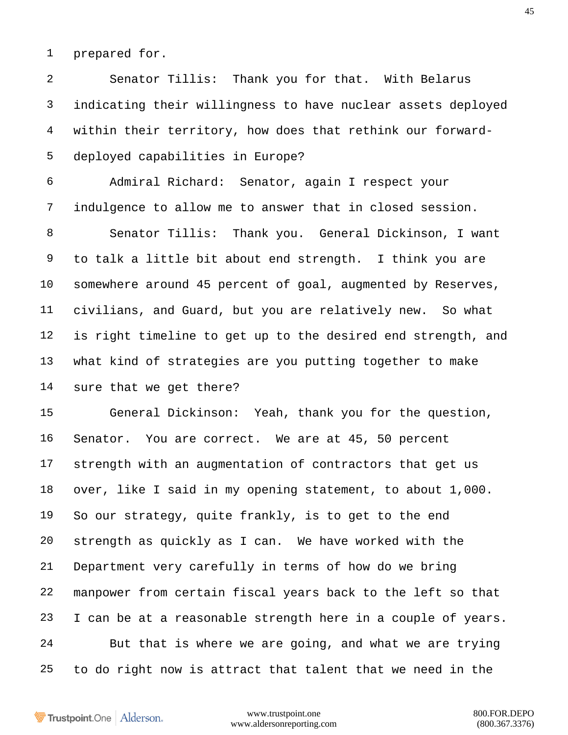prepared for.

 Senator Tillis: Thank you for that. With Belarus indicating their willingness to have nuclear assets deployed within their territory, how does that rethink our forward- deployed capabilities in Europe?

 Admiral Richard: Senator, again I respect your indulgence to allow me to answer that in closed session.

 Senator Tillis: Thank you. General Dickinson, I want to talk a little bit about end strength. I think you are somewhere around 45 percent of goal, augmented by Reserves, civilians, and Guard, but you are relatively new. So what is right timeline to get up to the desired end strength, and what kind of strategies are you putting together to make sure that we get there?

 General Dickinson: Yeah, thank you for the question, Senator. You are correct. We are at 45, 50 percent strength with an augmentation of contractors that get us over, like I said in my opening statement, to about 1,000. So our strategy, quite frankly, is to get to the end strength as quickly as I can. We have worked with the Department very carefully in terms of how do we bring manpower from certain fiscal years back to the left so that I can be at a reasonable strength here in a couple of years. But that is where we are going, and what we are trying to do right now is attract that talent that we need in the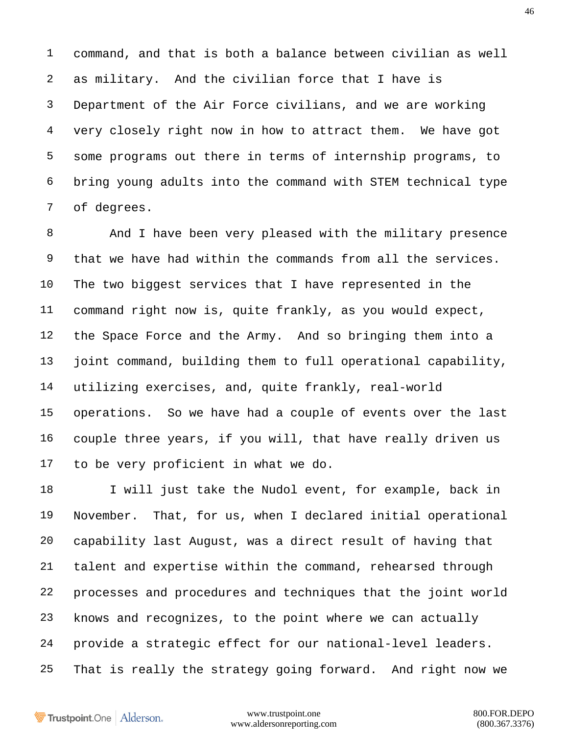command, and that is both a balance between civilian as well as military. And the civilian force that I have is Department of the Air Force civilians, and we are working very closely right now in how to attract them. We have got some programs out there in terms of internship programs, to bring young adults into the command with STEM technical type of degrees.

 And I have been very pleased with the military presence that we have had within the commands from all the services. The two biggest services that I have represented in the command right now is, quite frankly, as you would expect, the Space Force and the Army. And so bringing them into a joint command, building them to full operational capability, utilizing exercises, and, quite frankly, real-world operations. So we have had a couple of events over the last couple three years, if you will, that have really driven us to be very proficient in what we do.

18 I will just take the Nudol event, for example, back in November. That, for us, when I declared initial operational capability last August, was a direct result of having that talent and expertise within the command, rehearsed through processes and procedures and techniques that the joint world knows and recognizes, to the point where we can actually provide a strategic effect for our national-level leaders. That is really the strategy going forward. And right now we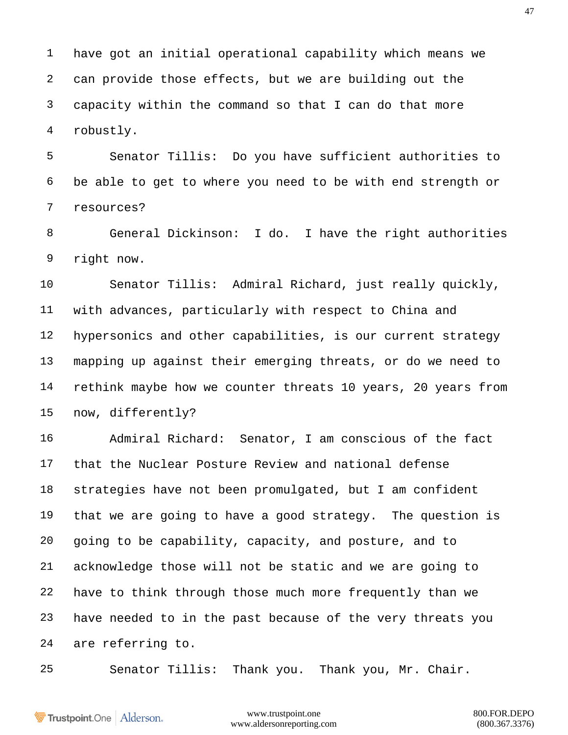have got an initial operational capability which means we can provide those effects, but we are building out the capacity within the command so that I can do that more robustly.

 Senator Tillis: Do you have sufficient authorities to be able to get to where you need to be with end strength or resources?

 General Dickinson: I do. I have the right authorities right now.

 Senator Tillis: Admiral Richard, just really quickly, with advances, particularly with respect to China and hypersonics and other capabilities, is our current strategy mapping up against their emerging threats, or do we need to rethink maybe how we counter threats 10 years, 20 years from now, differently?

 Admiral Richard: Senator, I am conscious of the fact that the Nuclear Posture Review and national defense strategies have not been promulgated, but I am confident that we are going to have a good strategy. The question is going to be capability, capacity, and posture, and to acknowledge those will not be static and we are going to have to think through those much more frequently than we have needed to in the past because of the very threats you are referring to.

Senator Tillis: Thank you. Thank you, Mr. Chair.

**Trustpoint**.One Alderson.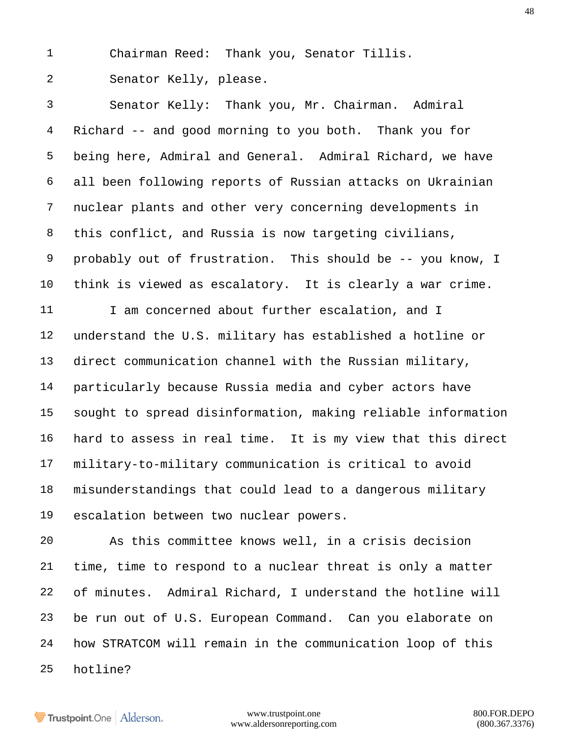Chairman Reed: Thank you, Senator Tillis.

Senator Kelly, please.

 Senator Kelly: Thank you, Mr. Chairman. Admiral Richard -- and good morning to you both. Thank you for being here, Admiral and General. Admiral Richard, we have all been following reports of Russian attacks on Ukrainian nuclear plants and other very concerning developments in this conflict, and Russia is now targeting civilians, probably out of frustration. This should be -- you know, I think is viewed as escalatory. It is clearly a war crime. 11 I am concerned about further escalation, and I understand the U.S. military has established a hotline or direct communication channel with the Russian military, particularly because Russia media and cyber actors have sought to spread disinformation, making reliable information hard to assess in real time. It is my view that this direct military-to-military communication is critical to avoid misunderstandings that could lead to a dangerous military escalation between two nuclear powers.

 As this committee knows well, in a crisis decision time, time to respond to a nuclear threat is only a matter of minutes. Admiral Richard, I understand the hotline will be run out of U.S. European Command. Can you elaborate on how STRATCOM will remain in the communication loop of this hotline?

Trustpoint.One Alderson.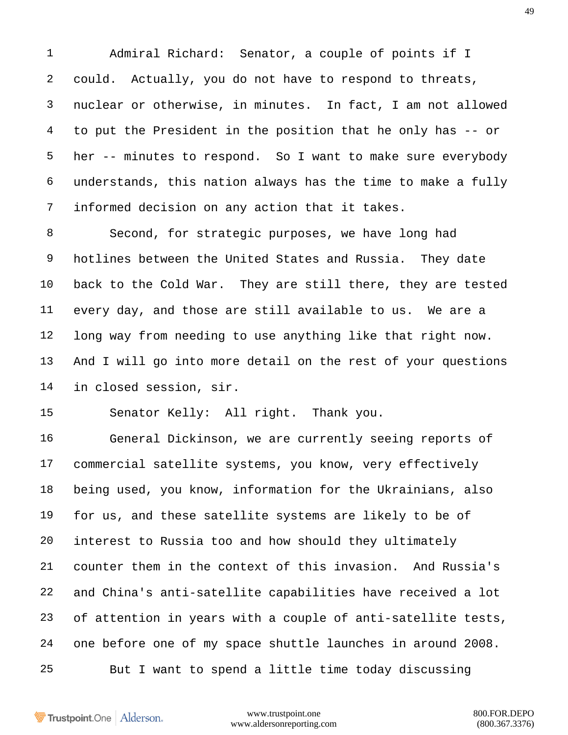Admiral Richard: Senator, a couple of points if I could. Actually, you do not have to respond to threats, nuclear or otherwise, in minutes. In fact, I am not allowed to put the President in the position that he only has -- or her -- minutes to respond. So I want to make sure everybody understands, this nation always has the time to make a fully informed decision on any action that it takes.

 Second, for strategic purposes, we have long had hotlines between the United States and Russia. They date back to the Cold War. They are still there, they are tested every day, and those are still available to us. We are a long way from needing to use anything like that right now. And I will go into more detail on the rest of your questions in closed session, sir.

Senator Kelly: All right. Thank you.

 General Dickinson, we are currently seeing reports of commercial satellite systems, you know, very effectively being used, you know, information for the Ukrainians, also for us, and these satellite systems are likely to be of interest to Russia too and how should they ultimately counter them in the context of this invasion. And Russia's and China's anti-satellite capabilities have received a lot of attention in years with a couple of anti-satellite tests, one before one of my space shuttle launches in around 2008. But I want to spend a little time today discussing

Trustpoint.One Alderson.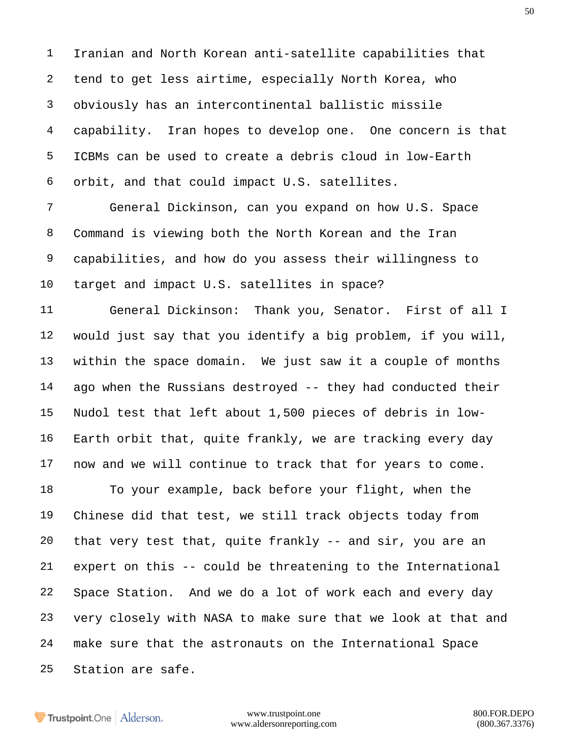Iranian and North Korean anti-satellite capabilities that tend to get less airtime, especially North Korea, who obviously has an intercontinental ballistic missile capability. Iran hopes to develop one. One concern is that ICBMs can be used to create a debris cloud in low-Earth orbit, and that could impact U.S. satellites.

 General Dickinson, can you expand on how U.S. Space Command is viewing both the North Korean and the Iran capabilities, and how do you assess their willingness to target and impact U.S. satellites in space?

 General Dickinson: Thank you, Senator. First of all I would just say that you identify a big problem, if you will, within the space domain. We just saw it a couple of months ago when the Russians destroyed -- they had conducted their Nudol test that left about 1,500 pieces of debris in low- Earth orbit that, quite frankly, we are tracking every day now and we will continue to track that for years to come. To your example, back before your flight, when the Chinese did that test, we still track objects today from that very test that, quite frankly -- and sir, you are an expert on this -- could be threatening to the International

 Space Station. And we do a lot of work each and every day very closely with NASA to make sure that we look at that and make sure that the astronauts on the International Space Station are safe.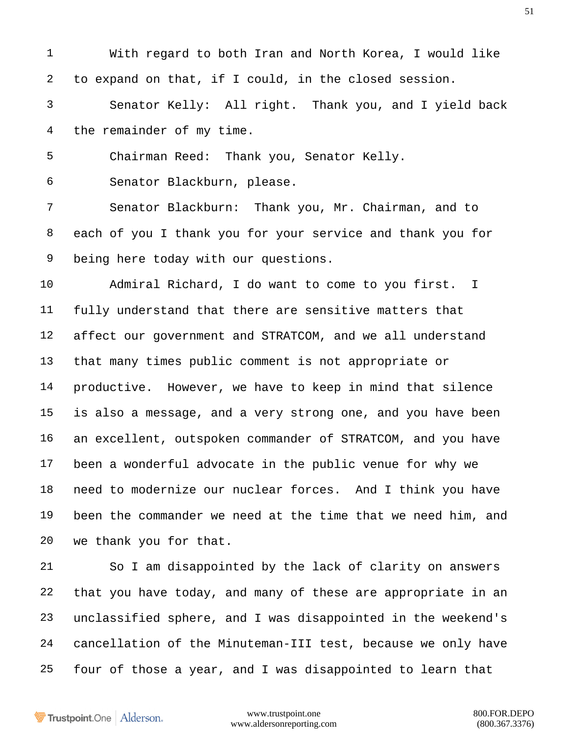With regard to both Iran and North Korea, I would like to expand on that, if I could, in the closed session. Senator Kelly: All right. Thank you, and I yield back the remainder of my time. Chairman Reed: Thank you, Senator Kelly. Senator Blackburn, please. Senator Blackburn: Thank you, Mr. Chairman, and to each of you I thank you for your service and thank you for being here today with our questions.

 Admiral Richard, I do want to come to you first. I fully understand that there are sensitive matters that affect our government and STRATCOM, and we all understand that many times public comment is not appropriate or productive. However, we have to keep in mind that silence is also a message, and a very strong one, and you have been an excellent, outspoken commander of STRATCOM, and you have been a wonderful advocate in the public venue for why we need to modernize our nuclear forces. And I think you have been the commander we need at the time that we need him, and we thank you for that.

 So I am disappointed by the lack of clarity on answers that you have today, and many of these are appropriate in an unclassified sphere, and I was disappointed in the weekend's cancellation of the Minuteman-III test, because we only have four of those a year, and I was disappointed to learn that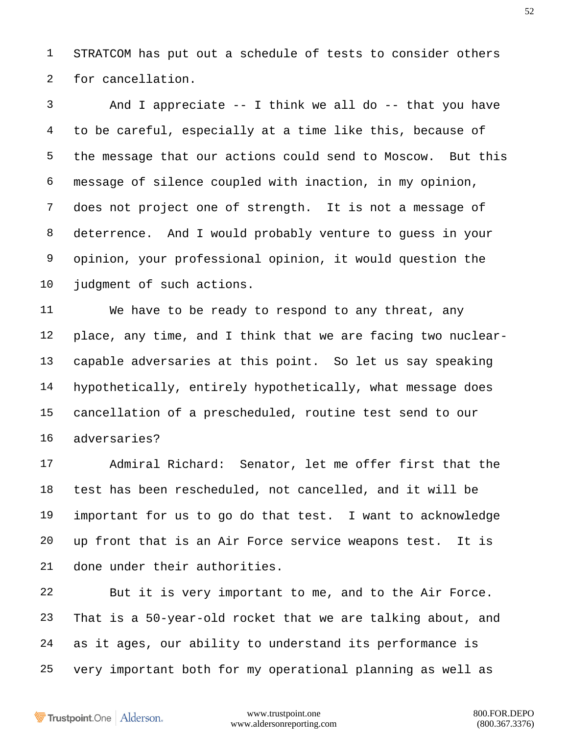STRATCOM has put out a schedule of tests to consider others for cancellation.

 And I appreciate -- I think we all do -- that you have to be careful, especially at a time like this, because of the message that our actions could send to Moscow. But this message of silence coupled with inaction, in my opinion, does not project one of strength. It is not a message of deterrence. And I would probably venture to guess in your opinion, your professional opinion, it would question the judgment of such actions.

 We have to be ready to respond to any threat, any place, any time, and I think that we are facing two nuclear- capable adversaries at this point. So let us say speaking hypothetically, entirely hypothetically, what message does cancellation of a prescheduled, routine test send to our adversaries?

 Admiral Richard: Senator, let me offer first that the test has been rescheduled, not cancelled, and it will be important for us to go do that test. I want to acknowledge up front that is an Air Force service weapons test. It is done under their authorities.

 But it is very important to me, and to the Air Force. That is a 50-year-old rocket that we are talking about, and as it ages, our ability to understand its performance is very important both for my operational planning as well as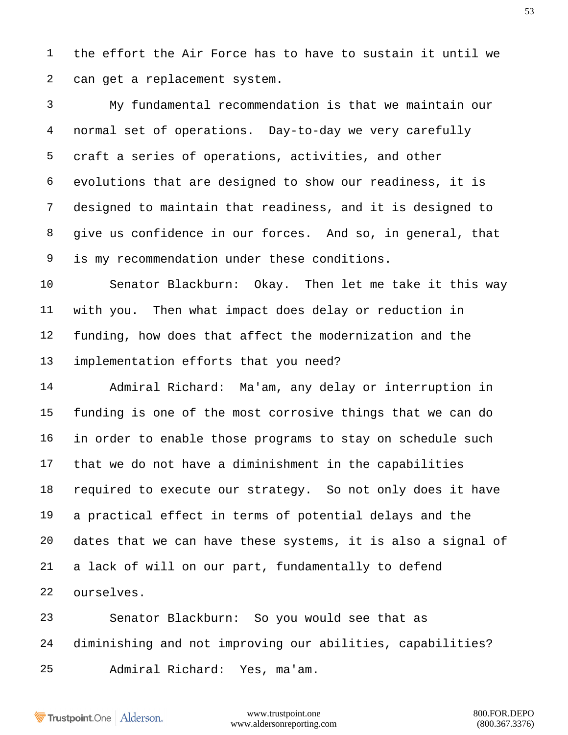the effort the Air Force has to have to sustain it until we can get a replacement system.

 My fundamental recommendation is that we maintain our normal set of operations. Day-to-day we very carefully craft a series of operations, activities, and other evolutions that are designed to show our readiness, it is designed to maintain that readiness, and it is designed to give us confidence in our forces. And so, in general, that is my recommendation under these conditions.

 Senator Blackburn: Okay. Then let me take it this way with you. Then what impact does delay or reduction in funding, how does that affect the modernization and the implementation efforts that you need?

 Admiral Richard: Ma'am, any delay or interruption in funding is one of the most corrosive things that we can do in order to enable those programs to stay on schedule such that we do not have a diminishment in the capabilities required to execute our strategy. So not only does it have a practical effect in terms of potential delays and the dates that we can have these systems, it is also a signal of a lack of will on our part, fundamentally to defend ourselves.

 Senator Blackburn: So you would see that as diminishing and not improving our abilities, capabilities? Admiral Richard: Yes, ma'am.

Trustpoint.One Alderson.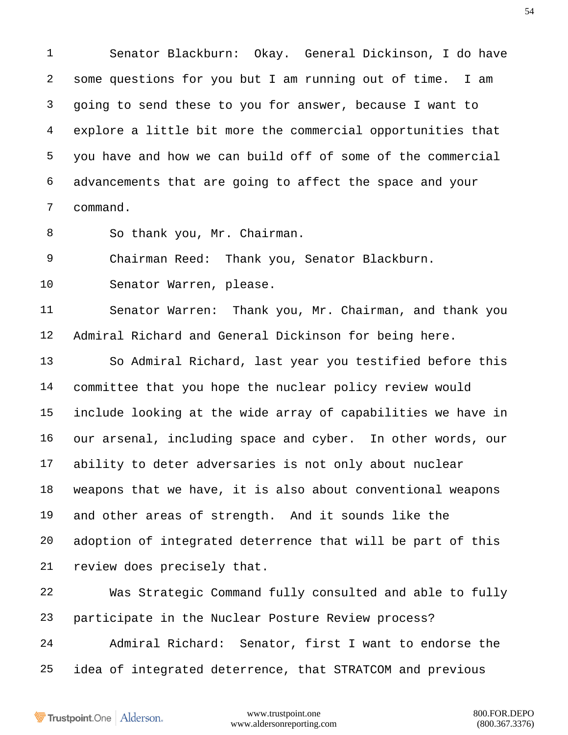Senator Blackburn: Okay. General Dickinson, I do have some questions for you but I am running out of time. I am going to send these to you for answer, because I want to explore a little bit more the commercial opportunities that you have and how we can build off of some of the commercial advancements that are going to affect the space and your command.

So thank you, Mr. Chairman.

Chairman Reed: Thank you, Senator Blackburn.

Senator Warren, please.

 Senator Warren: Thank you, Mr. Chairman, and thank you Admiral Richard and General Dickinson for being here.

 So Admiral Richard, last year you testified before this committee that you hope the nuclear policy review would include looking at the wide array of capabilities we have in our arsenal, including space and cyber. In other words, our ability to deter adversaries is not only about nuclear weapons that we have, it is also about conventional weapons and other areas of strength. And it sounds like the adoption of integrated deterrence that will be part of this review does precisely that.

 Was Strategic Command fully consulted and able to fully participate in the Nuclear Posture Review process? Admiral Richard: Senator, first I want to endorse the idea of integrated deterrence, that STRATCOM and previous

Trustpoint.One Alderson.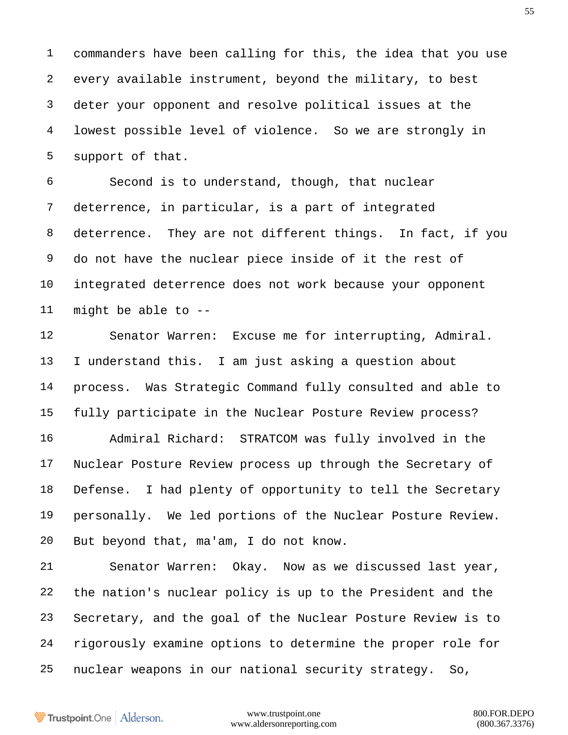commanders have been calling for this, the idea that you use every available instrument, beyond the military, to best deter your opponent and resolve political issues at the lowest possible level of violence. So we are strongly in support of that.

 Second is to understand, though, that nuclear deterrence, in particular, is a part of integrated deterrence. They are not different things. In fact, if you do not have the nuclear piece inside of it the rest of integrated deterrence does not work because your opponent might be able to --

 Senator Warren: Excuse me for interrupting, Admiral. I understand this. I am just asking a question about process. Was Strategic Command fully consulted and able to fully participate in the Nuclear Posture Review process? Admiral Richard: STRATCOM was fully involved in the Nuclear Posture Review process up through the Secretary of Defense. I had plenty of opportunity to tell the Secretary personally. We led portions of the Nuclear Posture Review. But beyond that, ma'am, I do not know.

 Senator Warren: Okay. Now as we discussed last year, the nation's nuclear policy is up to the President and the Secretary, and the goal of the Nuclear Posture Review is to rigorously examine options to determine the proper role for nuclear weapons in our national security strategy. So,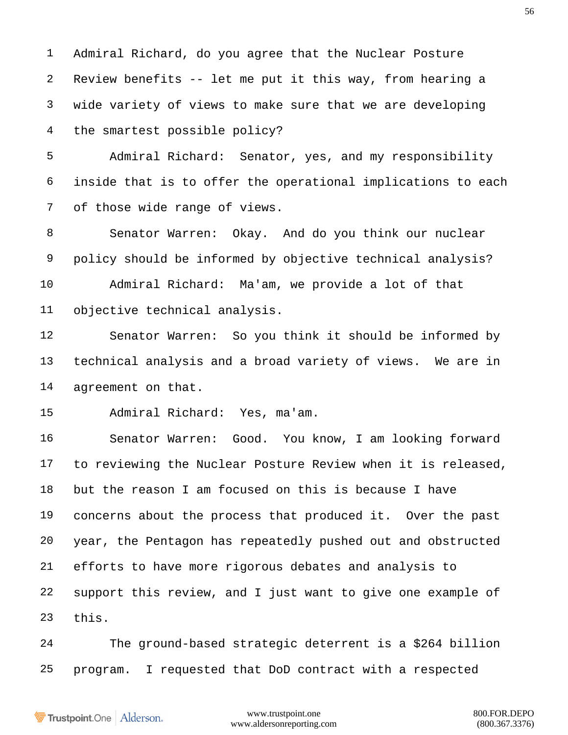Admiral Richard, do you agree that the Nuclear Posture Review benefits -- let me put it this way, from hearing a wide variety of views to make sure that we are developing the smartest possible policy?

 Admiral Richard: Senator, yes, and my responsibility inside that is to offer the operational implications to each of those wide range of views.

 Senator Warren: Okay. And do you think our nuclear policy should be informed by objective technical analysis? Admiral Richard: Ma'am, we provide a lot of that

objective technical analysis.

 Senator Warren: So you think it should be informed by technical analysis and a broad variety of views. We are in agreement on that.

Admiral Richard: Yes, ma'am.

 Senator Warren: Good. You know, I am looking forward to reviewing the Nuclear Posture Review when it is released, but the reason I am focused on this is because I have concerns about the process that produced it. Over the past year, the Pentagon has repeatedly pushed out and obstructed efforts to have more rigorous debates and analysis to support this review, and I just want to give one example of this.

 The ground-based strategic deterrent is a \$264 billion program. I requested that DoD contract with a respected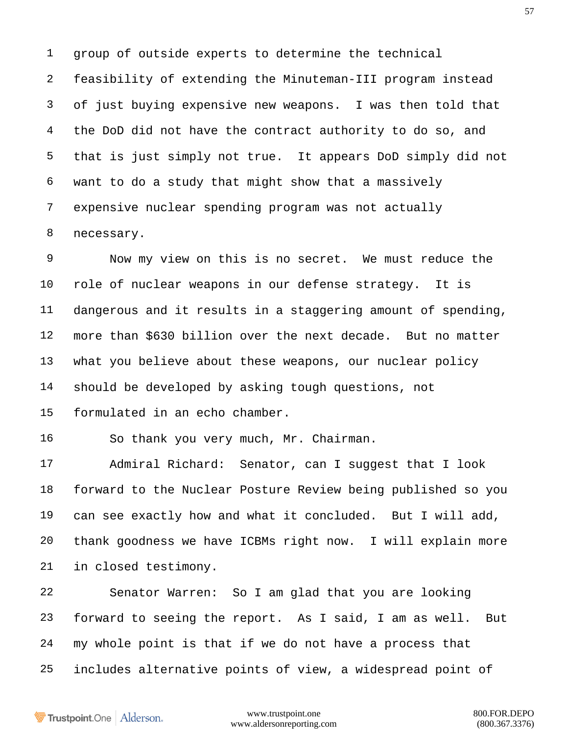group of outside experts to determine the technical feasibility of extending the Minuteman-III program instead of just buying expensive new weapons. I was then told that the DoD did not have the contract authority to do so, and that is just simply not true. It appears DoD simply did not want to do a study that might show that a massively expensive nuclear spending program was not actually necessary.

 Now my view on this is no secret. We must reduce the role of nuclear weapons in our defense strategy. It is dangerous and it results in a staggering amount of spending, more than \$630 billion over the next decade. But no matter what you believe about these weapons, our nuclear policy should be developed by asking tough questions, not formulated in an echo chamber.

So thank you very much, Mr. Chairman.

 Admiral Richard: Senator, can I suggest that I look forward to the Nuclear Posture Review being published so you can see exactly how and what it concluded. But I will add, thank goodness we have ICBMs right now. I will explain more in closed testimony.

 Senator Warren: So I am glad that you are looking forward to seeing the report. As I said, I am as well. But my whole point is that if we do not have a process that includes alternative points of view, a widespread point of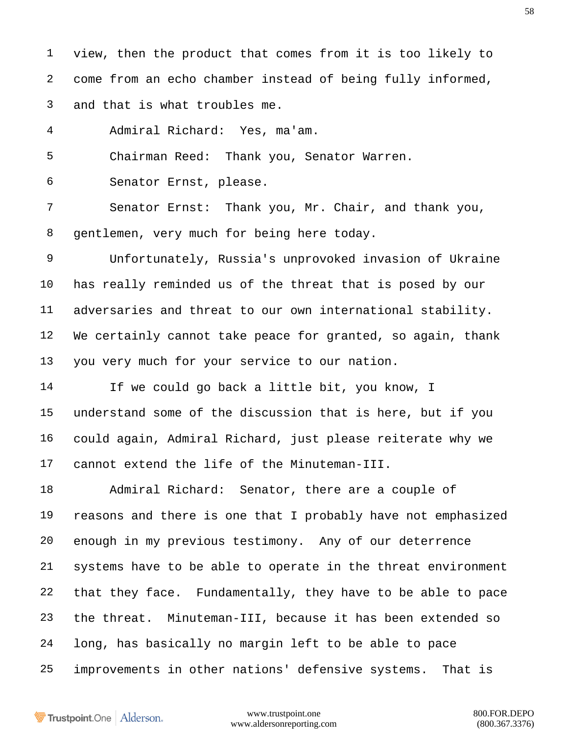view, then the product that comes from it is too likely to come from an echo chamber instead of being fully informed, and that is what troubles me.

Admiral Richard: Yes, ma'am.

Chairman Reed: Thank you, Senator Warren.

Senator Ernst, please.

 Senator Ernst: Thank you, Mr. Chair, and thank you, gentlemen, very much for being here today.

 Unfortunately, Russia's unprovoked invasion of Ukraine has really reminded us of the threat that is posed by our adversaries and threat to our own international stability. We certainly cannot take peace for granted, so again, thank you very much for your service to our nation.

 If we could go back a little bit, you know, I understand some of the discussion that is here, but if you could again, Admiral Richard, just please reiterate why we cannot extend the life of the Minuteman-III.

 Admiral Richard: Senator, there are a couple of reasons and there is one that I probably have not emphasized enough in my previous testimony. Any of our deterrence systems have to be able to operate in the threat environment that they face. Fundamentally, they have to be able to pace the threat. Minuteman-III, because it has been extended so long, has basically no margin left to be able to pace improvements in other nations' defensive systems. That is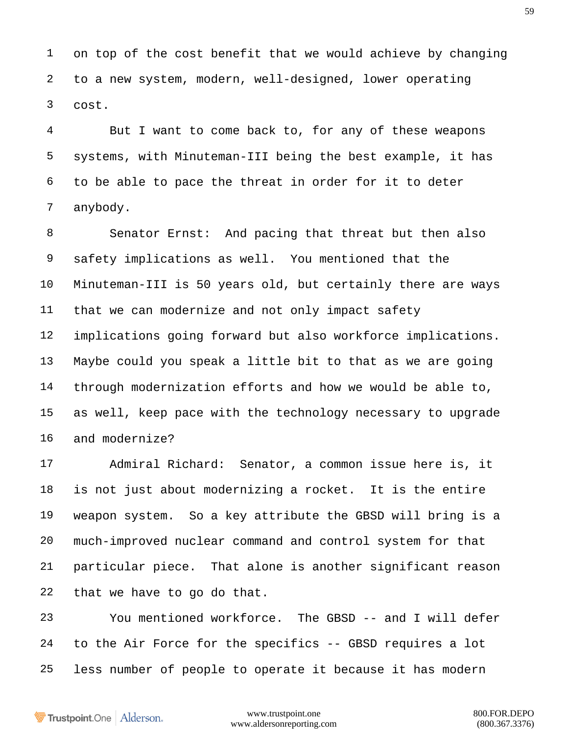on top of the cost benefit that we would achieve by changing to a new system, modern, well-designed, lower operating cost.

 But I want to come back to, for any of these weapons systems, with Minuteman-III being the best example, it has to be able to pace the threat in order for it to deter anybody.

 Senator Ernst: And pacing that threat but then also safety implications as well. You mentioned that the Minuteman-III is 50 years old, but certainly there are ways that we can modernize and not only impact safety implications going forward but also workforce implications. Maybe could you speak a little bit to that as we are going through modernization efforts and how we would be able to, as well, keep pace with the technology necessary to upgrade and modernize?

 Admiral Richard: Senator, a common issue here is, it is not just about modernizing a rocket. It is the entire weapon system. So a key attribute the GBSD will bring is a much-improved nuclear command and control system for that particular piece. That alone is another significant reason that we have to go do that.

 You mentioned workforce. The GBSD -- and I will defer to the Air Force for the specifics -- GBSD requires a lot less number of people to operate it because it has modern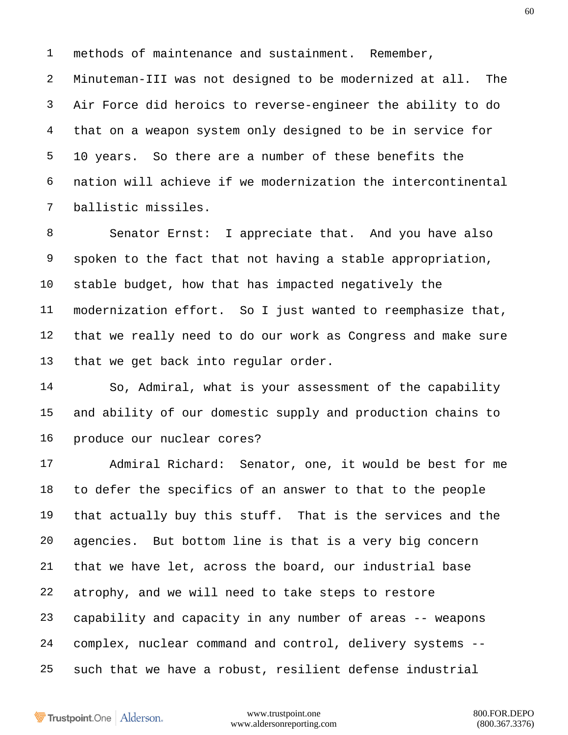methods of maintenance and sustainment. Remember,

 Minuteman-III was not designed to be modernized at all. The Air Force did heroics to reverse-engineer the ability to do that on a weapon system only designed to be in service for 10 years. So there are a number of these benefits the nation will achieve if we modernization the intercontinental ballistic missiles.

 Senator Ernst: I appreciate that. And you have also spoken to the fact that not having a stable appropriation, stable budget, how that has impacted negatively the modernization effort. So I just wanted to reemphasize that, that we really need to do our work as Congress and make sure that we get back into regular order.

 So, Admiral, what is your assessment of the capability and ability of our domestic supply and production chains to produce our nuclear cores?

 Admiral Richard: Senator, one, it would be best for me to defer the specifics of an answer to that to the people that actually buy this stuff. That is the services and the agencies. But bottom line is that is a very big concern that we have let, across the board, our industrial base atrophy, and we will need to take steps to restore capability and capacity in any number of areas -- weapons complex, nuclear command and control, delivery systems -- such that we have a robust, resilient defense industrial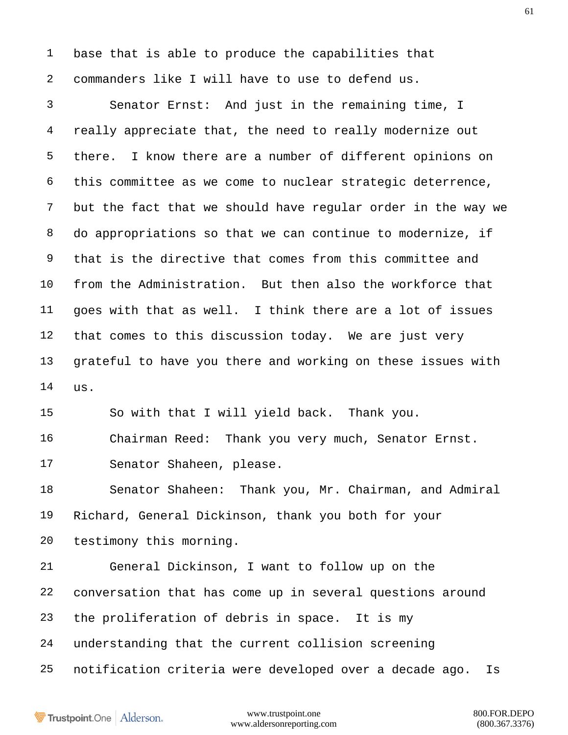base that is able to produce the capabilities that commanders like I will have to use to defend us.

 Senator Ernst: And just in the remaining time, I really appreciate that, the need to really modernize out there. I know there are a number of different opinions on this committee as we come to nuclear strategic deterrence, but the fact that we should have regular order in the way we do appropriations so that we can continue to modernize, if that is the directive that comes from this committee and from the Administration. But then also the workforce that goes with that as well. I think there are a lot of issues that comes to this discussion today. We are just very grateful to have you there and working on these issues with us.

So with that I will yield back. Thank you.

 Chairman Reed: Thank you very much, Senator Ernst. Senator Shaheen, please.

 Senator Shaheen: Thank you, Mr. Chairman, and Admiral Richard, General Dickinson, thank you both for your testimony this morning.

 General Dickinson, I want to follow up on the conversation that has come up in several questions around the proliferation of debris in space. It is my understanding that the current collision screening notification criteria were developed over a decade ago. Is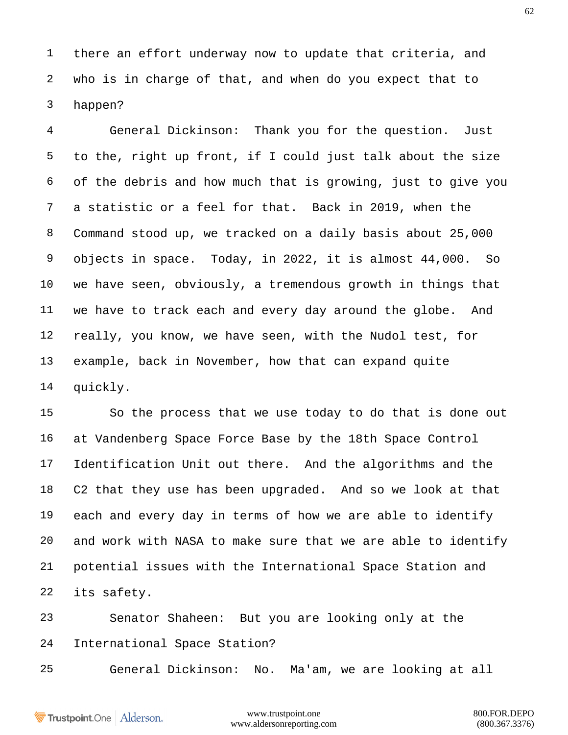there an effort underway now to update that criteria, and who is in charge of that, and when do you expect that to happen?

 General Dickinson: Thank you for the question. Just to the, right up front, if I could just talk about the size of the debris and how much that is growing, just to give you a statistic or a feel for that. Back in 2019, when the Command stood up, we tracked on a daily basis about 25,000 objects in space. Today, in 2022, it is almost 44,000. So we have seen, obviously, a tremendous growth in things that we have to track each and every day around the globe. And really, you know, we have seen, with the Nudol test, for example, back in November, how that can expand quite quickly.

 So the process that we use today to do that is done out at Vandenberg Space Force Base by the 18th Space Control Identification Unit out there. And the algorithms and the C2 that they use has been upgraded. And so we look at that each and every day in terms of how we are able to identify and work with NASA to make sure that we are able to identify potential issues with the International Space Station and its safety.

 Senator Shaheen: But you are looking only at the International Space Station?

General Dickinson: No. Ma'am, we are looking at all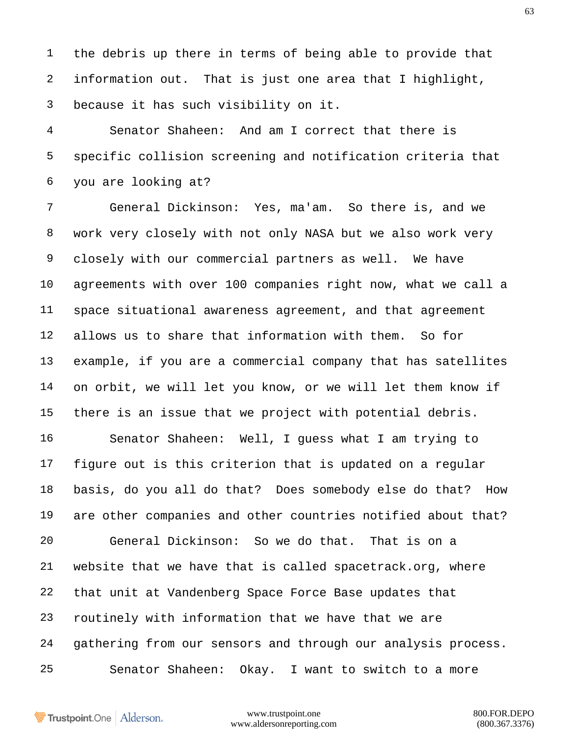the debris up there in terms of being able to provide that information out. That is just one area that I highlight, because it has such visibility on it.

 Senator Shaheen: And am I correct that there is specific collision screening and notification criteria that you are looking at?

 General Dickinson: Yes, ma'am. So there is, and we work very closely with not only NASA but we also work very closely with our commercial partners as well. We have agreements with over 100 companies right now, what we call a space situational awareness agreement, and that agreement allows us to share that information with them. So for example, if you are a commercial company that has satellites on orbit, we will let you know, or we will let them know if there is an issue that we project with potential debris.

 Senator Shaheen: Well, I guess what I am trying to figure out is this criterion that is updated on a regular basis, do you all do that? Does somebody else do that? How are other companies and other countries notified about that? General Dickinson: So we do that. That is on a website that we have that is called spacetrack.org, where that unit at Vandenberg Space Force Base updates that routinely with information that we have that we are gathering from our sensors and through our analysis process. Senator Shaheen: Okay. I want to switch to a more

Trustpoint.One Alderson.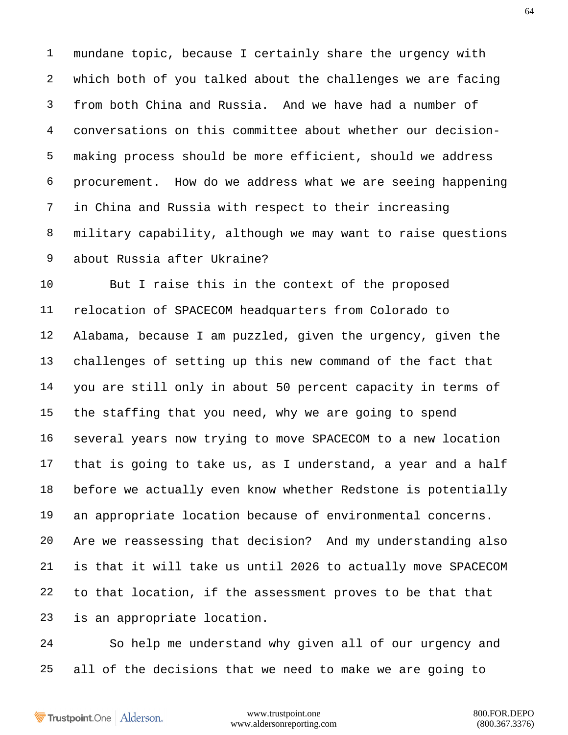mundane topic, because I certainly share the urgency with which both of you talked about the challenges we are facing from both China and Russia. And we have had a number of conversations on this committee about whether our decision- making process should be more efficient, should we address procurement. How do we address what we are seeing happening in China and Russia with respect to their increasing military capability, although we may want to raise questions about Russia after Ukraine?

 But I raise this in the context of the proposed relocation of SPACECOM headquarters from Colorado to Alabama, because I am puzzled, given the urgency, given the challenges of setting up this new command of the fact that you are still only in about 50 percent capacity in terms of the staffing that you need, why we are going to spend several years now trying to move SPACECOM to a new location that is going to take us, as I understand, a year and a half before we actually even know whether Redstone is potentially an appropriate location because of environmental concerns. Are we reassessing that decision? And my understanding also is that it will take us until 2026 to actually move SPACECOM to that location, if the assessment proves to be that that is an appropriate location.

 So help me understand why given all of our urgency and all of the decisions that we need to make we are going to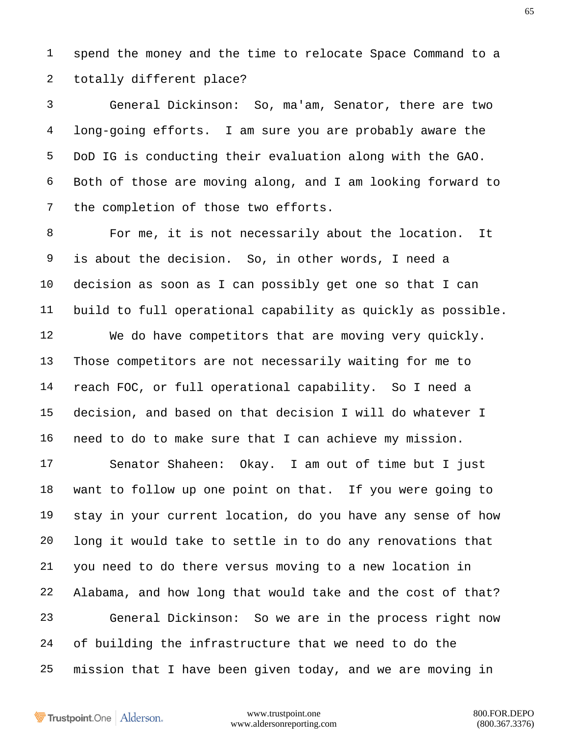spend the money and the time to relocate Space Command to a totally different place?

 General Dickinson: So, ma'am, Senator, there are two long-going efforts. I am sure you are probably aware the DoD IG is conducting their evaluation along with the GAO. Both of those are moving along, and I am looking forward to the completion of those two efforts.

 For me, it is not necessarily about the location. It is about the decision. So, in other words, I need a decision as soon as I can possibly get one so that I can build to full operational capability as quickly as possible. We do have competitors that are moving very quickly. Those competitors are not necessarily waiting for me to reach FOC, or full operational capability. So I need a decision, and based on that decision I will do whatever I need to do to make sure that I can achieve my mission.

 Senator Shaheen: Okay. I am out of time but I just want to follow up one point on that. If you were going to stay in your current location, do you have any sense of how long it would take to settle in to do any renovations that you need to do there versus moving to a new location in Alabama, and how long that would take and the cost of that? General Dickinson: So we are in the process right now of building the infrastructure that we need to do the mission that I have been given today, and we are moving in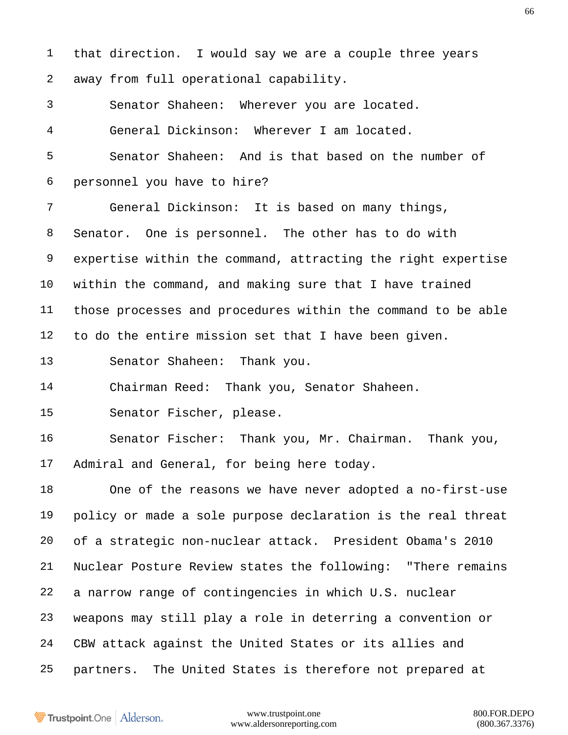that direction. I would say we are a couple three years away from full operational capability. Senator Shaheen: Wherever you are located. General Dickinson: Wherever I am located. Senator Shaheen: And is that based on the number of personnel you have to hire? General Dickinson: It is based on many things, Senator. One is personnel. The other has to do with expertise within the command, attracting the right expertise within the command, and making sure that I have trained those processes and procedures within the command to be able to do the entire mission set that I have been given. Senator Shaheen: Thank you. Chairman Reed: Thank you, Senator Shaheen. Senator Fischer, please. Senator Fischer: Thank you, Mr. Chairman. Thank you, Admiral and General, for being here today. One of the reasons we have never adopted a no-first-use policy or made a sole purpose declaration is the real threat of a strategic non-nuclear attack. President Obama's 2010 Nuclear Posture Review states the following: "There remains a narrow range of contingencies in which U.S. nuclear weapons may still play a role in deterring a convention or CBW attack against the United States or its allies and partners. The United States is therefore not prepared at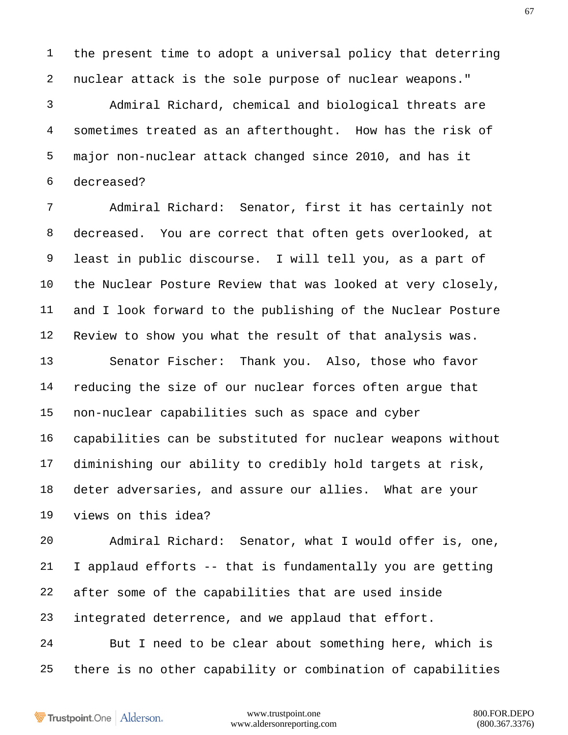the present time to adopt a universal policy that deterring nuclear attack is the sole purpose of nuclear weapons."

 Admiral Richard, chemical and biological threats are sometimes treated as an afterthought. How has the risk of major non-nuclear attack changed since 2010, and has it decreased?

 Admiral Richard: Senator, first it has certainly not decreased. You are correct that often gets overlooked, at least in public discourse. I will tell you, as a part of the Nuclear Posture Review that was looked at very closely, and I look forward to the publishing of the Nuclear Posture Review to show you what the result of that analysis was.

 Senator Fischer: Thank you. Also, those who favor reducing the size of our nuclear forces often argue that non-nuclear capabilities such as space and cyber capabilities can be substituted for nuclear weapons without diminishing our ability to credibly hold targets at risk, deter adversaries, and assure our allies. What are your views on this idea?

 Admiral Richard: Senator, what I would offer is, one, I applaud efforts -- that is fundamentally you are getting after some of the capabilities that are used inside integrated deterrence, and we applaud that effort. But I need to be clear about something here, which is

there is no other capability or combination of capabilities

Trustpoint.One Alderson.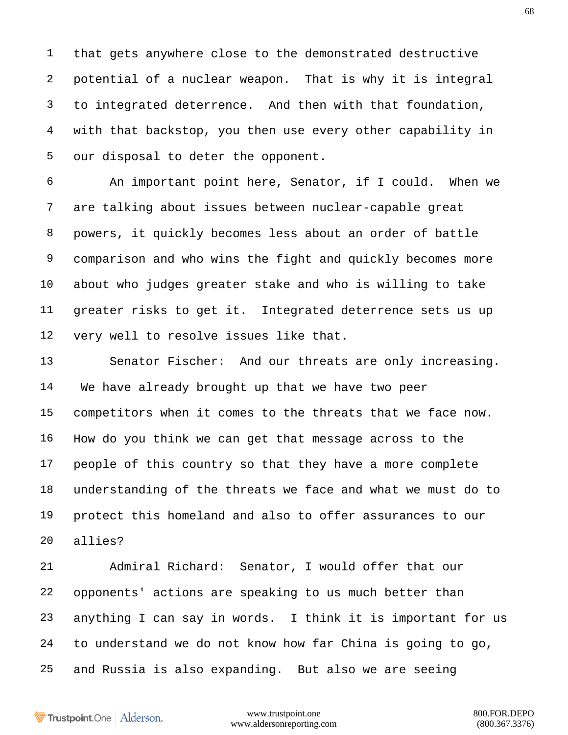that gets anywhere close to the demonstrated destructive potential of a nuclear weapon. That is why it is integral to integrated deterrence. And then with that foundation, with that backstop, you then use every other capability in our disposal to deter the opponent.

 An important point here, Senator, if I could. When we are talking about issues between nuclear-capable great powers, it quickly becomes less about an order of battle comparison and who wins the fight and quickly becomes more about who judges greater stake and who is willing to take greater risks to get it. Integrated deterrence sets us up very well to resolve issues like that.

 Senator Fischer: And our threats are only increasing. We have already brought up that we have two peer competitors when it comes to the threats that we face now. How do you think we can get that message across to the people of this country so that they have a more complete understanding of the threats we face and what we must do to protect this homeland and also to offer assurances to our allies?

 Admiral Richard: Senator, I would offer that our opponents' actions are speaking to us much better than anything I can say in words. I think it is important for us to understand we do not know how far China is going to go, and Russia is also expanding. But also we are seeing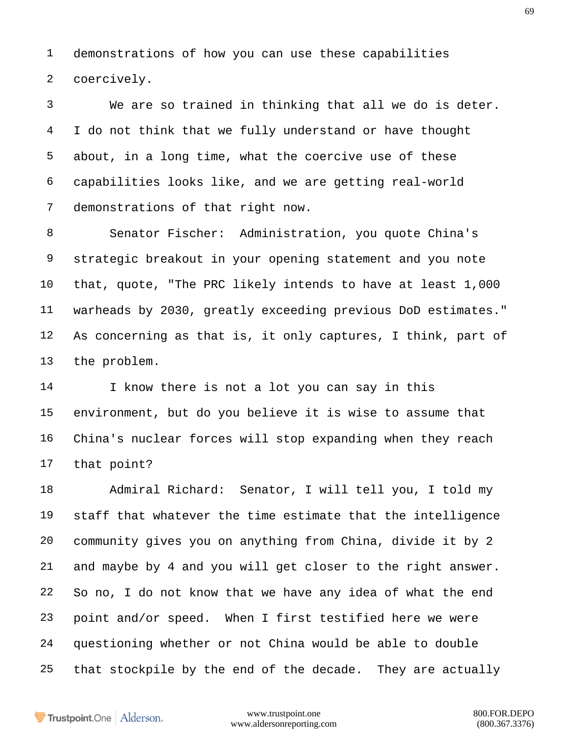demonstrations of how you can use these capabilities coercively.

 We are so trained in thinking that all we do is deter. I do not think that we fully understand or have thought about, in a long time, what the coercive use of these capabilities looks like, and we are getting real-world demonstrations of that right now.

 Senator Fischer: Administration, you quote China's strategic breakout in your opening statement and you note that, quote, "The PRC likely intends to have at least 1,000 warheads by 2030, greatly exceeding previous DoD estimates." As concerning as that is, it only captures, I think, part of the problem.

 I know there is not a lot you can say in this environment, but do you believe it is wise to assume that China's nuclear forces will stop expanding when they reach that point?

 Admiral Richard: Senator, I will tell you, I told my staff that whatever the time estimate that the intelligence community gives you on anything from China, divide it by 2 and maybe by 4 and you will get closer to the right answer. So no, I do not know that we have any idea of what the end point and/or speed. When I first testified here we were questioning whether or not China would be able to double that stockpile by the end of the decade. They are actually

Trustpoint.One Alderson.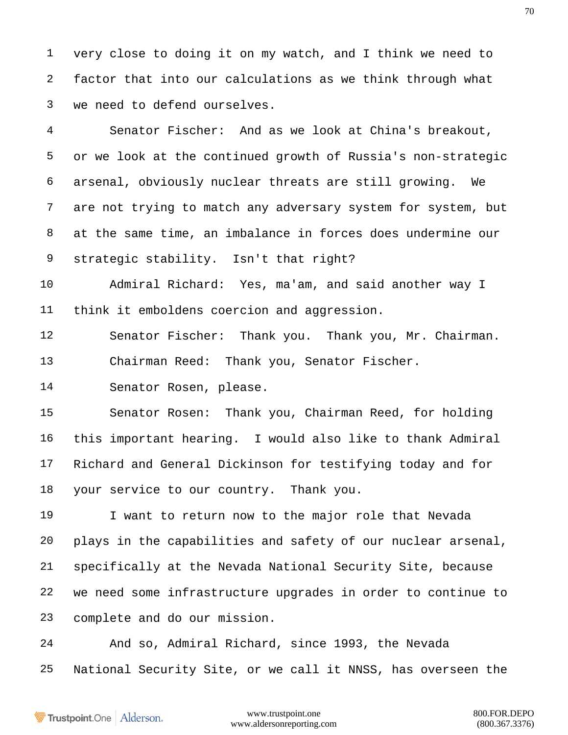very close to doing it on my watch, and I think we need to factor that into our calculations as we think through what we need to defend ourselves.

 Senator Fischer: And as we look at China's breakout, or we look at the continued growth of Russia's non-strategic arsenal, obviously nuclear threats are still growing. We are not trying to match any adversary system for system, but at the same time, an imbalance in forces does undermine our strategic stability. Isn't that right?

 Admiral Richard: Yes, ma'am, and said another way I think it emboldens coercion and aggression.

 Senator Fischer: Thank you. Thank you, Mr. Chairman. Chairman Reed: Thank you, Senator Fischer.

Senator Rosen, please.

 Senator Rosen: Thank you, Chairman Reed, for holding this important hearing. I would also like to thank Admiral Richard and General Dickinson for testifying today and for your service to our country. Thank you.

 I want to return now to the major role that Nevada plays in the capabilities and safety of our nuclear arsenal, specifically at the Nevada National Security Site, because we need some infrastructure upgrades in order to continue to complete and do our mission.

 And so, Admiral Richard, since 1993, the Nevada National Security Site, or we call it NNSS, has overseen the

Trustpoint.One Alderson.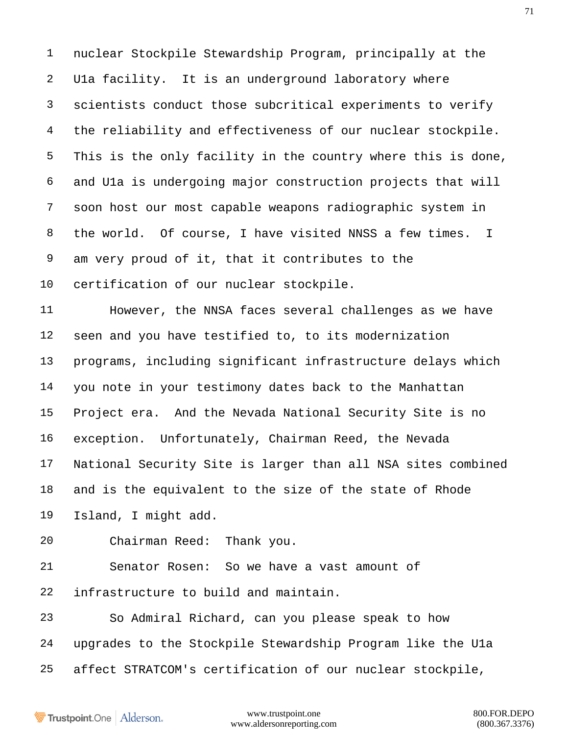nuclear Stockpile Stewardship Program, principally at the U1a facility. It is an underground laboratory where scientists conduct those subcritical experiments to verify the reliability and effectiveness of our nuclear stockpile. This is the only facility in the country where this is done, and U1a is undergoing major construction projects that will soon host our most capable weapons radiographic system in the world. Of course, I have visited NNSS a few times. I am very proud of it, that it contributes to the certification of our nuclear stockpile.

 However, the NNSA faces several challenges as we have seen and you have testified to, to its modernization programs, including significant infrastructure delays which you note in your testimony dates back to the Manhattan Project era. And the Nevada National Security Site is no exception. Unfortunately, Chairman Reed, the Nevada National Security Site is larger than all NSA sites combined and is the equivalent to the size of the state of Rhode Island, I might add.

Chairman Reed: Thank you.

 Senator Rosen: So we have a vast amount of infrastructure to build and maintain.

 So Admiral Richard, can you please speak to how upgrades to the Stockpile Stewardship Program like the U1a affect STRATCOM's certification of our nuclear stockpile,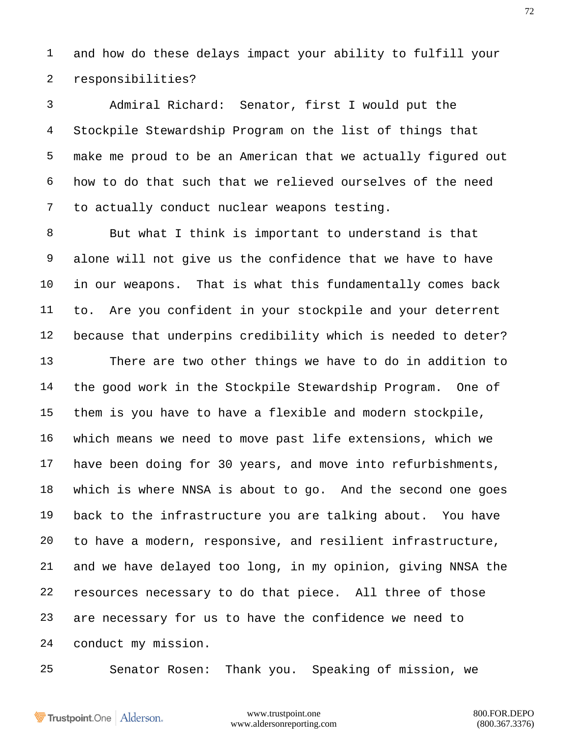and how do these delays impact your ability to fulfill your responsibilities?

 Admiral Richard: Senator, first I would put the Stockpile Stewardship Program on the list of things that make me proud to be an American that we actually figured out how to do that such that we relieved ourselves of the need to actually conduct nuclear weapons testing.

 But what I think is important to understand is that alone will not give us the confidence that we have to have in our weapons. That is what this fundamentally comes back to. Are you confident in your stockpile and your deterrent because that underpins credibility which is needed to deter?

 There are two other things we have to do in addition to the good work in the Stockpile Stewardship Program. One of them is you have to have a flexible and modern stockpile, which means we need to move past life extensions, which we have been doing for 30 years, and move into refurbishments, which is where NNSA is about to go. And the second one goes back to the infrastructure you are talking about. You have to have a modern, responsive, and resilient infrastructure, and we have delayed too long, in my opinion, giving NNSA the resources necessary to do that piece. All three of those are necessary for us to have the confidence we need to conduct my mission.

Senator Rosen: Thank you. Speaking of mission, we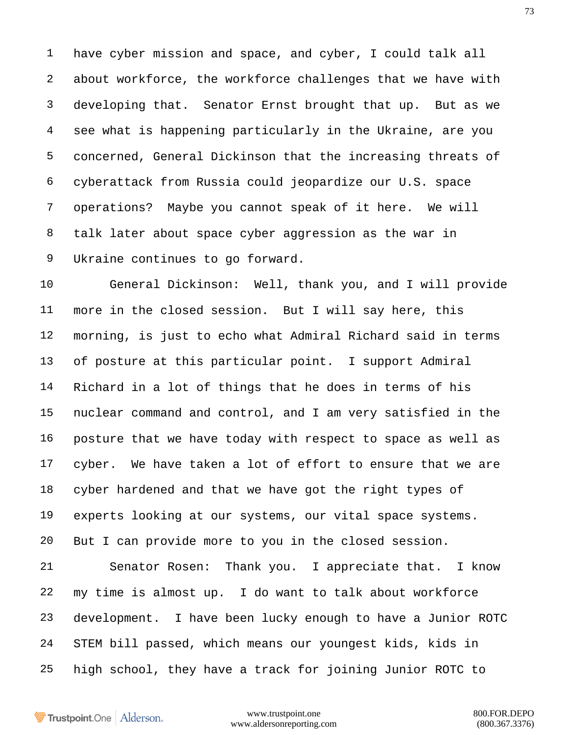have cyber mission and space, and cyber, I could talk all about workforce, the workforce challenges that we have with developing that. Senator Ernst brought that up. But as we see what is happening particularly in the Ukraine, are you concerned, General Dickinson that the increasing threats of cyberattack from Russia could jeopardize our U.S. space operations? Maybe you cannot speak of it here. We will talk later about space cyber aggression as the war in Ukraine continues to go forward.

 General Dickinson: Well, thank you, and I will provide more in the closed session. But I will say here, this morning, is just to echo what Admiral Richard said in terms of posture at this particular point. I support Admiral Richard in a lot of things that he does in terms of his nuclear command and control, and I am very satisfied in the posture that we have today with respect to space as well as cyber. We have taken a lot of effort to ensure that we are cyber hardened and that we have got the right types of experts looking at our systems, our vital space systems. But I can provide more to you in the closed session. Senator Rosen: Thank you. I appreciate that. I know my time is almost up. I do want to talk about workforce development. I have been lucky enough to have a Junior ROTC STEM bill passed, which means our youngest kids, kids in

high school, they have a track for joining Junior ROTC to

Trustpoint.One Alderson.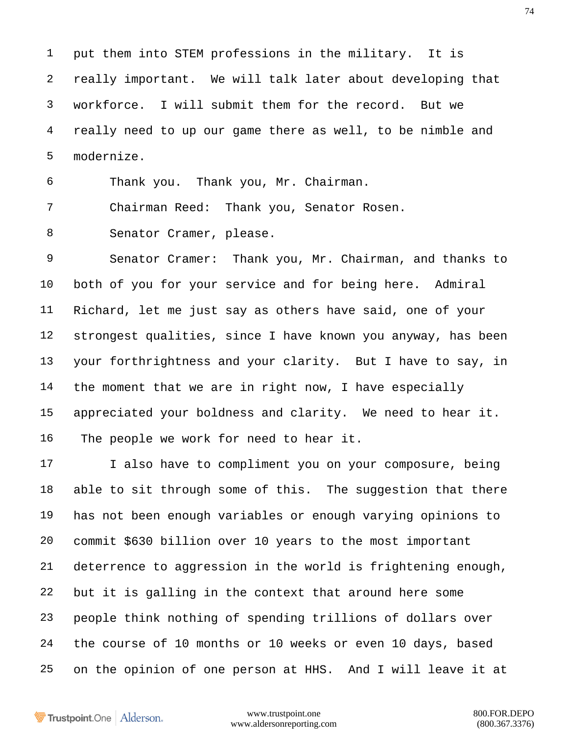put them into STEM professions in the military. It is really important. We will talk later about developing that workforce. I will submit them for the record. But we really need to up our game there as well, to be nimble and modernize.

Thank you. Thank you, Mr. Chairman.

Chairman Reed: Thank you, Senator Rosen.

Senator Cramer, please.

 Senator Cramer: Thank you, Mr. Chairman, and thanks to both of you for your service and for being here. Admiral Richard, let me just say as others have said, one of your strongest qualities, since I have known you anyway, has been your forthrightness and your clarity. But I have to say, in the moment that we are in right now, I have especially appreciated your boldness and clarity. We need to hear it. The people we work for need to hear it.

 I also have to compliment you on your composure, being able to sit through some of this. The suggestion that there has not been enough variables or enough varying opinions to commit \$630 billion over 10 years to the most important deterrence to aggression in the world is frightening enough, but it is galling in the context that around here some people think nothing of spending trillions of dollars over the course of 10 months or 10 weeks or even 10 days, based on the opinion of one person at HHS. And I will leave it at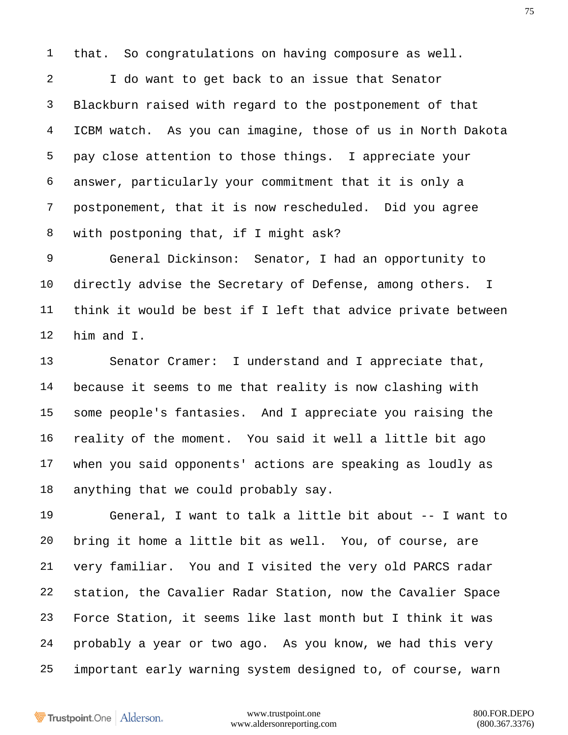that. So congratulations on having composure as well.

 I do want to get back to an issue that Senator Blackburn raised with regard to the postponement of that ICBM watch. As you can imagine, those of us in North Dakota pay close attention to those things. I appreciate your answer, particularly your commitment that it is only a postponement, that it is now rescheduled. Did you agree with postponing that, if I might ask?

 General Dickinson: Senator, I had an opportunity to directly advise the Secretary of Defense, among others. I think it would be best if I left that advice private between him and I.

 Senator Cramer: I understand and I appreciate that, because it seems to me that reality is now clashing with some people's fantasies. And I appreciate you raising the reality of the moment. You said it well a little bit ago when you said opponents' actions are speaking as loudly as anything that we could probably say.

 General, I want to talk a little bit about -- I want to bring it home a little bit as well. You, of course, are very familiar. You and I visited the very old PARCS radar station, the Cavalier Radar Station, now the Cavalier Space Force Station, it seems like last month but I think it was probably a year or two ago. As you know, we had this very important early warning system designed to, of course, warn

Trustpoint.One Alderson.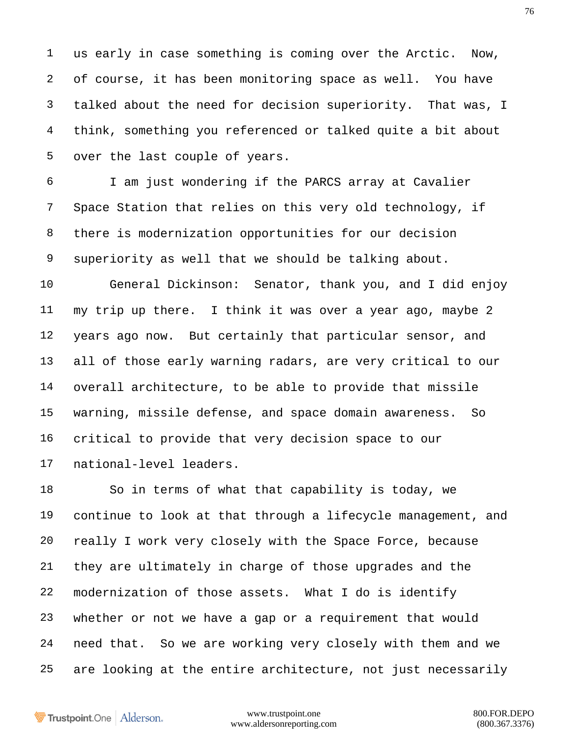us early in case something is coming over the Arctic. Now, of course, it has been monitoring space as well. You have talked about the need for decision superiority. That was, I think, something you referenced or talked quite a bit about over the last couple of years.

 I am just wondering if the PARCS array at Cavalier Space Station that relies on this very old technology, if there is modernization opportunities for our decision superiority as well that we should be talking about.

 General Dickinson: Senator, thank you, and I did enjoy my trip up there. I think it was over a year ago, maybe 2 years ago now. But certainly that particular sensor, and all of those early warning radars, are very critical to our overall architecture, to be able to provide that missile warning, missile defense, and space domain awareness. So critical to provide that very decision space to our national-level leaders.

 So in terms of what that capability is today, we continue to look at that through a lifecycle management, and really I work very closely with the Space Force, because they are ultimately in charge of those upgrades and the modernization of those assets. What I do is identify whether or not we have a gap or a requirement that would need that. So we are working very closely with them and we are looking at the entire architecture, not just necessarily

Trustpoint.One Alderson.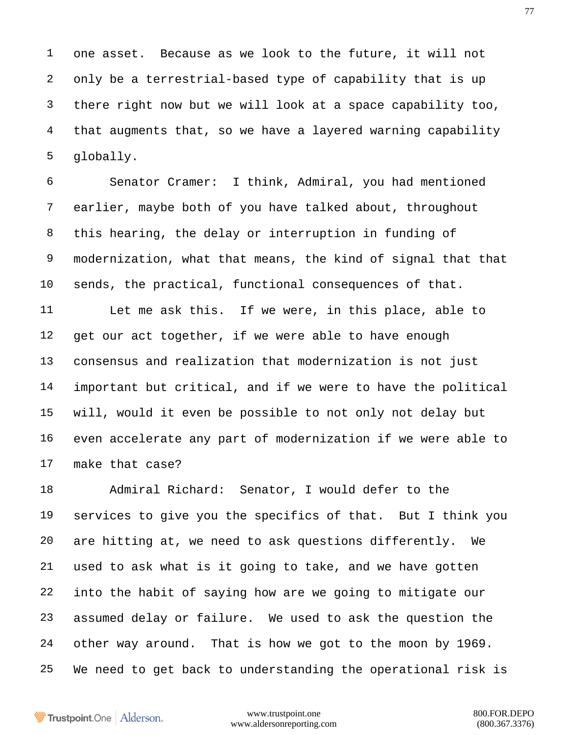one asset. Because as we look to the future, it will not only be a terrestrial-based type of capability that is up there right now but we will look at a space capability too, that augments that, so we have a layered warning capability globally.

 Senator Cramer: I think, Admiral, you had mentioned earlier, maybe both of you have talked about, throughout this hearing, the delay or interruption in funding of modernization, what that means, the kind of signal that that sends, the practical, functional consequences of that. Let me ask this. If we were, in this place, able to 12 get our act together, if we were able to have enough consensus and realization that modernization is not just important but critical, and if we were to have the political will, would it even be possible to not only not delay but even accelerate any part of modernization if we were able to make that case?

 Admiral Richard: Senator, I would defer to the services to give you the specifics of that. But I think you are hitting at, we need to ask questions differently. We used to ask what is it going to take, and we have gotten into the habit of saying how are we going to mitigate our assumed delay or failure. We used to ask the question the other way around. That is how we got to the moon by 1969. We need to get back to understanding the operational risk is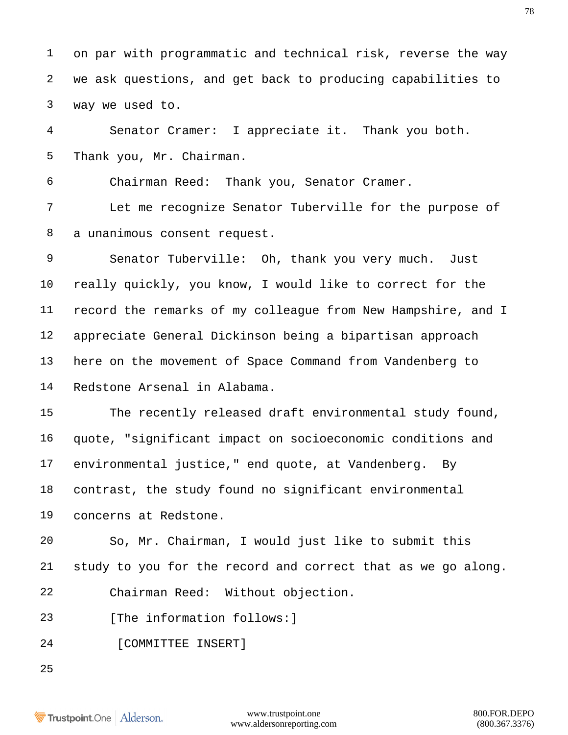on par with programmatic and technical risk, reverse the way we ask questions, and get back to producing capabilities to way we used to.

 Senator Cramer: I appreciate it. Thank you both. Thank you, Mr. Chairman.

Chairman Reed: Thank you, Senator Cramer.

 Let me recognize Senator Tuberville for the purpose of a unanimous consent request.

 Senator Tuberville: Oh, thank you very much. Just really quickly, you know, I would like to correct for the record the remarks of my colleague from New Hampshire, and I appreciate General Dickinson being a bipartisan approach here on the movement of Space Command from Vandenberg to Redstone Arsenal in Alabama.

 The recently released draft environmental study found, quote, "significant impact on socioeconomic conditions and environmental justice," end quote, at Vandenberg. By contrast, the study found no significant environmental concerns at Redstone.

 So, Mr. Chairman, I would just like to submit this study to you for the record and correct that as we go along. Chairman Reed: Without objection.

23 [The information follows: ]

24 [COMMITTEE INSERT]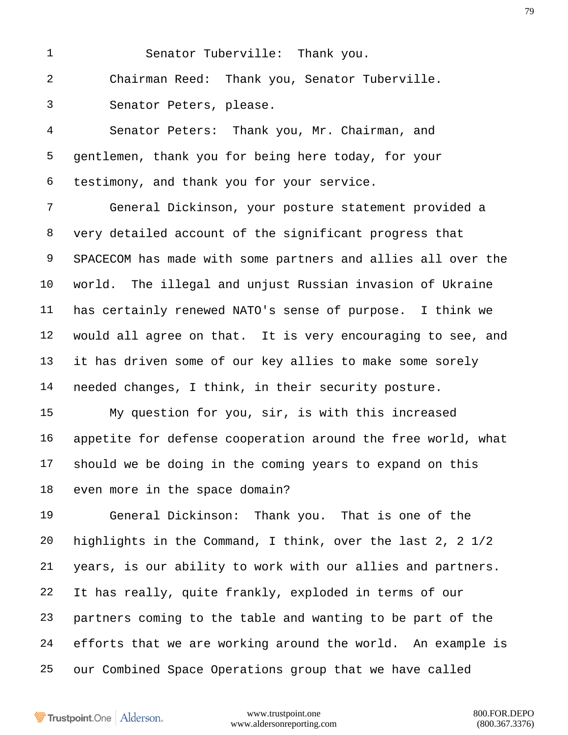Senator Tuberville: Thank you. Chairman Reed: Thank you, Senator Tuberville. Senator Peters, please.

 Senator Peters: Thank you, Mr. Chairman, and gentlemen, thank you for being here today, for your testimony, and thank you for your service.

 General Dickinson, your posture statement provided a very detailed account of the significant progress that SPACECOM has made with some partners and allies all over the world. The illegal and unjust Russian invasion of Ukraine has certainly renewed NATO's sense of purpose. I think we would all agree on that. It is very encouraging to see, and it has driven some of our key allies to make some sorely needed changes, I think, in their security posture.

 My question for you, sir, is with this increased appetite for defense cooperation around the free world, what should we be doing in the coming years to expand on this even more in the space domain?

 General Dickinson: Thank you. That is one of the highlights in the Command, I think, over the last 2, 2 1/2 years, is our ability to work with our allies and partners. It has really, quite frankly, exploded in terms of our partners coming to the table and wanting to be part of the efforts that we are working around the world. An example is our Combined Space Operations group that we have called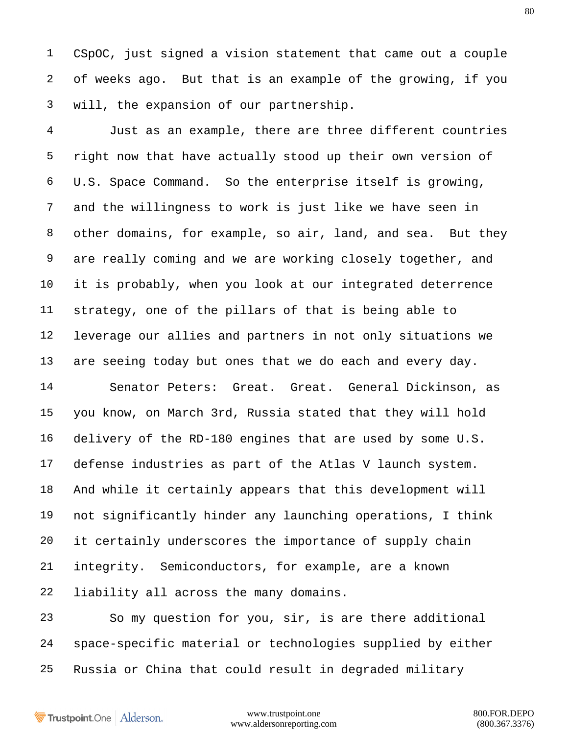CSpOC, just signed a vision statement that came out a couple of weeks ago. But that is an example of the growing, if you will, the expansion of our partnership.

 Just as an example, there are three different countries right now that have actually stood up their own version of U.S. Space Command. So the enterprise itself is growing, and the willingness to work is just like we have seen in other domains, for example, so air, land, and sea. But they are really coming and we are working closely together, and it is probably, when you look at our integrated deterrence strategy, one of the pillars of that is being able to leverage our allies and partners in not only situations we are seeing today but ones that we do each and every day.

 Senator Peters: Great. Great. General Dickinson, as you know, on March 3rd, Russia stated that they will hold delivery of the RD-180 engines that are used by some U.S. defense industries as part of the Atlas V launch system. And while it certainly appears that this development will not significantly hinder any launching operations, I think it certainly underscores the importance of supply chain integrity. Semiconductors, for example, are a known liability all across the many domains.

 So my question for you, sir, is are there additional space-specific material or technologies supplied by either Russia or China that could result in degraded military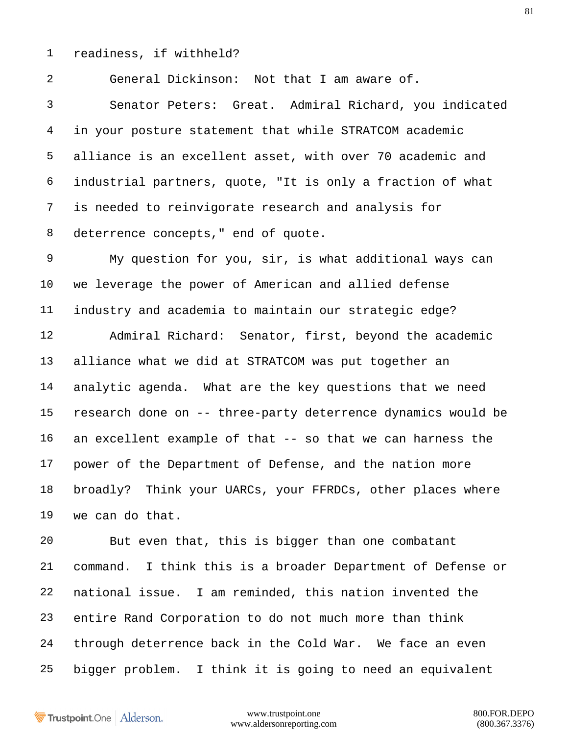readiness, if withheld?

General Dickinson: Not that I am aware of.

 Senator Peters: Great. Admiral Richard, you indicated in your posture statement that while STRATCOM academic alliance is an excellent asset, with over 70 academic and industrial partners, quote, "It is only a fraction of what is needed to reinvigorate research and analysis for 8 deterrence concepts, " end of quote.

 My question for you, sir, is what additional ways can we leverage the power of American and allied defense industry and academia to maintain our strategic edge? Admiral Richard: Senator, first, beyond the academic alliance what we did at STRATCOM was put together an analytic agenda. What are the key questions that we need

 research done on -- three-party deterrence dynamics would be an excellent example of that -- so that we can harness the power of the Department of Defense, and the nation more broadly? Think your UARCs, your FFRDCs, other places where we can do that.

 But even that, this is bigger than one combatant command. I think this is a broader Department of Defense or national issue. I am reminded, this nation invented the entire Rand Corporation to do not much more than think through deterrence back in the Cold War. We face an even bigger problem. I think it is going to need an equivalent

Trustpoint.One Alderson.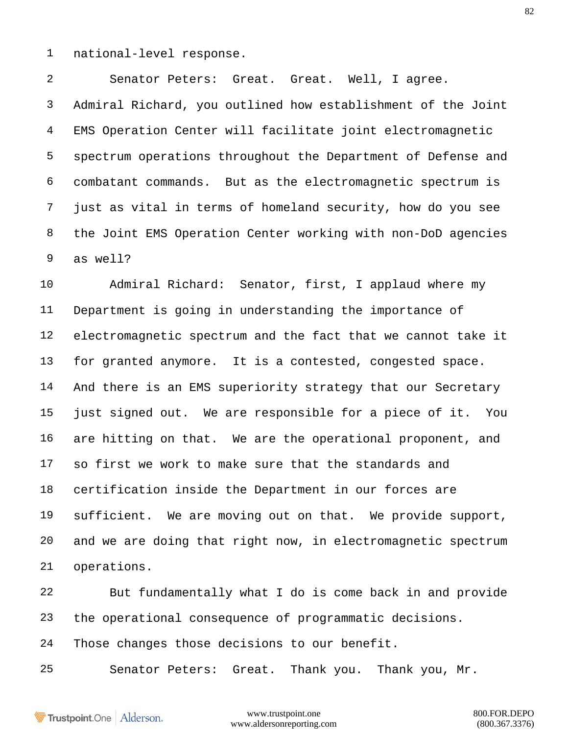national-level response.

 Senator Peters: Great. Great. Well, I agree. Admiral Richard, you outlined how establishment of the Joint EMS Operation Center will facilitate joint electromagnetic spectrum operations throughout the Department of Defense and combatant commands. But as the electromagnetic spectrum is just as vital in terms of homeland security, how do you see the Joint EMS Operation Center working with non-DoD agencies as well?

 Admiral Richard: Senator, first, I applaud where my Department is going in understanding the importance of electromagnetic spectrum and the fact that we cannot take it for granted anymore. It is a contested, congested space. And there is an EMS superiority strategy that our Secretary just signed out. We are responsible for a piece of it. You are hitting on that. We are the operational proponent, and so first we work to make sure that the standards and certification inside the Department in our forces are sufficient. We are moving out on that. We provide support, and we are doing that right now, in electromagnetic spectrum operations.

 But fundamentally what I do is come back in and provide the operational consequence of programmatic decisions. Those changes those decisions to our benefit.

Senator Peters: Great. Thank you. Thank you, Mr.

Trustpoint.One Alderson.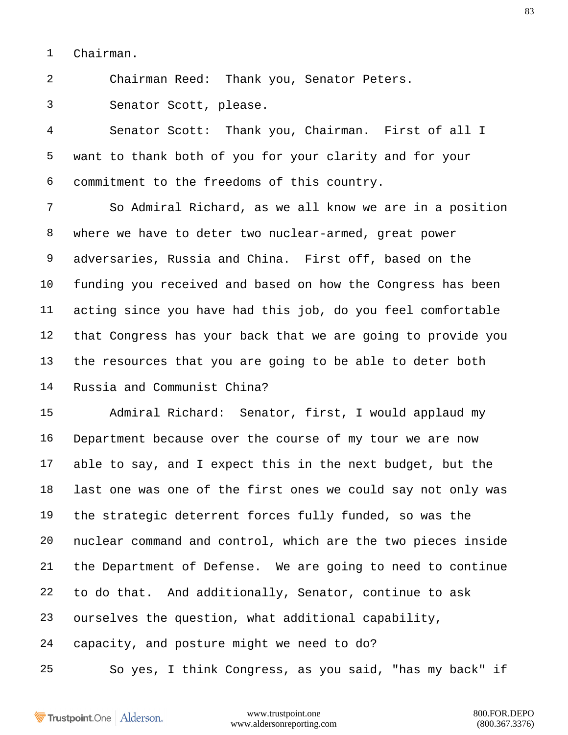Chairman.

Chairman Reed: Thank you, Senator Peters.

Senator Scott, please.

 Senator Scott: Thank you, Chairman. First of all I want to thank both of you for your clarity and for your commitment to the freedoms of this country.

 So Admiral Richard, as we all know we are in a position where we have to deter two nuclear-armed, great power adversaries, Russia and China. First off, based on the funding you received and based on how the Congress has been acting since you have had this job, do you feel comfortable that Congress has your back that we are going to provide you the resources that you are going to be able to deter both Russia and Communist China?

 Admiral Richard: Senator, first, I would applaud my Department because over the course of my tour we are now able to say, and I expect this in the next budget, but the last one was one of the first ones we could say not only was the strategic deterrent forces fully funded, so was the nuclear command and control, which are the two pieces inside the Department of Defense. We are going to need to continue to do that. And additionally, Senator, continue to ask ourselves the question, what additional capability, capacity, and posture might we need to do? So yes, I think Congress, as you said, "has my back" if

Trustpoint.One Alderson.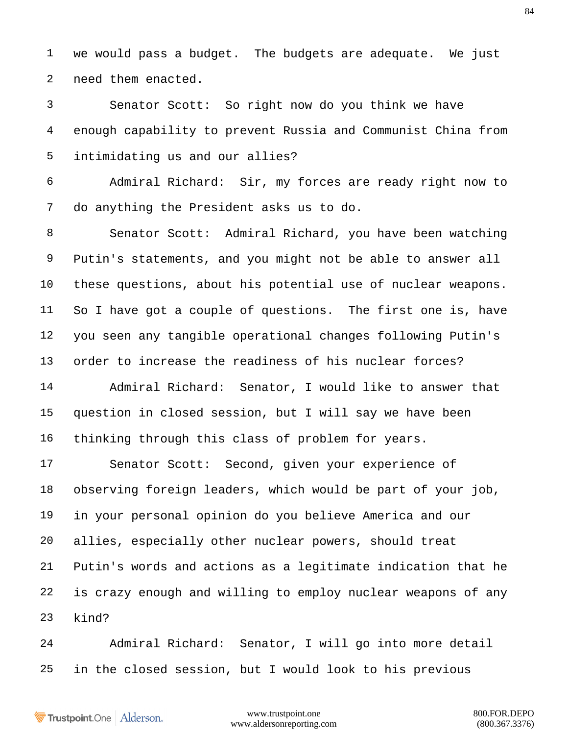we would pass a budget. The budgets are adequate. We just need them enacted.

 Senator Scott: So right now do you think we have enough capability to prevent Russia and Communist China from intimidating us and our allies?

 Admiral Richard: Sir, my forces are ready right now to do anything the President asks us to do.

 Senator Scott: Admiral Richard, you have been watching Putin's statements, and you might not be able to answer all these questions, about his potential use of nuclear weapons. So I have got a couple of questions. The first one is, have you seen any tangible operational changes following Putin's order to increase the readiness of his nuclear forces?

 Admiral Richard: Senator, I would like to answer that question in closed session, but I will say we have been thinking through this class of problem for years.

 Senator Scott: Second, given your experience of observing foreign leaders, which would be part of your job, in your personal opinion do you believe America and our allies, especially other nuclear powers, should treat Putin's words and actions as a legitimate indication that he is crazy enough and willing to employ nuclear weapons of any kind?

 Admiral Richard: Senator, I will go into more detail in the closed session, but I would look to his previous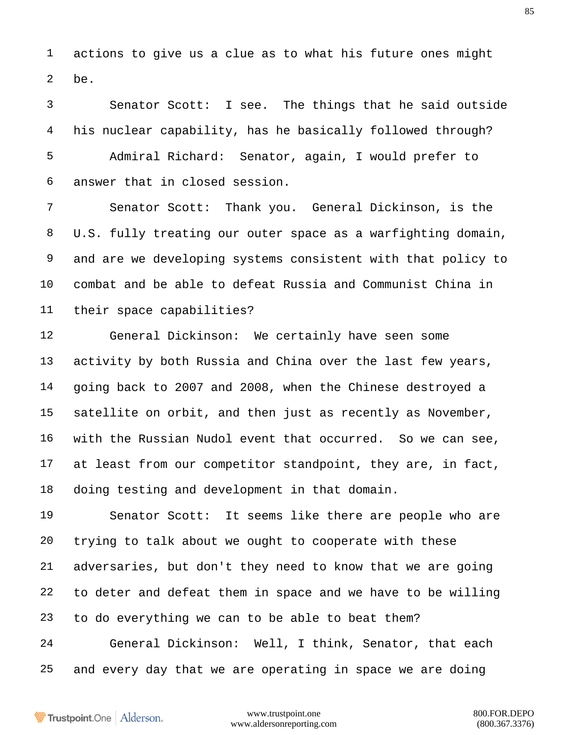actions to give us a clue as to what his future ones might be.

 Senator Scott: I see. The things that he said outside his nuclear capability, has he basically followed through? Admiral Richard: Senator, again, I would prefer to answer that in closed session.

 Senator Scott: Thank you. General Dickinson, is the U.S. fully treating our outer space as a warfighting domain, and are we developing systems consistent with that policy to combat and be able to defeat Russia and Communist China in their space capabilities?

 General Dickinson: We certainly have seen some 13 activity by both Russia and China over the last few years, going back to 2007 and 2008, when the Chinese destroyed a satellite on orbit, and then just as recently as November, with the Russian Nudol event that occurred. So we can see, at least from our competitor standpoint, they are, in fact, doing testing and development in that domain.

 Senator Scott: It seems like there are people who are trying to talk about we ought to cooperate with these adversaries, but don't they need to know that we are going to deter and defeat them in space and we have to be willing to do everything we can to be able to beat them? General Dickinson: Well, I think, Senator, that each

and every day that we are operating in space we are doing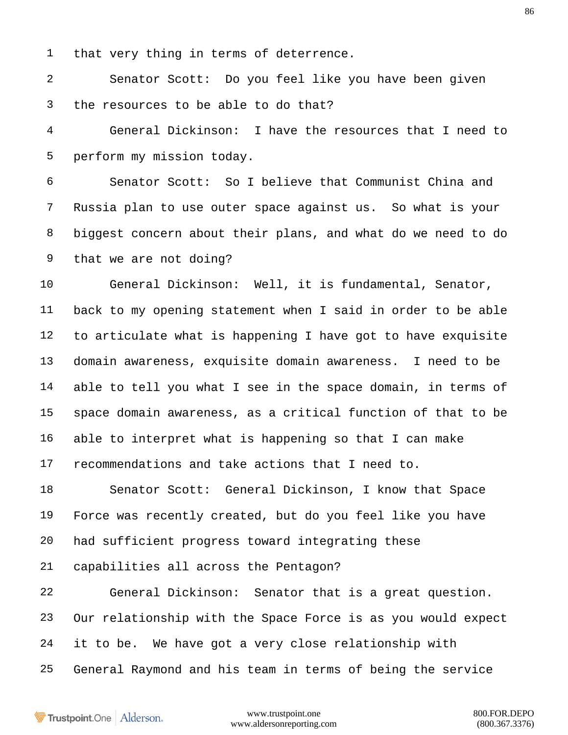that very thing in terms of deterrence.

 Senator Scott: Do you feel like you have been given the resources to be able to do that?

 General Dickinson: I have the resources that I need to perform my mission today.

 Senator Scott: So I believe that Communist China and Russia plan to use outer space against us. So what is your biggest concern about their plans, and what do we need to do that we are not doing?

 General Dickinson: Well, it is fundamental, Senator, back to my opening statement when I said in order to be able to articulate what is happening I have got to have exquisite domain awareness, exquisite domain awareness. I need to be able to tell you what I see in the space domain, in terms of space domain awareness, as a critical function of that to be able to interpret what is happening so that I can make recommendations and take actions that I need to.

 Senator Scott: General Dickinson, I know that Space Force was recently created, but do you feel like you have had sufficient progress toward integrating these capabilities all across the Pentagon?

 General Dickinson: Senator that is a great question. Our relationship with the Space Force is as you would expect it to be. We have got a very close relationship with General Raymond and his team in terms of being the service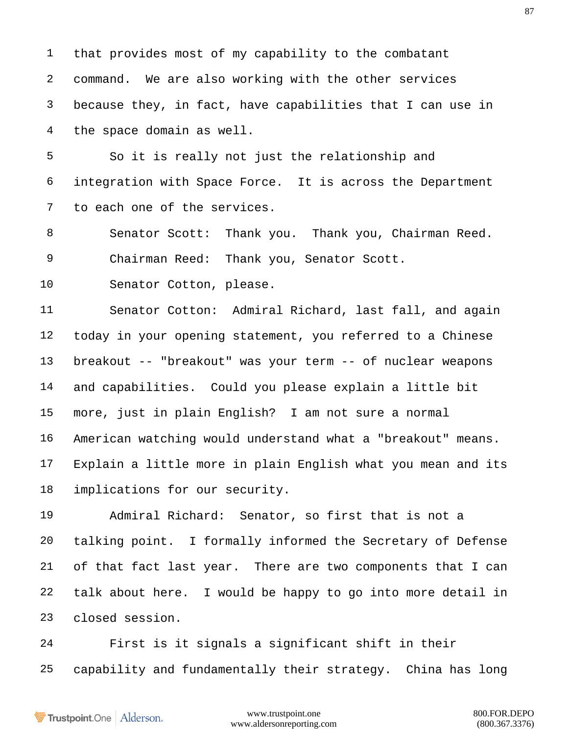that provides most of my capability to the combatant command. We are also working with the other services because they, in fact, have capabilities that I can use in the space domain as well.

 So it is really not just the relationship and integration with Space Force. It is across the Department to each one of the services.

 Senator Scott: Thank you. Thank you, Chairman Reed. Chairman Reed: Thank you, Senator Scott.

Senator Cotton, please.

 Senator Cotton: Admiral Richard, last fall, and again today in your opening statement, you referred to a Chinese breakout -- "breakout" was your term -- of nuclear weapons and capabilities. Could you please explain a little bit more, just in plain English? I am not sure a normal American watching would understand what a "breakout" means. Explain a little more in plain English what you mean and its implications for our security.

 Admiral Richard: Senator, so first that is not a talking point. I formally informed the Secretary of Defense of that fact last year. There are two components that I can talk about here. I would be happy to go into more detail in closed session.

 First is it signals a significant shift in their capability and fundamentally their strategy. China has long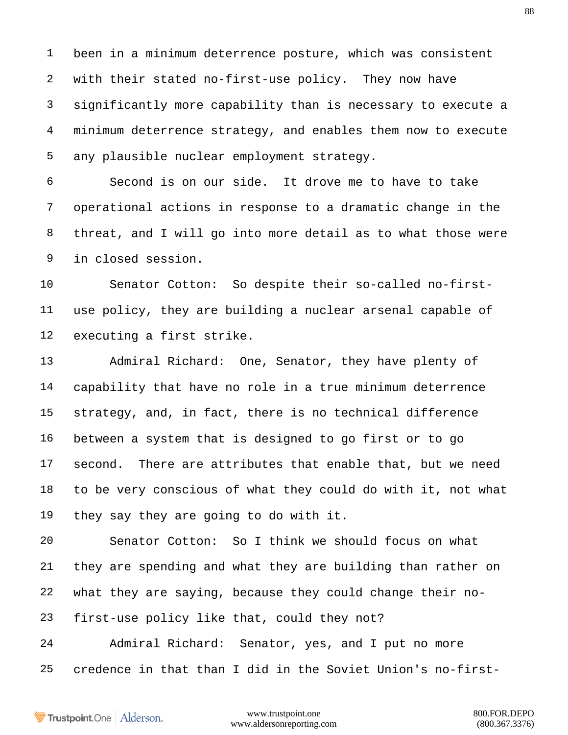been in a minimum deterrence posture, which was consistent with their stated no-first-use policy. They now have significantly more capability than is necessary to execute a minimum deterrence strategy, and enables them now to execute any plausible nuclear employment strategy.

 Second is on our side. It drove me to have to take operational actions in response to a dramatic change in the threat, and I will go into more detail as to what those were in closed session.

 Senator Cotton: So despite their so-called no-first- use policy, they are building a nuclear arsenal capable of executing a first strike.

 Admiral Richard: One, Senator, they have plenty of capability that have no role in a true minimum deterrence strategy, and, in fact, there is no technical difference between a system that is designed to go first or to go second. There are attributes that enable that, but we need to be very conscious of what they could do with it, not what they say they are going to do with it.

 Senator Cotton: So I think we should focus on what they are spending and what they are building than rather on what they are saying, because they could change their no-first-use policy like that, could they not?

 Admiral Richard: Senator, yes, and I put no more credence in that than I did in the Soviet Union's no-first-

Trustpoint.One Alderson.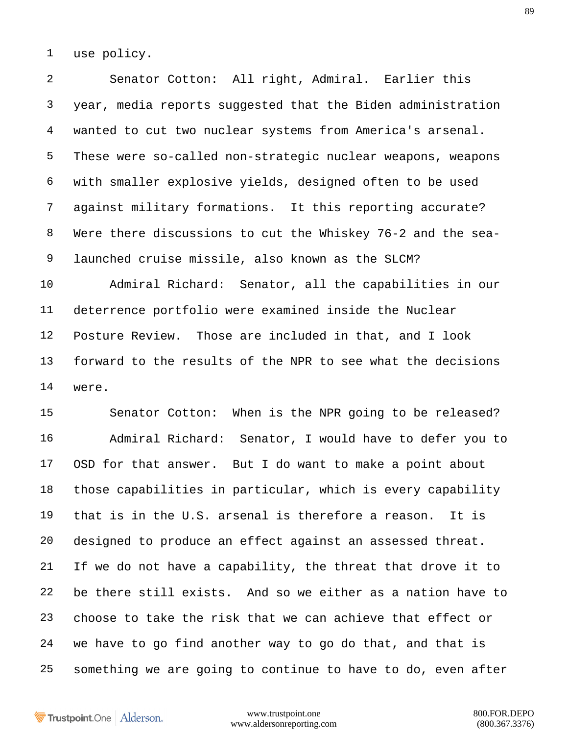use policy.

 Senator Cotton: All right, Admiral. Earlier this year, media reports suggested that the Biden administration wanted to cut two nuclear systems from America's arsenal. These were so-called non-strategic nuclear weapons, weapons with smaller explosive yields, designed often to be used against military formations. It this reporting accurate? Were there discussions to cut the Whiskey 76-2 and the sea- launched cruise missile, also known as the SLCM?

 Admiral Richard: Senator, all the capabilities in our deterrence portfolio were examined inside the Nuclear Posture Review. Those are included in that, and I look forward to the results of the NPR to see what the decisions were.

 Senator Cotton: When is the NPR going to be released? Admiral Richard: Senator, I would have to defer you to OSD for that answer. But I do want to make a point about those capabilities in particular, which is every capability that is in the U.S. arsenal is therefore a reason. It is designed to produce an effect against an assessed threat. If we do not have a capability, the threat that drove it to be there still exists. And so we either as a nation have to choose to take the risk that we can achieve that effect or we have to go find another way to go do that, and that is something we are going to continue to have to do, even after

Trustpoint.One Alderson.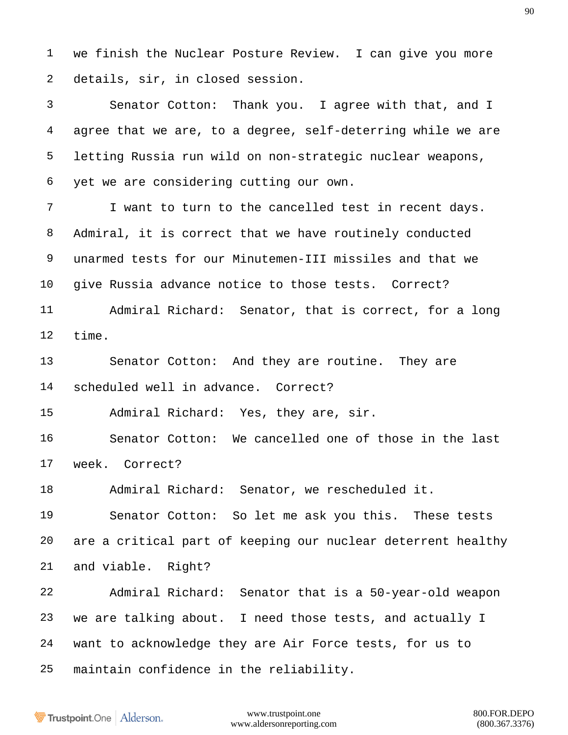we finish the Nuclear Posture Review. I can give you more details, sir, in closed session.

 Senator Cotton: Thank you. I agree with that, and I agree that we are, to a degree, self-deterring while we are letting Russia run wild on non-strategic nuclear weapons, yet we are considering cutting our own.

 I want to turn to the cancelled test in recent days. Admiral, it is correct that we have routinely conducted unarmed tests for our Minutemen-III missiles and that we give Russia advance notice to those tests. Correct? Admiral Richard: Senator, that is correct, for a long time.

 Senator Cotton: And they are routine. They are scheduled well in advance. Correct?

Admiral Richard: Yes, they are, sir.

 Senator Cotton: We cancelled one of those in the last week. Correct?

Admiral Richard: Senator, we rescheduled it.

 Senator Cotton: So let me ask you this. These tests are a critical part of keeping our nuclear deterrent healthy and viable. Right?

 Admiral Richard: Senator that is a 50-year-old weapon we are talking about. I need those tests, and actually I want to acknowledge they are Air Force tests, for us to maintain confidence in the reliability.

Trustpoint.One Alderson.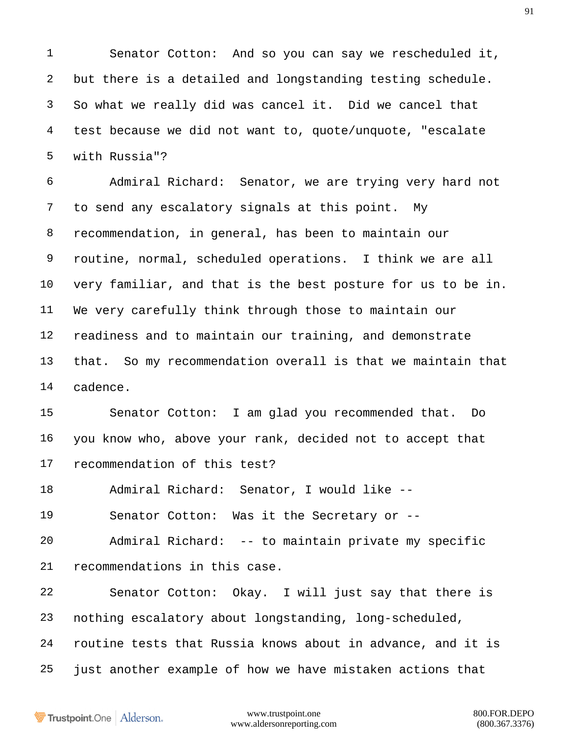Senator Cotton: And so you can say we rescheduled it, but there is a detailed and longstanding testing schedule. So what we really did was cancel it. Did we cancel that test because we did not want to, quote/unquote, "escalate with Russia"?

 Admiral Richard: Senator, we are trying very hard not to send any escalatory signals at this point. My recommendation, in general, has been to maintain our routine, normal, scheduled operations. I think we are all very familiar, and that is the best posture for us to be in. We very carefully think through those to maintain our readiness and to maintain our training, and demonstrate that. So my recommendation overall is that we maintain that cadence.

 Senator Cotton: I am glad you recommended that. Do you know who, above your rank, decided not to accept that recommendation of this test?

Admiral Richard: Senator, I would like --

Senator Cotton: Was it the Secretary or --

 Admiral Richard: -- to maintain private my specific recommendations in this case.

 Senator Cotton: Okay. I will just say that there is nothing escalatory about longstanding, long-scheduled, routine tests that Russia knows about in advance, and it is just another example of how we have mistaken actions that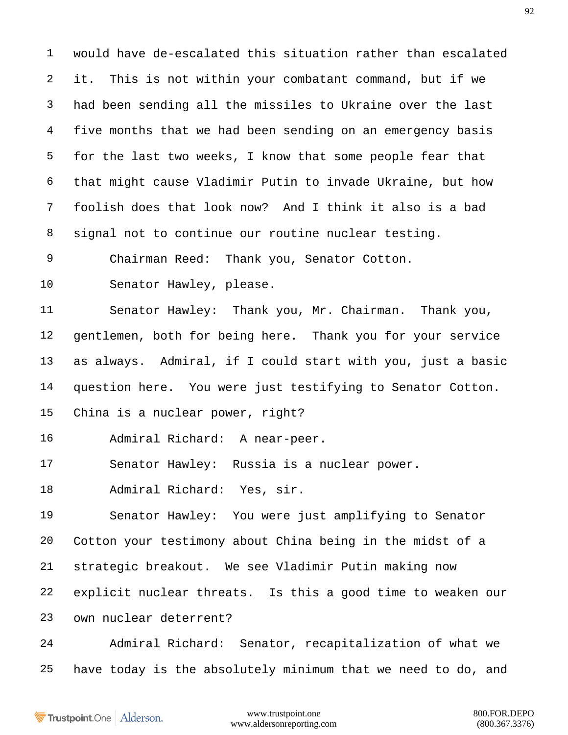would have de-escalated this situation rather than escalated it. This is not within your combatant command, but if we had been sending all the missiles to Ukraine over the last five months that we had been sending on an emergency basis for the last two weeks, I know that some people fear that that might cause Vladimir Putin to invade Ukraine, but how foolish does that look now? And I think it also is a bad signal not to continue our routine nuclear testing.

Chairman Reed: Thank you, Senator Cotton.

Senator Hawley, please.

 Senator Hawley: Thank you, Mr. Chairman. Thank you, gentlemen, both for being here. Thank you for your service as always. Admiral, if I could start with you, just a basic question here. You were just testifying to Senator Cotton. China is a nuclear power, right?

Admiral Richard: A near-peer.

Senator Hawley: Russia is a nuclear power.

Admiral Richard: Yes, sir.

 Senator Hawley: You were just amplifying to Senator Cotton your testimony about China being in the midst of a strategic breakout. We see Vladimir Putin making now explicit nuclear threats. Is this a good time to weaken our own nuclear deterrent?

 Admiral Richard: Senator, recapitalization of what we have today is the absolutely minimum that we need to do, and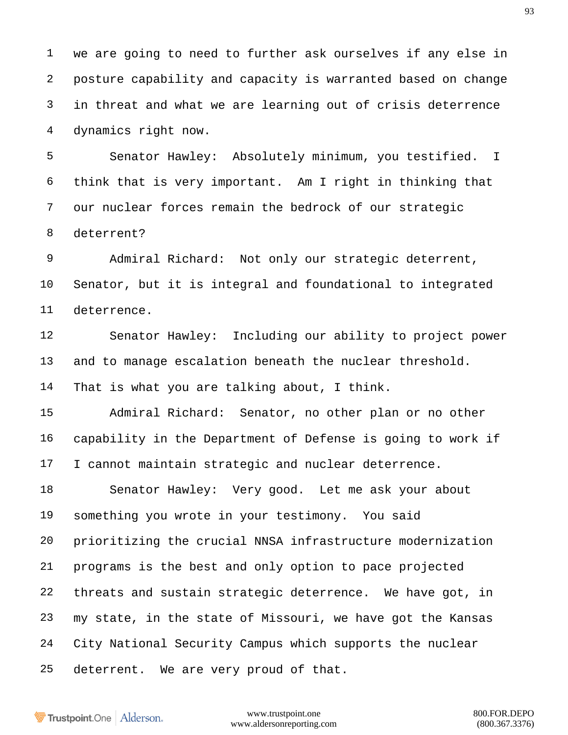we are going to need to further ask ourselves if any else in posture capability and capacity is warranted based on change in threat and what we are learning out of crisis deterrence dynamics right now.

 Senator Hawley: Absolutely minimum, you testified. I think that is very important. Am I right in thinking that our nuclear forces remain the bedrock of our strategic deterrent?

 Admiral Richard: Not only our strategic deterrent, Senator, but it is integral and foundational to integrated deterrence.

 Senator Hawley: Including our ability to project power and to manage escalation beneath the nuclear threshold. That is what you are talking about, I think.

 Admiral Richard: Senator, no other plan or no other capability in the Department of Defense is going to work if I cannot maintain strategic and nuclear deterrence.

 Senator Hawley: Very good. Let me ask your about something you wrote in your testimony. You said prioritizing the crucial NNSA infrastructure modernization programs is the best and only option to pace projected threats and sustain strategic deterrence. We have got, in my state, in the state of Missouri, we have got the Kansas City National Security Campus which supports the nuclear deterrent. We are very proud of that.

Trustpoint.One Alderson.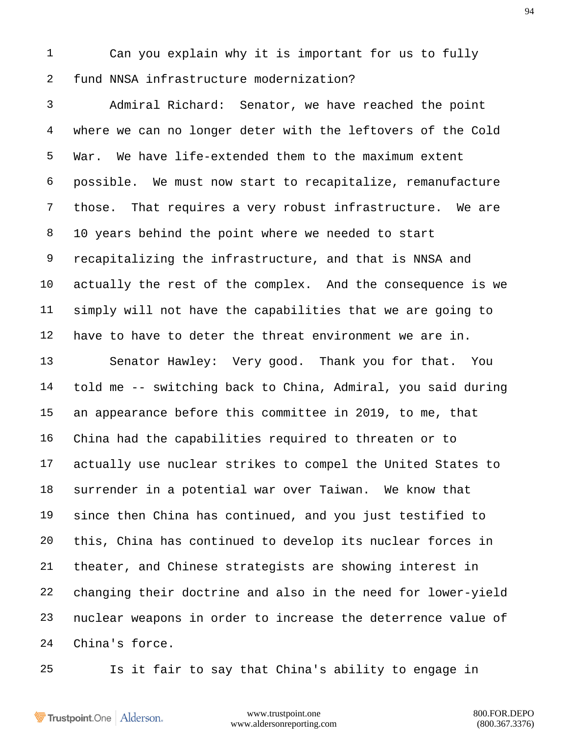Can you explain why it is important for us to fully fund NNSA infrastructure modernization?

 Admiral Richard: Senator, we have reached the point where we can no longer deter with the leftovers of the Cold War. We have life-extended them to the maximum extent possible. We must now start to recapitalize, remanufacture those. That requires a very robust infrastructure. We are 10 years behind the point where we needed to start recapitalizing the infrastructure, and that is NNSA and actually the rest of the complex. And the consequence is we simply will not have the capabilities that we are going to have to have to deter the threat environment we are in.

 Senator Hawley: Very good. Thank you for that. You told me -- switching back to China, Admiral, you said during an appearance before this committee in 2019, to me, that China had the capabilities required to threaten or to actually use nuclear strikes to compel the United States to surrender in a potential war over Taiwan. We know that since then China has continued, and you just testified to this, China has continued to develop its nuclear forces in theater, and Chinese strategists are showing interest in changing their doctrine and also in the need for lower-yield nuclear weapons in order to increase the deterrence value of China's force.

Is it fair to say that China's ability to engage in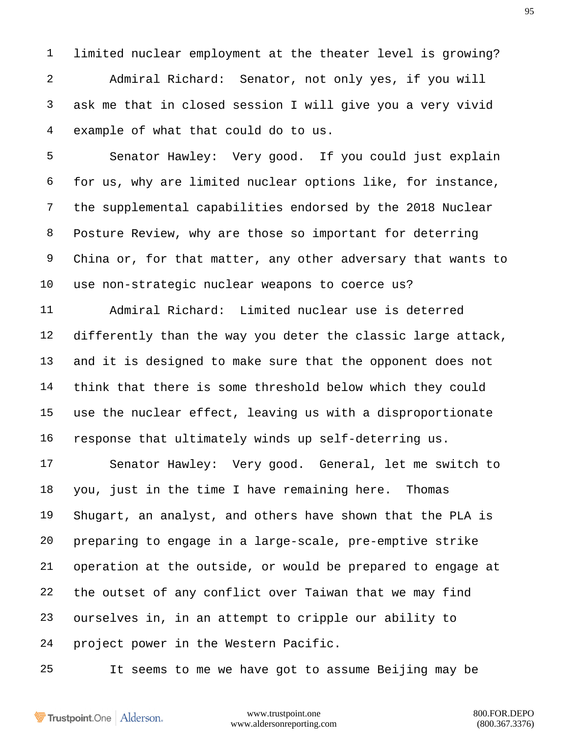limited nuclear employment at the theater level is growing? Admiral Richard: Senator, not only yes, if you will ask me that in closed session I will give you a very vivid example of what that could do to us.

 Senator Hawley: Very good. If you could just explain for us, why are limited nuclear options like, for instance, the supplemental capabilities endorsed by the 2018 Nuclear Posture Review, why are those so important for deterring China or, for that matter, any other adversary that wants to use non-strategic nuclear weapons to coerce us?

 Admiral Richard: Limited nuclear use is deterred differently than the way you deter the classic large attack, and it is designed to make sure that the opponent does not think that there is some threshold below which they could use the nuclear effect, leaving us with a disproportionate response that ultimately winds up self-deterring us.

 Senator Hawley: Very good. General, let me switch to you, just in the time I have remaining here. Thomas Shugart, an analyst, and others have shown that the PLA is preparing to engage in a large-scale, pre-emptive strike operation at the outside, or would be prepared to engage at the outset of any conflict over Taiwan that we may find ourselves in, in an attempt to cripple our ability to project power in the Western Pacific.

It seems to me we have got to assume Beijing may be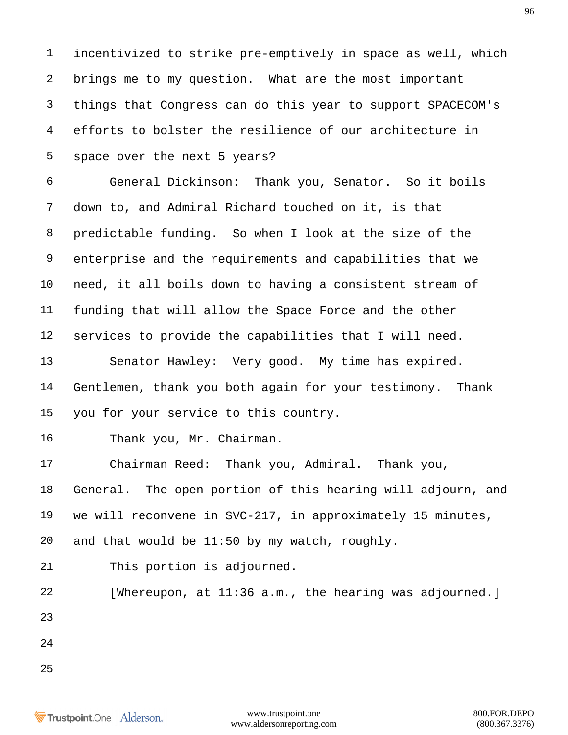incentivized to strike pre-emptively in space as well, which brings me to my question. What are the most important things that Congress can do this year to support SPACECOM's efforts to bolster the resilience of our architecture in space over the next 5 years?

 General Dickinson: Thank you, Senator. So it boils down to, and Admiral Richard touched on it, is that predictable funding. So when I look at the size of the enterprise and the requirements and capabilities that we need, it all boils down to having a consistent stream of funding that will allow the Space Force and the other services to provide the capabilities that I will need.

 Senator Hawley: Very good. My time has expired. Gentlemen, thank you both again for your testimony. Thank you for your service to this country.

Thank you, Mr. Chairman.

 Chairman Reed: Thank you, Admiral. Thank you, General. The open portion of this hearing will adjourn, and we will reconvene in SVC-217, in approximately 15 minutes, and that would be 11:50 by my watch, roughly.

This portion is adjourned.

 [Whereupon, at 11:36 a.m., the hearing was adjourned.]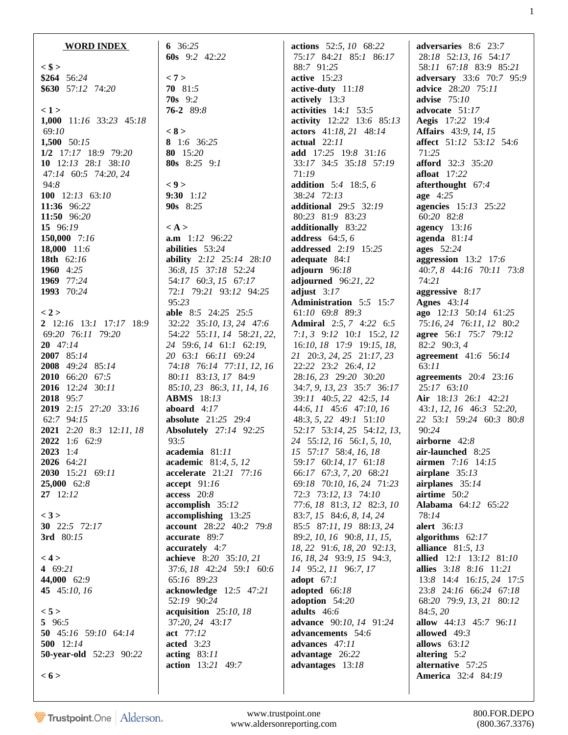| <b>WORD INDEX</b>                                                                                                                                                                                                                                                                                                                                         |  |
|-----------------------------------------------------------------------------------------------------------------------------------------------------------------------------------------------------------------------------------------------------------------------------------------------------------------------------------------------------------|--|
| $\langle$ \$ ><br>$$264$ 56:24<br>\$630 57:12 74:20                                                                                                                                                                                                                                                                                                       |  |
| < 1 ><br>1,000 11:16 33:23 45:18<br>69:10<br>1,500 50:15<br>1/2 17:17 18:9 79:20<br>10 $12:13$ $28:1$ $38:10$<br>47:14 60:5 74:20, 24<br>94:8<br>100 12:13 63:10<br>11:36 96:22<br>11:50 96:20<br>15 96:19<br>150,000 7:16<br>18,000 11:6<br>18th $62:16$<br>1960 $4:25$<br>1969 77:24                                                                    |  |
| 1993 70:24<br>$<$ 2 $>$<br>2 12:16 13:1 17:17 18:9<br>69:20 76:11 79:20<br>$20 \quad 47:14$<br>2007 85:14<br>2008 49:24 85:14<br>2010 66:20 67:5<br>2016 12:24 30:11<br>2018 95:7<br>2019 2:15 27:20 33:16<br>62:7 94:15<br>2021 2:20 8:3 12:11, 18<br>2022 1:6 62:9<br>$2023 \t1.4$<br>2026 64:21<br>2030 15:21 69:11<br>25,000 62:8<br>$27 \quad 12:12$ |  |
| < 3 ><br>30 22:5 72:17<br>3rd 80:15                                                                                                                                                                                                                                                                                                                       |  |
| $<$ 4 $>$<br>4 $69:21$<br>44,000 62:9<br>45 45:10, 16                                                                                                                                                                                                                                                                                                     |  |
| 5 ><br>5 96:5<br>50 45:16 59:10 64:14<br>500 12:14<br><b>50-year-old</b> 52:23 90:22                                                                                                                                                                                                                                                                      |  |
| $\le 6$ >                                                                                                                                                                                                                                                                                                                                                 |  |

**6** 36:*25* **60s** 9:*2* 42:*22* **< 7 > 70** 81:*5* **70s** 9:*2* **76-2** 89:*8* **< 8 > 8** 1:*6* 36:*25* **80** 15:*20* **80s** 8:*25* 9:*1* **< 9 > 9:30** 1:*12* **90s** 8:*25* **< A > a.m** 1:*12* 96:*22* **abilities** 53:*24* **ability** 2:*12* 25:*14* 28:*10* 36:*8*, *15* 37:*18* 52:*24* 54:*17* 60:*3*, *15* 67:*17* 72:*1* 79:*21* 93:*12* 94:*25* 95:*23* **able** 8:*5* 24:*25* 25:*5* 32:*22* 35:*10*, *13*, *24* 47:*6* 54:*22* 55:*11*, *14* 58:*21*, *22*, *24* 59:*6*, *14* 61:*1* 62:*19*, *20* 63:*1* 66:*11* 69:*24* 74:*18* 76:*14* 77:*11*, *12*, *16* 80:*11* 83:*13*, *17* 84:*9* 85:*10*, *23* 86:*3*, *11*, *14*, *16* **ABMS** 18:*13* **aboard** 4:*17* **absolute** 21:*25* 29:*4* **Absolutely** 27:*14* 92:*25* 93:*5* **academia** 81:*11* **academic** 81:*4*, *5*, *12* **accelerate** 21:*21* 77:*16* **accept** 91:*16* **access** 20:*8* **accomplish** 35:*12* **accomplishing** 13:*25* **account** 28:*22* 40:*2* 79:*8* **accurate** 89:*7* **accurately** 4:*7* **achieve** 8:*20* 35:*10*, *21* 37:*6*, *18* 42:*24* 59:*1* 60:*6* 65:*16* 89:*23* **acknowledge** 12:*5* 47:*21* 52:*19* 90:*24* **acquisition** 25:*10*, *18* 37:*20*, *24* 43:*17* **act** 77:*12* **acted** 3:*23* **acting** 83:*11* **action** 13:*21* 49:*7*

**actions** 52:*5*, *10* 68:*22* 75:*17* 84:*21* 85:*1* 86:*17* 88:*7* 91:*25* **active** 15:*23* **active-duty** 11:*18* **actively** 13:*3* **activities** 14:*1* 53:*5* **activity** 12:*22* 13:*6* 85:*13* **actors** 41:*18*, *21* 48:*14* **actual** 22:*11* **add** 17:*25* 19:*8* 31:*16* 33:*17* 34:*5* 35:*18* 57:*19* 71:*19* **addition** 5:*4* 18:*5*, *6* 38:*24* 72:*13* **additional** 29:*5* 32:*19* 80:*23* 81:*9* 83:*23* **additionally** 83:*22* **address** 64:*5*, *6* **addressed** 2:*19* 15:*25* **adequate** 84:*1* **adjourn** 96:*18* **adjourned** 96:*21*, *22* **adjust** 3:*17* **Administration** 5:*5* 15:*7* 61:*10* 69:*8* 89:*3* **Admiral** 2:*5*, *7* 4:*22* 6:*5* 7:*1*, *3* 9:*12* 10:*1* 15:*2*, *12* 16:*10*, *18* 17:*9* 19:*15*, *18*, *21* 20:*3*, *24*, *25* 21:*17*, *23* 22:*22* 23:*2* 26:*4*, *12* 28:*16*, *23* 29:*20* 30:*20* 34:*7*, *9*, *13*, *23* 35:*7* 36:*17* 39:*11* 40:*5*, *22* 42:*5*, *14* 44:*6*, *11* 45:*6* 47:*10*, *16* 48:*3*, *5*, *22* 49:*1* 51:*10* 52:*17* 53:*14*, *25* 54:*12*, *13*, *24* 55:*12*, *16* 56:*1*, *5*, *10*, *15* 57:*17* 58:*4*, *16*, *18* 59:*17* 60:*14*, *17* 61:*18* 66:*17* 67:*3*, *7*, *20* 68:*21* 69:*18* 70:*10*, *16*, *24* 71:*23* 72:*3* 73:*12*, *13* 74:*10* 77:*6*, *18* 81:*3*, *12* 82:*3*, *10* 83:*7*, *15* 84:*6*, *8*, *14*, *24* 85:*5* 87:*11*, *19* 88:*13*, *24* 89:*2*, *10*, *16* 90:*8*, *11*, *15*, *18*, *22* 91:*6*, *18*, *20* 92:*13*, *16*, *18*, *24* 93:*9*, *15* 94:*3*, *14* 95:*2*, *11* 96:*7*, *17* **adopt** 67:*1* **adopted** 66:*18* **adoption** 54:*20* **adults** 46:*6* **advance** 90:*10*, *14* 91:*24* **advancements** 54:*6* **advances** 47:*11* **advantage** 26:*22* **advantages** 13:*18*

**adversaries** 8:*6* 23:*7* 28:*18* 52:*13*, *16* 54:*17* 58:*11* 67:*18* 83:*9* 85:*21* **adversary** 33:*6* 70:*7* 95:*9* **advice** 28:*20* 75:*11* **advise** 75:*10* **advocate** 51:*17* **Aegis** 17:*22* 19:*4* **Affairs** 43:*9*, *14*, *15* **affect** 51:*12* 53:*12* 54:*6* 71:*25* **afford** 32:*3* 35:*20* **afloat** 17:*22* **afterthought** 67:*4* **age** 4:*25* **agencies** 15:*13* 25:*22* 60:*20* 82:*8* **agency** 13:*16* **agenda** 81:*14* **ages** 52:*24* **aggression** 13:*2* 17:*6* 40:*7*, *8* 44:*16* 70:*11* 73:*8* 74:*21* **aggressive** 8:*17* **Agnes** 43:*14* **ago** 12:*13* 50:*14* 61:*25* 75:*16*, *24* 76:*11*, *12* 80:*2* **agree** 56:*1* 75:*7* 79:*12* 82:*2* 90:*3*, *4* **agreement** 41:*6* 56:*14* 63:*11* **agreements** 20:*4* 23:*16* 25:*17* 63:*10* **Air** 18:*13* 26:*1* 42:*21* 43:*1*, *12*, *16* 46:*3* 52:*20*, *22* 53:*1* 59:*24* 60:*3* 80:*8* 90:*24* **airborne** 42:*8* **air-launched** 8:*25* **airmen** 7:*16* 14:*15* **airplane** 35:*13* **airplanes** 35:*14* **airtime** 50:*2* **Alabama** 64:*12* 65:*22* 78:*14* **alert** 36:*13* **algorithms** 62:*17* **alliance** 81:*5*, *13* **allied** 12:*1* 13:*12* 81:*10* **allies** 3:*18* 8:*16* 11:*21* 13:*8* 14:*4* 16:*15*, *24* 17:*5* 23:*8* 24:*16* 66:*24* 67:*18* 68:*20* 79:*9*, *13*, *21* 80:*12* 84:*5*, *20* **allow** 44:*13* 45:*7* 96:*11* **allowed** 49:*3* **allows** 63:*12* **altering** 5:*2* **alternative** 57:*25* **America** 32:*4* 84:*19*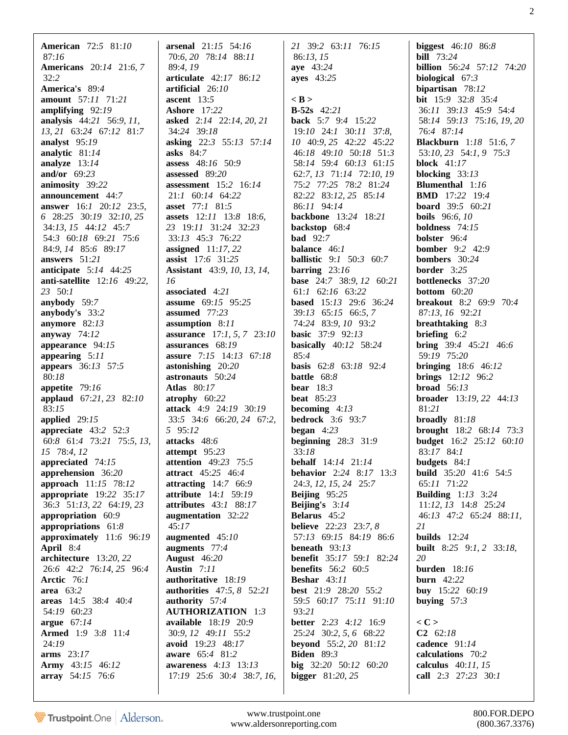**American** 72:*5* 81:*10* 87:*16* **Americans** 20:*14* 21:*6*, *7* 32:*2* **America's** 89:*4* **amount** 57:*11* 71:*21* **amplifying** 92:*19* **analysis** 44:*21* 56:*9*, *11*, *13*, *21* 63:*24* 67:*12* 81:*7* **analyst** 95:*19* **analytic** 81:*14* **analyze** 13:*14* **and/or** 69:*23* **animosity** 39:*22* **announcement** 44:*7* **answer** 16:*1* 20:*12* 23:*5*, *6* 28:*25* 30:*19* 32:*10*, *25* 34:*13*, *15* 44:*12* 45:*7* 54:*3* 60:*18* 69:*21* 75:*6* 84:*9*, *14* 85:*6* 89:*17* **answers** 51:*21* **anticipate** 5:*14* 44:*25* **anti-satellite** 12:*16* 49:*22*, *23* 50:*1* **anybody** 59:*7* **anybody's** 33:*2* **anymore** 82:*13* **anyway** 74:*12* **appearance** 94:*15* **appearing** 5:*11* **appears** 36:*13* 57:*5* 80:*18* **appetite** 79:*16* **applaud** 67:*21*, *23* 82:*10* 83:*15* **applied** 29:*15* **appreciate** 43:*2* 52:*3* 60:*8* 61:*4* 73:*21* 75:*5*, *13*, *15* 78:*4*, *12* **appreciated** 74:*15* **apprehension** 36:*20* **approach** 11:*15* 78:*12* **appropriate** 19:*22* 35:*17* 36:*3* 51:*13*, *22* 64:*19*, *23* **appropriation** 60:*9* **appropriations** 61:*8* **approximately** 11:*6* 96:*19* **April** 8:*4* **architecture** 13:*20*, *22* 26:*6* 42:*2* 76:*14*, *25* 96:*4* **Arctic** 76:*1* **area** 63:*2* **areas** 14:*5* 38:*4* 40:*4* 54:*19* 60:*23* **argue** 67:*14* **Armed** 1:*9* 3:*8* 11:*4* 24:*19* **arms** 23:*17* **Army** 43:*15* 46:*12* **array** 54:*15* 76:*6*

**arsenal** 21:*15* 54:*16* 70:*6*, *20* 78:*14* 88:*11* 89:*4*, *19* **articulate** 42:*17* 86:*12* **artificial** 26:*10* **ascent** 13:*5* **Ashore** 17:*22* **asked** 2:*14* 22:*14*, *20*, *21* 34:*24* 39:*18* **asking** 22:*3* 55:*13* 57:*14* **asks** 84:*7* **assess** 48:*16* 50:*9* **assessed** 89:*20* **assessment** 15:*2* 16:*14* 21:*1* 60:*14* 64:*22* **asset** 77:*1* 81:*5* **assets** 12:*11* 13:*8* 18:*6*, *23* 19:*11* 31:*24* 32:*23* 33:*13* 45:*3* 76:*22* **assigned** 11:*17*, *22* **assist** 17:*6* 31:*25* **Assistant** 43:*9*, *10*, *13*, *14*, *16* **associated** 4:*21* **assume** 69:*15* 95:*25* **assumed** 77:*23* **assumption** 8:*11* **assurance** 17:*1*, *5*, *7* 23:*10* **assurances** 68:*19* **assure** 7:*15* 14:*13* 67:*18* **astonishing** 20:*20* **astronauts** 50:*24* **Atlas** 80:*17* **atrophy** 60:*22* **attack** 4:*9* 24:*19* 30:*19* 33:*5* 34:*6* 66:*20*, *24* 67:*2*, *5* 95:*12* **attacks** 48:*6* **attempt** 95:*23* **attention** 49:*23* 75:*5* **attract** 45:*25* 46:*4* **attracting** 14:*7* 66:*9* **attribute** 14:*1* 59:*19* **attributes** 43:*1* 88:*17* **augmentation** 32:*22* 45:*17* **augmented** 45:*10* **augments** 77:*4* **August** 46:*20* **Austin** 7:*11* **authoritative** 18:*19* **authorities** 47:*5*, *8* 52:*21* **authority** 57:*4* **AUTHORIZATION** 1:*3* **available** 18:*19* 20:*9* 30:*9*, *12* 49:*11* 55:*2* **avoid** 19:*23* 48:*17* **aware** 65:*4* 81:*2* **awareness** 4:*13* 13:*13* 17:*19* 25:*6* 30:*4* 38:*7*, *16*,

*21* 39:*2* 63:*11* 76:*15* 86:*13*, *15* **aye** 43:*24* **ayes** 43:*25*

## **< B > B-52s** 42:*21* **back** 5:*7* 9:*4* 15:*22* 19:*10* 24:*1* 30:*11* 37:*8*, *10* 40:*9*, *25* 42:*22* 45:*22* 46:*18* 49:*10* 50:*18* 51:*3* 58:*14* 59:*4* 60:*13* 61:*15* 62:*7*, *13* 71:*14* 72:*10*, *19* 75:*2* 77:*25* 78:*2* 81:*24* 82:*22* 83:*12*, *25* 85:*14* 86:*11* 94:*14* **backbone** 13:*24* 18:*21* **backstop** 68:*4* **bad** 92:*7* **balance** 46:*1* **ballistic** 9:*1* 50:*3* 60:*7* **barring** 23:*16* **base** 24:*7* 38:*9*, *12* 60:*21* 61:*1* 62:*16* 63:*22* **based** 15:*13* 29:*6* 36:*24* 39:*13* 65:*15* 66:*5*, *7* 74:*24* 83:*9*, *10* 93:*2* **basic** 37:*9* 92:*13* **basically** 40:*12* 58:*24* 85:*4* **basis** 62:*8* 63:*18* 92:*4* **battle** 68:*8* **bear** 18:*3* **beat** 85:*23* **becoming** 4:*13* **bedrock** 3:*6* 93:*7* **began** 4:*23* **beginning** 28:*3* 31:*9* 33:*18* **behalf** 14:*14* 21:*14* **behavior** 2:*24* 8:*17* 13:*3* 24:*3*, *12*, *15*, *24* 25:*7* **Beijing** 95:*25* **Beijing's** 3:*14* **Belarus** 45:*2* **believe** 22:*23* 23:*7*, *8* 57:*13* 69:*15* 84:*19* 86:*6* **beneath** 93:*13* **benefit** 35:*17* 59:*1* 82:*24* **benefits** 56:*2* 60:*5* **Beshar** 43:*11* **best** 21:*9* 28:*20* 55:*2* 59:*5* 60:*17* 75:*11* 91:*10* 93:*21* **better** 2:*23* 4:*12* 16:*9* 25:*24* 30:*2*, *5*, *6* 68:*22* **beyond** 55:*2*, *20* 81:*12* **Biden** 89:*3* **big** 32:*20* 50:*12* 60:*20* **bigger** 81:*20*, *25*

**biggest** 46:*10* 86:*8* **bill** 73:*24* **billion** 56:*24* 57:*12* 74:*20* **biological** 67:*3* **bipartisan** 78:*12* **bit** 15:*9* 32:*8* 35:*4* 36:*11* 39:*13* 45:*9* 54:*4* 58:*14* 59:*13* 75:*16*, *19*, *20* 76:*4* 87:*14* **Blackburn** 1:*18* 51:*6*, *7* 53:*10*, *23* 54:*1*, *9* 75:*3* **block** 41:*17* **blocking** 33:*13* **Blumenthal** 1:*16* **BMD** 17:*22* 19:*4* **board** 39:*5* 60:*21* **boils** 96:*6*, *10* **boldness** 74:*15* **bolster** 96:*4* **bomber** 9:*2* 42:*9* **bombers** 30:*24* **border** 3:*25* **bottlenecks** 37:*20* **bottom** 60:*20* **breakout** 8:*2* 69:*9* 70:*4* 87:*13*, *16* 92:*21* **breathtaking** 8:*3* **briefing** 6:*2* **bring** 39:*4* 45:*21* 46:*6* 59:*19* 75:*20* **bringing** 18:*6* 46:*12* **brings** 12:*12* 96:*2* **broad** 56:*13* **broader** 13:*19*, *22* 44:*13* 81:*21* **broadly** 81:*18* **brought** 18:*2* 68:*14* 73:*3* **budget** 16:*2* 25:*12* 60:*10* 83:*17* 84:*1* **budgets** 84:*1* **build** 35:*20* 41:*6* 54:*5* 65:*11* 71:*22* **Building** 1:*13* 3:*24* 11:*12*, *13* 14:*8* 25:*24* 46:*13* 47:*2* 65:*24* 88:*11*, *21* **builds** 12:*24* **built** 8:*25* 9:*1*, *2* 33:*18*, *20* **burden** 18:*16* **burn** 42:*22* **buy** 15:*22* 60:*19* **buying** 57:*3* **< C > C2** 62:*18* **cadence** 91:*14* **calculations** 70:*2* **calculus** 40:*11*, *15*

**call** 2:*3* 27:*23* 30:*1*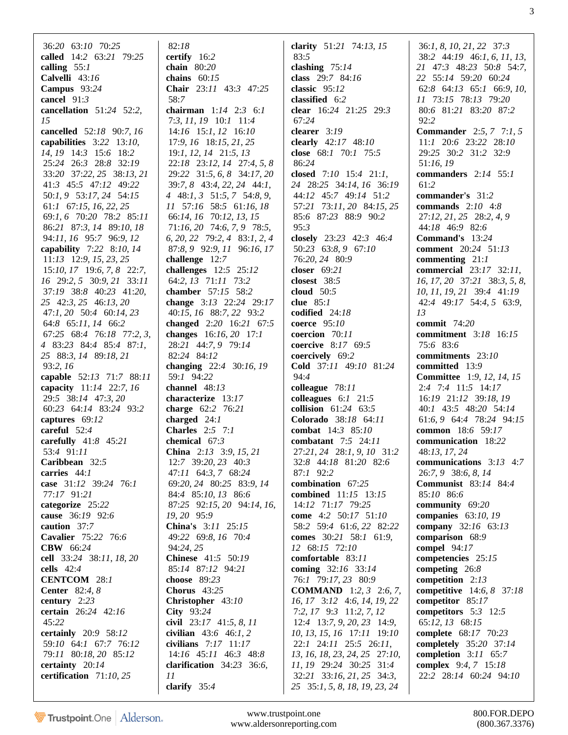36:*20* 63:*10* 70:*25* **called** 14:*2* 63:*21* 79:*25* **calling** 55:*1* **Calvelli** 43:*16* **Campus** 93:*24* **cancel** 91:*3* **cancellation** 51:*24* 52:*2*, *15* **cancelled** 52:*18* 90:*7*, *16* **capabilities** 3:*22* 13:*10*, *14*, *19* 14:*3* 15:*6* 18:*2* 25:*24* 26:*3* 28:*8* 32:*19* 33:*20* 37:*22*, *25* 38:*13*, *21* 41:*3* 45:*5* 47:*12* 49:*22* 50:*1*, *9* 53:*17*, *24* 54:*15* 61:*1* 67:*15*, *16*, *22*, *25* 69:*1*, *6* 70:*20* 78:*2* 85:*11* 86:*21* 87:*3*, *14* 89:*10*, *18* 94:*11*, *16* 95:*7* 96:*9*, *12* **capability** 7:*22* 8:*10*, *14* 11:*13* 12:*9*, *15*, *23*, *25* 15:*10*, *17* 19:*6*, *7*, *8* 22:*7*, *16* 29:*2*, *5* 30:*9*, *21* 33:*11* 37:*19* 38:*8* 40:*23* 41:*20*, *25* 42:*3*, *25* 46:*13*, *20* 47:*1*, *20* 50:*4* 60:*14*, *23* 64:*8* 65:*11*, *14* 66:*2* 67:*25* 68:*4* 76:*18* 77:*2*, *3*, *4* 83:*23* 84:*4* 85:*4* 87:*1*, *25* 88:*3*, *14* 89:*18*, *21* 93:*2*, *16* **capable** 52:*13* 71:*7* 88:*11* **capacity** 11:*14* 22:*7*, *16* 29:*5* 38:*14* 47:*3*, *20* 60:*23* 64:*14* 83:*24* 93:*2* **captures** 69:*12* **careful** 52:*4* **carefully** 41:*8* 45:*21* 53:*4* 91:*11* **Caribbean** 32:*5* **carries** 44:*1* **case** 31:*12* 39:*24* 76:*1* 77:*17* 91:*21* **categorize** 25:*22* **cause** 36:*19* 92:*6* **caution** 37:*7* **Cavalier** 75:*22* 76:*6* **CBW** 66:*24* **cell** 33:*24* 38:*11*, *18*, *20* **cells** 42:*4* **CENTCOM** 28:*1* **Center** 82:*4*, *8* **century** 2:*23* **certain** 26:*24* 42:*16* 45:*22* **certainly** 20:*9* 58:*12* 59:*10* 64:*1* 67:*7* 76:*12* 79:*11* 80:*18*, *20* 85:*12* **certainty** 20:*14* **certification** 71:*10*, *25*

 82:*18* **certify** 16:*2* **chain** 80:*20* **chains** 60:*15* **Chair** 23:*11* 43:*3* 47:*25* 58:*7* **chairman** 1:*14* 2:*3* 6:*1* 7:*3*, *11*, *19* 10:*1* 11:*4* 14:*16* 15:*1*, *12* 16:*10* 17:*9*, *16* 18:*15*, *21*, *25* 19:*1*, *12*, *14* 21:*5*, *13* 22:*18* 23:*12*, *14* 27:*4*, *5*, *8* 29:*22* 31:*5*, *6*, *8* 34:*17*, *20* 39:*7*, *8* 43:*4*, *22*, *24* 44:*1*, *4* 48:*1*, *3* 51:*5*, *7* 54:*8*, *9*, *11* 57:*16* 58:*5* 61:*16*, *18* 66:*14*, *16* 70:*12*, *13*, *15* 71:*16*, *20* 74:*6*, *7*, *9* 78:*5*, *6*, *20*, *22* 79:*2*, *4* 83:*1*, *2*, *4* 87:*8*, *9* 92:*9*, *11* 96:*16*, *17* **challenge** 12:*7* **challenges** 12:*5* 25:*12* 64:*2*, *13* 71:*11* 73:*2* **chamber** 57:*15* 58:*2* **change** 3:*13* 22:*24* 29:*17* 40:*15*, *16* 88:*7*, *22* 93:*2* **changed** 2:*20* 16:*21* 67:*5* **changes** 16:*16*, *20* 17:*1* 28:*21* 44:*7*, *9* 79:*14* 82:*24* 84:*12* **changing** 22:*4* 30:*16*, *19* 59:*1* 94:*22* **channel** 48:*13* **characterize** 13:*17* **charge** 62:*2* 76:*21* **charged** 24:*1* **Charles** 2:*5* 7:*1* **chemical** 67:*3* **China** 2:*13* 3:*9*, *15*, *21* 12:*7* 39:*20*, *23* 40:*3* 47:*11* 64:*3*, *7* 68:*24* 69:*20*, *24* 80:*25* 83:*9*, *14* 84:*4* 85:*10*, *13* 86:*6* 87:*25* 92:*15*, *20* 94:*14*, *16*, *19*, *20* 95:*9* **China's** 3:*11* 25:*15* 49:*22* 69:*8*, *16* 70:*4* 94:*24*, *25* **Chinese** 41:*5* 50:*19* 85:*14* 87:*12* 94:*21* **choose** 89:*23* **Chorus** 43:*25* **Christopher** 43:*10* **City** 93:*24* **civil** 23:*17* 41:*5*, *8*, *11* **civilian** 43:*6* 46:*1*, *2* **civilians** 7:*17* 11:*17* 14:*16* 45:*11* 46:*3* 48:*8* **clarification** 34:*23* 36:*6*, *11* **clarify** 35:*4*

**clarity** 51:*21* 74:*13*, *15* 83:*5* **clashing** 75:*14* **class** 29:*7* 84:*16* **classic** 95:*12* **classified** 6:*2* **clear** 16:*24* 21:*25* 29:*3* 67:*24* **clearer** 3:*19* **clearly** 42:*17* 48:*10* **close** 68:*1* 70:*1* 75:*5* 86:*24* **closed** 7:*10* 15:*4* 21:*1*, *24* 28:*25* 34:*14*, *16* 36:*19* 44:*12* 45:*7* 49:*14* 51:*2* 57:*21* 73:*11*, *20* 84:*15*, *25* 85:*6* 87:*23* 88:*9* 90:*2* 95:*3* **closely** 23:*23* 42:*3* 46:*4* 50:*23* 63:*8*, *9* 67:*10* 76:*20*, *24* 80:*9* **closer** 69:*21* **closest** 38:*5* **cloud** 50:*5* **clue** 85:*1* **codified** 24:*18* **coerce** 95:*10* **coercion** 70:*11* **coercive** 8:*17* 69:*5* **coercively** 69:*2* **Cold** 37:*11* 49:*10* 81:*24* 94:*4* **colleague** 78:*11* **colleagues** 6:*1* 21:*5* **collision** 61:*24* 63:*5* **Colorado** 38:*18* 64:*11* **combat** 14:*3* 85:*10* **combatant** 7:*5* 24:*11* 27:*21*, *24* 28:*1*, *9*, *10* 31:*2* 32:*8* 44:*18* 81:*20* 82:*6* 87:*1* 92:*2* **combination** 67:*25* **combined** 11:*15* 13:*15* 14:*12* 71:*17* 79:*25* **come** 4:*2* 50:*17* 51:*10* 58:*2* 59:*4* 61:*6*, *22* 82:*22* **comes** 30:*21* 58:*1* 61:*9*, *12* 68:*15* 72:*10* **comfortable** 83:*11* **coming** 32:*16* 33:*14* 76:*1* 79:*17*, *23* 80:*9* **COMMAND** 1:*2*, *3* 2:*6*, *7*, *16*, *17* 3:*12* 4:*6*, *14*, *19*, *22* 7:*2*, *17* 9:*3* 11:*2*, *7*, *12* 12:*4* 13:*7*, *9*, *20*, *23* 14:*9*, *10*, *13*, *15*, *16* 17:*11* 19:*10* 22:*1* 24:*11* 25:*5* 26:*11*, *13*, *16*, *18*, *23*, *24*, *25* 27:*10*, *11*, *19* 29:*24* 30:*25* 31:*4* 32:*21* 33:*16*, *21*, *25* 34:*3*, *25* 35:*1*, *5*, *8*, *18*, *19*, *23*, *24*

 36:*1*, *8*, *10*, *21*, *22* 37:*3* 38:*2* 44:*19* 46:*1*, *6*, *11*, *13*, *21* 47:*3* 48:*23* 50:*8* 54:*7*, *22* 55:*14* 59:*20* 60:*24* 62:*8* 64:*13* 65:*1* 66:*9*, *10*, *11* 73:*15* 78:*13* 79:*20* 80:*6* 81:*21* 83:*20* 87:*2* 92:*2* **Commander** 2:*5*, *7* 7:*1*, *5* 11:*1* 20:*6* 23:*22* 28:*10* 29:*25* 30:*2* 31:*2* 32:*9* 51:*16*, *19* **commanders** 2:*14* 55:*1* 61:*2* **commander's** 31:*2* **commands** 2:*10* 4:*8* 27:*12*, *21*, *25* 28:*2*, *4*, *9* 44:*18* 46:*9* 82:*6* **Command's** 13:*24* **comment** 20:*24* 51:*13* **commenting** 21:*1* **commercial** 23:*17* 32:*11*, *16*, *17*, *20* 37:*21* 38:*3*, *5*, *8*, *10*, *11*, *19*, *21* 39:*4* 41:*19* 42:*4* 49:*17* 54:*4*, *5* 63:*9*, *13* **commit** 74:*20* **commitment** 3:*18* 16:*15* 75:*6* 83:*6* **commitments** 23:*10* **committed** 13:*9* **Committee** 1:*9*, *12*, *14*, *15* 2:*4* 7:*4* 11:*5* 14:*17* 16:*19* 21:*12* 39:*18*, *19* 40:*1* 43:*5* 48:*20* 54:*14* 61:*6*, *9* 64:*4* 78:*24* 94:*15* **common** 18:*6* 59:*17* **communication** 18:*22* 48:*13*, *17*, *24* **communications** 3:*13* 4:*7* 26:*7*, *9* 38:*6*, *8*, *14* **Communist** 83:*14* 84:*4* 85:*10* 86:*6* **community** 69:*20* **companies** 63:*10*, *19* **company** 32:*16* 63:*13* **comparison** 68:*9* **compel** 94:*17* **competencies** 25:*15* **competing** 26:*8* **competition** 2:*13* **competitive** 14:*6*, *8* 37:*18* **competitor** 85:*17* **competitors** 5:*3* 12:*5* 65:*12*, *13* 68:*15* **complete** 68:*17* 70:*23* **completely** 35:*20* 37:*14* **completion** 3:*11* 65:*7* **complex** 9:*4*, *7* 15:*18* 22:*2* 28:*14* 60:*24* 94:*10*

3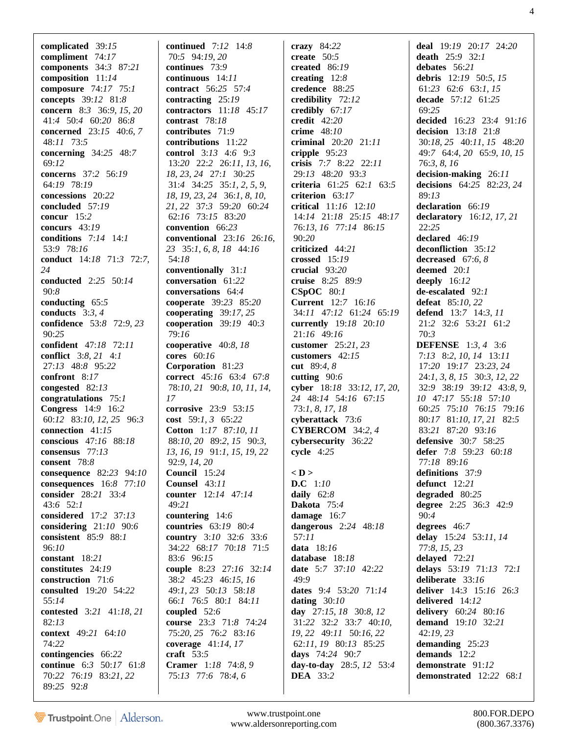**complicated** 39:*15* **compliment** 74:*17* **components** 34:*3* 87:*21* **composition** 11:*14* **composure** 74:*17* 75:*1* **concepts** 39:*12* 81:*8* **concern** 8:*3* 36:*9*, *15*, *20* 41:*4* 50:*4* 60:*20* 86:*8* **concerned** 23:*15* 40:*6*, *7* 48:*11* 73:*5* **concerning** 34:*25* 48:*7* 69:*12* **concerns** 37:*2* 56:*19* 64:*19* 78:*19* **concessions** 20:*22* **concluded** 57:*19* **concur** 15:*2* **concurs** 43:*19* **conditions** 7:*14* 14:*1* 53:*9* 78:*16* **conduct** 14:*18* 71:*3* 72:*7*, *24* **conducted** 2:*25* 50:*14* 90:*8* **conducting** 65:*5* **conducts** 3:*3*, *4* **confidence** 53:*8* 72:*9*, *23* 90:*25* **confident** 47:*18* 72:*11* **conflict** 3:*8*, *21* 4:*1* 27:*13* 48:*8* 95:*22* **confront** 8:*17* **congested** 82:*13* **congratulations** 75:*1* **Congress** 14:*9* 16:*2* 60:*12* 83:*10*, *12*, *25* 96:*3* **connection** 41:*15* **conscious** 47:*16* 88:*18* **consensus** 77:*13* **consent** 78:*8* **consequence** 82:*23* 94:*10* **consequences** 16:*8* 77:*10* **consider** 28:*21* 33:*4* 43:*6* 52:*1* **considered** 17:*2* 37:*13* **considering** 21:*10* 90:*6* **consistent** 85:*9* 88:*1* 96:*10* **constant** 18:*21* **constitutes** 24:*19* **construction** 71:*6* **consulted** 19:*20* 54:*22* 55:*14* **contested** 3:*21* 41:*18*, *21* 82:*13* **context** 49:*21* 64:*10* 74:*22* **contingencies** 66:*22* **continue** 6:*3* 50:*17* 61:*8* 70:*22* 76:*19* 83:*21*, *22* 89:*25* 92:*8*

**continued** 7:*12* 14:*8* 70:*5* 94:*19*, *20* **continues** 73:*9* **continuous** 14:*11* **contract** 56:*25* 57:*4* **contracting** 25:*19* **contractors** 11:*18* 45:*17* **contrast** 78:*18* **contributes** 71:*9* **contributions** 11:*22* **control** 3:*13* 4:*6* 9:*3* 13:*20* 22:*2* 26:*11*, *13*, *16*, *18*, *23*, *24* 27:*1* 30:*25* 31:*4* 34:*25* 35:*1*, *2*, *5*, *9*, *18*, *19*, *23*, *24* 36:*1*, *8*, *10*, *21*, *22* 37:*3* 59:*20* 60:*24* 62:*16* 73:*15* 83:*20* **convention** 66:*23* **conventional** 23:*16* 26:*16*, *23* 35:*1*, *6*, *8*, *18* 44:*16* 54:*18* **conventionally** 31:*1* **conversation** 61:*22* **conversations** 64:*4* **cooperate** 39:*23* 85:*20* **cooperating** 39:*17*, *25* **cooperation** 39:*19* 40:*3* 79:*16* **cooperative** 40:*8*, *18* **cores** 60:*16* **Corporation** 81:*23* **correct** 45:*16* 63:*4* 67:*8* 78:*10*, *21* 90:*8*, *10*, *11*, *14*, *17* **corrosive** 23:*9* 53:*15* **cost** 59:*1*, *3* 65:*22* **Cotton** 1:*17* 87:*10*, *11* 88:*10*, *20* 89:*2*, *15* 90:*3*, *13*, *16*, *19* 91:*1*, *15*, *19*, *22* 92:*9*, *14*, *20* **Council** 15:*24* **Counsel** 43:*11* **counter** 12:*14* 47:*14* 49:*21* **countering** 14:*6* **countries** 63:*19* 80:*4* **country** 3:*10* 32:*6* 33:*6* 34:*22* 68:*17* 70:*18* 71:*5* 83:*6* 96:*15* **couple** 8:*23* 27:*16* 32:*14* 38:*2* 45:*23* 46:*15*, *16* 49:*1*, *23* 50:*13* 58:*18* 66:*1* 76:*5* 80:*1* 84:*11* **coupled** 52:*6* **course** 23:*3* 71:*8* 74:*24* 75:*20*, *25* 76:*2* 83:*16* **coverage** 41:*14*, *17* **craft** 53:*5* **Cramer** 1:*18* 74:*8*, *9* 75:*13* 77:*6* 78:*4*, *6*

**crazy** 84:*22* **create** 50:*5* **created** 86:*19* **creating** 12:*8* **credence** 88:*25* **credibility** 72:*12* **credibly** 67:*17* **credit** 42:*20* **crime** 48:*10* **criminal** 20:*20* 21:*11* **cripple** 95:*23* **crisis** 7:*7* 8:*22* 22:*11* 29:*13* 48:*20* 93:*3* **criteria** 61:*25* 62:*1* 63:*5* **criterion** 63:*17* **critical** 11:*16* 12:*10* 14:*14* 21:*18* 25:*15* 48:*17* 76:*13*, *16* 77:*14* 86:*15* 90:*20* **criticized** 44:*21* **crossed** 15:*19* **crucial** 93:*20* **cruise** 8:*25* 89:*9* **CSpOC** 80:*1* **Current** 12:*7* 16:*16* 34:*11* 47:*12* 61:*24* 65:*19* **currently** 19:*18* 20:*10* 21:*16* 49:*16* **customer** 25:*21*, *23* **customers** 42:*15* **cut** 89:*4*, *8* **cutting** 90:*6* **cyber** 18:*18* 33:*12*, *17*, *20*, *24* 48:*14* 54:*16* 67:*15* 73:*1*, *8*, *17*, *18* **cyberattack** 73:*6* **CYBERCOM** 34:*2*, *4* **cybersecurity** 36:*22* **cycle** 4:*25* **< D > D.C** 1:*10* **daily** 62:*8* **Dakota** 75:*4* **damage** 16:*7* **dangerous** 2:*24* 48:*18* 57:*11* **data** 18:*16* **database** 18:*18* **date** 5:*7* 37:*10* 42:*22* 49:*9* **dates** 9:*4* 53:*20* 71:*14* **dating** 30:*10* **day** 27:*15*, *18* 30:*8*, *12* 31:*22* 32:*2* 33:*7* 40:*10*, *19*, *22* 49:*11* 50:*16*, *22* 62:*11*, *19* 80:*13* 85:*25* **days** 74:*24* 90:*7* **day-to-day** 28:*5*, *12* 53:*4* **DEA** 33:*2*

**deal** 19:*19* 20:*17* 24:*20* **death** 25:*9* 32:*1* **debates** 56:*21* **debris** 12:*19* 50:*5*, *15* 61:*23* 62:*6* 63:*1*, *15* **decade** 57:*12* 61:*25* 69:*25* **decided** 16:*23* 23:*4* 91:*16* **decision** 13:*18* 21:*8* 30:*18*, *25* 40:*11*, *15* 48:*20* 49:*7* 64:*4*, *20* 65:*9*, *10*, *15* 76:*3*, *8*, *16* **decision-making** 26:*11* **decisions** 64:*25* 82:*23*, *24* 89:*13* **declaration** 66:*19* **declaratory** 16:*12*, *17*, *21* 22:*25* **declared** 46:*19* **deconfliction** 35:*12* **decreased** 67:*6*, *8* **deemed** 20:*1* **deeply** 16:*12* **de-escalated** 92:*1* **defeat** 85:*10*, *22* **defend** 13:*7* 14:*3*, *11* 21:*2* 32:*6* 53:*21* 61:*2* 70:*3* **DEFENSE** 1:*3*, *4* 3:*6* 7:*13* 8:*2*, *10*, *14* 13:*11* 17:*20* 19:*17* 23:*23*, *24* 24:*1*, *3*, *8*, *15* 30:*3*, *12*, *22* 32:*9* 38:*19* 39:*12* 43:*8*, *9*, *10* 47:*17* 55:*18* 57:*10* 60:*25* 75:*10* 76:*15* 79:*16* 80:*17* 81:*10*, *17*, *21* 82:*5* 83:*21* 87:*20* 93:*16* **defensive** 30:*7* 58:*25* **defer** 7:*8* 59:*23* 60:*18* 77:*18* 89:*16* **definitions** 37:*9* **defunct** 12:*21* **degraded** 80:*25* **degree** 2:*25* 36:*3* 42:*9* 90:*4* **degrees** 46:*7* **delay** 15:*24* 53:*11*, *14* 77:*8*, *15*, *23* **delayed** 72:*21* **delays** 53:*19* 71:*13* 72:*1* **deliberate** 33:*16* **deliver** 14:*3* 15:*16* 26:*3* **delivered** 14:*12* **delivery** 60:*24* 80:*16* **demand** 19:*10* 32:*21* 42:*19*, *23* **demanding** 25:*23* **demands** 12:*2* **demonstrate** 91:*12* **demonstrated** 12:*22* 68:*1*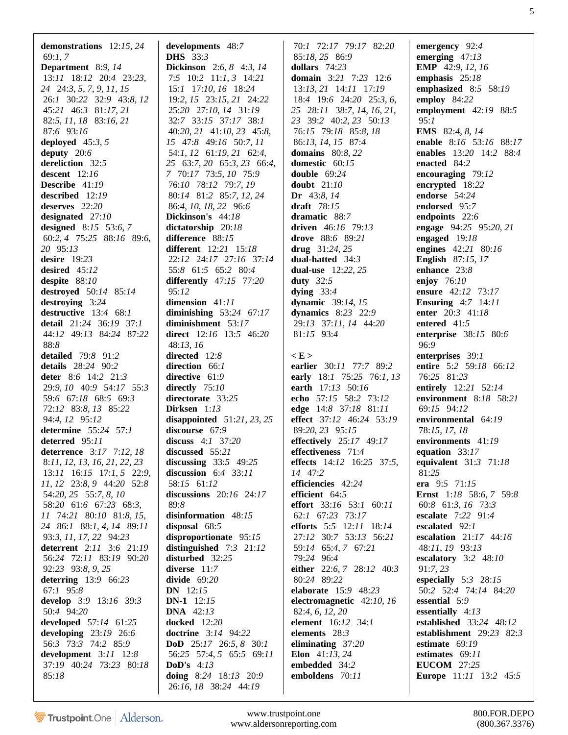**demonstrations** 12:*15*, *24* 69:*1*, *7* **Department** 8:*9*, *14* 13:*11* 18:*12* 20:*4* 23:*23*, *24* 24:*3*, *5*, *7*, *9*, *11*, *15* 26:*1* 30:*22* 32:*9* 43:*8*, *12* 45:*21* 46:*3* 81:*17*, *21* 82:*5*, *11*, *18* 83:*16*, *21* 87:*6* 93:*16* **deployed** 45:*3*, *5* **deputy** 20:*6* **dereliction** 32:*5* **descent** 12:*16* **Describe** 41:*19* **described** 12:*19* **deserves** 22:*20* **designated** 27:*10* **designed** 8:*15* 53:*6*, *7* 60:*2*, *4* 75:*25* 88:*16* 89:*6*, *20* 95:*13* **desire** 19:*23* **desired** 45:*12* **despite** 88:*10* **destroyed** 50:*14* 85:*14* **destroying** 3:*24* **destructive** 13:*4* 68:*1* **detail** 21:*24* 36:*19* 37:*1* 44:*12* 49:*13* 84:*24* 87:*22* 88:*8* **detailed** 79:*8* 91:*2* **details** 28:*24* 90:*2* **deter** 8:*6* 14:*2* 21:*3* 29:*9*, *10* 40:*9* 54:*17* 55:*3* 59:*6* 67:*18* 68:*5* 69:*3* 72:*12* 83:*8*, *13* 85:*22* 94:*4*, *12* 95:*12* **determine** 55:*24* 57:*1* **deterred** 95:*11* **deterrence** 3:*17* 7:*12*, *18* 8:*11*, *12*, *13*, *16*, *21*, *22*, *23* 13:*11* 16:*15* 17:*1*, *5* 22:*9*, *11*, *12* 23:*8*, *9* 44:*20* 52:*8* 54:*20*, *25* 55:*7*, *8*, *10* 58:*20* 61:*6* 67:*23* 68:*3*, *11* 74:*21* 80:*10* 81:*8*, *15*, *24* 86:*1* 88:*1*, *4*, *14* 89:*11* 93:*3*, *11*, *17*, *22* 94:*23* **deterrent** 2:*11* 3:*6* 21:*19* 56:*24* 72:*11* 83:*19* 90:*20* 92:*23* 93:*8*, *9*, *25* **deterring** 13:*9* 66:*23* 67:*1* 95:*8* **develop** 3:*9* 13:*16* 39:*3* 50:*4* 94:*20* **developed** 57:*14* 61:*25* **developing** 23:*19* 26:*6* 56:*3* 73:*3* 74:*2* 85:*9* **development** 3:*11* 12:*8* 37:*19* 40:*24* 73:*23* 80:*18* 85:*18*

**developments** 48:*7* **DHS** 33:*3* **Dickinson** 2:*6*, *8* 4:*3*, *14* 7:*5* 10:*2* 11:*1*, *3* 14:*21* 15:*1* 17:*10*, *16* 18:*24* 19:*2*, *15* 23:*15*, *21* 24:*22* 25:*20* 27:*10*, *14* 31:*19* 32:*7* 33:*15* 37:*17* 38:*1* 40:*20*, *21* 41:*10*, *23* 45:*8*, *15* 47:*8* 49:*16* 50:*7*, *11* 54:*1*, *12* 61:*19*, *21* 62:*4*, *25* 63:*7*, *20* 65:*3*, *23* 66:*4*, *7* 70:*17* 73:*5*, *10* 75:*9* 76:*10* 78:*12* 79:*7*, *19* 80:*14* 81:*2* 85:*7*, *12*, *24* 86:*4*, *10*, *18*, *22* 96:*6* **Dickinson's** 44:*18* **dictatorship** 20:*18* **difference** 88:*15* **different** 12:*21* 15:*18* 22:*12* 24:*17* 27:*16* 37:*14* 55:*8* 61:*5* 65:*2* 80:*4* **differently** 47:*15* 77:*20* 95:*12* **dimension** 41:*11* **diminishing** 53:*24* 67:*17* **diminishment** 53:*17* **direct** 12:*16* 13:*5* 46:*20* 48:*13*, *16* **directed** 12:*8* **direction** 66:*1* **directive** 61:*9* **directly** 75:*10* **directorate** 33:*25* **Dirksen** 1:*13* **disappointed** 51:*21*, *23*, *25* **discourse** 67:*9* **discuss** 4:*1* 37:*20* **discussed** 55:*21* **discussing** 33:*5* 49:*25* **discussion** 6:*4* 33:*11* 58:*15* 61:*12* **discussions** 20:*16* 24:*17* 89:*8* **disinformation** 48:*15* **disposal** 68:*5* **disproportionate** 95:*15* **distinguished** 7:*3* 21:*12* **disturbed** 32:*25* **diverse** 11:*7* **divide** 69:*20* **DN** 12:*15* **DN-1** 12:*15* **DNA** 42:*13* **docked** 12:*20* **doctrine** 3:*14* 94:*22* **DoD** 25:*17* 26:*5*, *8* 30:*1* 56:*25* 57:*4*, *5* 65:*5* 69:*11* **DoD's** 4:*13* **doing** 8:*24* 18:*13* 20:*9* 26:*16*, *18* 38:*24* 44:*19*

 70:*1* 72:*17* 79:*17* 82:*20* 85:*18*, *25* 86:*9* **dollars** 74:*23* **domain** 3:*21* 7:*23* 12:*6* 13:*13*, *21* 14:*11* 17:*19* 18:*4* 19:*6* 24:*20* 25:*3*, *6*, *25* 28:*11* 38:*7*, *14*, *16*, *21*, *23* 39:*2* 40:*2*, *23* 50:*13* 76:*15* 79:*18* 85:*8*, *18* 86:*13*, *14*, *15* 87:*4* **domains** 80:*8*, *22* **domestic** 60:*15* **double** 69:*24* **doubt** 21:*10* **Dr** 43:*8*, *14* **draft** 78:*15* **dramatic** 88:*7* **driven** 46:*16* 79:*13* **drove** 88:*6* 89:*21* **drug** 31:*24*, *25* **dual-hatted** 34:*3* **dual-use** 12:*22*, *25* **duty** 32:*5* **dying** 33:*4* **dynamic** 39:*14*, *15* **dynamics** 8:*23* 22:*9* 29:*13* 37:*11*, *14* 44:*20* 81:*15* 93:*4* **< E > earlier** 30:*11* 77:*7* 89:*2* **early** 18:*1* 75:*25* 76:*1*, *13* **earth** 17:*13* 50:*16* **echo** 57:*15* 58:*2* 73:*12* **edge** 14:*8* 37:*18* 81:*11* **effect** 37:*12* 46:*24* 53:*19* 89:*20*, *23* 95:*15* **effectively** 25:*17* 49:*17* **effectiveness** 71:*4* **effects** 14:*12* 16:*25* 37:*5*, *14* 47:*2* **efficiencies** 42:*24* **efficient** 64:*5* **effort** 33:*16* 53:*1* 60:*11* 62:*1* 67:*23* 73:*17* **efforts** 5:*5* 12:*11* 18:*14* 27:*12* 30:*7* 53:*13* 56:*21* 59:*14* 65:*4*, *7* 67:*21* 79:*24* 96:*4* **either** 22:*6*, *7* 28:*12* 40:*3* 80:*24* 89:*22* **elaborate** 15:*9* 48:*23* **electromagnetic** 42:*10*, *16* 82:*4*, *6*, *12*, *20* **element** 16:*12* 34:*1* **elements** 28:*3* **eliminating** 37:*20* **Elon** 41:*13*, *24* **embedded** 34:*2* **emboldens** 70:*11*

**emergency** 92:*4* **emerging** 47:*13* **EMP** 42:*9*, *12*, *16* **emphasis** 25:*18* **emphasized** 8:*5* 58:*19* **employ** 84:*22* **employment** 42:*19* 88:*5* 95:*1* **EMS** 82:*4*, *8*, *14* **enable** 8:*16* 53:*16* 88:*17* **enables** 13:*20* 14:*2* 88:*4* **enacted** 84:*2* **encouraging** 79:*12* **encrypted** 18:*22* **endorse** 54:*24* **endorsed** 95:*7* **endpoints** 22:*6* **engage** 94:*25* 95:*20*, *21* **engaged** 19:*18* **engines** 42:*21* 80:*16* **English** 87:*15*, *17* **enhance** 23:*8* **enjoy** 76:*10* **ensure** 42:*12* 73:*17* **Ensuring** 4:*7* 14:*11* **enter** 20:*3* 41:*18* **entered** 41:*5* **enterprise** 38:*15* 80:*6* 96:*9* **enterprises** 39:*1* **entire** 5:*2* 59:*18* 66:*12* 76:*25* 81:*23* **entirely** 12:*21* 52:*14* **environment** 8:*18* 58:*21* 69:*15* 94:*12* **environmental** 64:*19* 78:*15*, *17*, *18* **environments** 41:*19* **equation** 33:*17* **equivalent** 31:*3* 71:*18* 81:*25* **era** 9:*5* 71:*15* **Ernst** 1:*18* 58:*6*, *7* 59:*8* 60:*8* 61:*3*, *16* 73:*3* **escalate** 7:*22* 91:*4* **escalated** 92:*1* **escalation** 21:*17* 44:*16* 48:*11*, *19* 93:*13* **escalatory** 3:*2* 48:*10* 91:*7*, *23* **especially** 5:*3* 28:*15* 50:*2* 52:*4* 74:*14* 84:*20* **essential** 5:*9* **essentially** 4:*13* **established** 33:*24* 48:*12* **establishment** 29:*23* 82:*3* **estimate** 69:*19* **estimates** 69:*11* **EUCOM** 27:*25* **Europe** 11:*11* 13:*2* 45:*5*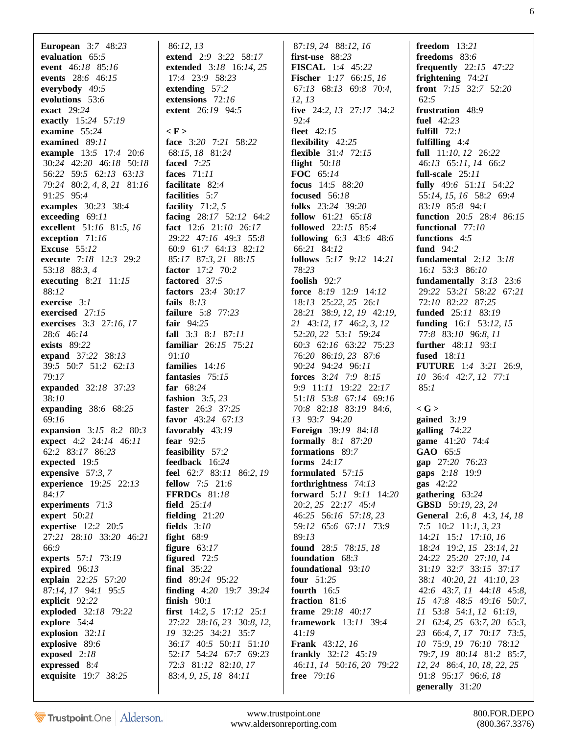**European** 3:*7* 48:*23* **evaluation** 65:*5* **event** 46:*18* 85:*16* **events** 28:*6* 46:*15* **everybody** 49:*5* **evolutions** 53:*6* **exact** 29:*24* **exactly** 15:*24* 57:*19* **examine** 55:*24* **examined** 89:*11* **example** 13:*5* 17:*4* 20:*6* 30:*24* 42:*20* 46:*18* 50:*18* 56:*22* 59:*5* 62:*13* 63:*13* 79:*24* 80:*2*, *4*, *8*, *21* 81:*16* 91:*25* 95:*4* **examples** 30:*23* 38:*4* **exceeding** 69:*11* **excellent** 51:*16* 81:*5*, *16* **exception** 71:*16* **Excuse** 55:*12* **execute** 7:*18* 12:*3* 29:*2* 53:*18* 88:*3*, *4* **executing** 8:*21* 11:*15* 88:*12* **exercise** 3:*1* **exercised** 27:*15* **exercises** 3:*3* 27:*16*, *17* 28:*6* 46:*14* **exists** 89:*22* **expand** 37:*22* 38:*13* 39:*5* 50:*7* 51:*2* 62:*13* 79:*17* **expanded** 32:*18* 37:*23* 38:*10* **expanding** 38:*6* 68:*25* 69:*16* **expansion** 3:*15* 8:*2* 80:*3* **expect** 4:*2* 24:*14* 46:*11* 62:*2* 83:*17* 86:*23* **expected** 19:*5* **expensive** 57:*3*, *7* **experience** 19:*25* 22:*13* 84:*17* **experiments** 71:*3* **expert** 50:*21* **expertise** 12:*2* 20:*5* 27:*21* 28:*10* 33:*20* 46:*21* 66:*9* **experts** 57:*1* 73:*19* **expired** 96:*13* **explain** 22:*25* 57:*20* 87:*14*, *17* 94:*1* 95:*5* **explicit** 92:*22* **exploded** 32:*18* 79:*22* **explore** 54:*4* **explosion** 32:*11* **explosive** 89:*6* **exposed** 2:*18* **expressed** 8:*4* **exquisite** 19:*7* 38:*25*

 86:*12*, *13* **extend** 2:*9* 3:*22* 58:*17* **extended** 3:*18* 16:*14*, *25* 17:*4* 23:*9* 58:*23* **extending** 57:*2* **extensions** 72:*16* **extent** 26:*19* 94:*5* **< F > face** 3:*20* 7:*21* 58:*22* 68:*15*, *18* 81:*24* **faced** 7:*25* **faces** 71:*11* **facilitate** 82:*4* **facilities** 5:*7* **facility** 71:*2*, *5* **facing** 28:*17* 52:*12* 64:*2* **fact** 12:*6* 21:*10* 26:*17* 29:*22* 47:*16* 49:*3* 55:*8* 60:*9* 61:*7* 64:*13* 82:*12* 85:*17* 87:*3*, *21* 88:*15* **factor** 17:*2* 70:*2* **factored** 37:*5* **factors** 23:*4* 30:*17* **fails** 8:*13* **failure** 5:*8* 77:*23* **fair** 94:*25* **fall** 3:*3* 8:*1* 87:*11* **familiar** 26:*15* 75:*21* 91:*10* **families** 14:*16* **fantasies** 75:*15* **far** 68:*24* **fashion** 3:*5*, *23* **faster** 26:*3* 37:*25* **favor** 43:*24* 67:*13* **favorably** 43:*19* **fear** 92:*5* **feasibility** 57:*2* **feedback** 16:*24* **feel** 62:*7* 83:*11* 86:*2*, *19* **fellow** 7:*5* 21:*6* **FFRDCs** 81:*18* **field** 25:*14* **fielding** 21:*20* **fields** 3:*10* **fight** 68:*9* **figure** 63:*17* **figured** 72:*5* **final** 35:*22* **find** 89:*24* 95:*22* **finding** 4:*20* 19:*7* 39:*24* **finish** 90:*1* **first** 14:*2*, *5* 17:*12* 25:*1* 27:*22* 28:*16*, *23* 30:*8*, *12*, *19* 32:*25* 34:*21* 35:*7* 36:*17* 40:*5* 50:*11* 51:*10* 52:*17* 54:*24* 67:*7* 69:*23* 72:*3* 81:*12* 82:*10*, *17* 83:*4*, *9*, *15*, *18* 84:*11*

 87:*19*, *24* 88:*12*, *16* **first-use** 88:*23* **FISCAL** 1:*4* 45:*22* **Fischer** 1:*17* 66:*15*, *16* 67:*13* 68:*13* 69:*8* 70:*4*, *12*, *13* **five** 24:*2*, *13* 27:*17* 34:*2* 92:*4* **fleet** 42:*15* **flexibility** 42:*25* **flexible** 31:*4* 72:*15* **flight** 50:*18* **FOC** 65:*14* **focus** 14:*5* 88:*20* **focused** 56:*18* **folks** 23:*24* 39:*20* **follow** 61:*21* 65:*18* **followed** 22:*15* 85:*4* **following** 6:*3* 43:*6* 48:*6* 66:*21* 84:*12* **follows** 5:*17* 9:*12* 14:*21* 78:*23* **foolish** 92:*7* **force** 8:*19* 12:*9* 14:*12* 18:*13* 25:*22*, *25* 26:*1* 28:*21* 38:*9*, *12*, *19* 42:*19*, *21* 43:*12*, *17* 46:*2*, *3*, *12* 52:*20*, *22* 53:*1* 59:*24* 60:*3* 62:*16* 63:*22* 75:*23* 76:*20* 86:*19*, *23* 87:*6* 90:*24* 94:*24* 96:*11* **forces** 3:*24* 7:*9* 8:*15* 9:*9* 11:*11* 19:*22* 22:*17* 51:*18* 53:*8* 67:*14* 69:*16* 70:*8* 82:*18* 83:*19* 84:*6*, *13* 93:*7* 94:*20* **Foreign** 39:*19* 84:*18* **formally** 8:*1* 87:*20* **formations** 89:*7* **forms** 24:*17* **formulated** 57:*15* **forthrightness** 74:*13* **forward** 5:*11* 9:*11* 14:*20* 20:*2*, *25* 22:*17* 45:*4* 46:*25* 56:*16* 57:*18*, *23* 59:*12* 65:*6* 67:*11* 73:*9* 89:*13* **found** 28:*5* 78:*15*, *18* **foundation** 68:*3* **foundational** 93:*10* **four** 51:*25* **fourth** 16:*5* **fraction** 81:*6* **frame** 29:*18* 40:*17* **framework** 13:*11* 39:*4* 41:*19* **Frank** 43:*12*, *16* **frankly** 32:*12* 45:*19* 46:*11*, *14* 50:*16*, *20* 79:*22* **free** 79:*16*

**freedom** 13:*21* **freedoms** 83:*6* **frequently** 22:*15* 47:*22* **frightening** 74:*21* **front** 7:*15* 32:*7* 52:*20* 62:*5* **frustration** 48:*9* **fuel** 42:*23* **fulfill** 72:*1* **fulfilling** 4:*4* **full** 11:*10*, *12* 26:*22* 46:*13* 65:*11*, *14* 66:*2* **full-scale** 25:*11* **fully** 49:*6* 51:*11* 54:*22* 55:*14*, *15*, *16* 58:*2* 69:*4* 83:*19* 85:*8* 94:*1* **function** 20:*5* 28:*4* 86:*15* **functional** 77:*10* **functions** 4:*5* **fund** 94:*2* **fundamental** 2:*12* 3:*18* 16:*1* 53:*3* 86:*10* **fundamentally** 3:*13* 23:*6* 29:*22* 53:*21* 58:*22* 67:*21* 72:*10* 82:*22* 87:*25* **funded** 25:*11* 83:*19* **funding** 16:*1* 53:*12*, *15* 77:*8* 83:*10* 96:*8*, *11* **further** 48:*11* 93:*1* **fused** 18:*11* **FUTURE** 1:*4* 3:*21* 26:*9*, *10* 36:*4* 42:*7*, *12* 77:*1* 85:*1* **< G > gained** 3:*19* **galling** 74:*22* **game** 41:*20* 74:*4* **GAO** 65:*5* **gap** 27:*20* 76:*23* **gaps** 2:*18* 19:*9* **gas** 42:*22* **gathering** 63:*24* **GBSD** 59:*19*, *23*, *24* **General** 2:*6*, *8* 4:*3*, *14*, *18* 7:*5* 10:*2* 11:*1*, *3*, *23* 14:*21* 15:*1* 17:*10*, *16* 18:*24* 19:*2*, *15* 23:*14*, *21* 24:*22* 25:*20* 27:*10*, *14* 31:*19* 32:*7* 33:*15* 37:*17* 38:*1* 40:*20*, *21* 41:*10*, *23* 42:*6* 43:*7*, *11* 44:*18* 45:*8*, *15* 47:*8* 48:*5* 49:*16* 50:*7*, *11* 53:*8* 54:*1*, *12* 61:*19*, *21* 62:*4*, *25* 63:*7*, *20* 65:*3*, *23* 66:*4*, *7*, *17* 70:*17* 73:*5*, *10* 75:*9*, *19* 76:*10* 78:*12* 79:*7*, *19* 80:*14* 81:*2* 85:*7*, *12*, *24* 86:*4*, *10*, *18*, *22*, *25* 91:*8* 95:*17* 96:*6*, *18* **generally** 31:*20*

Trustpoint.One Alderson.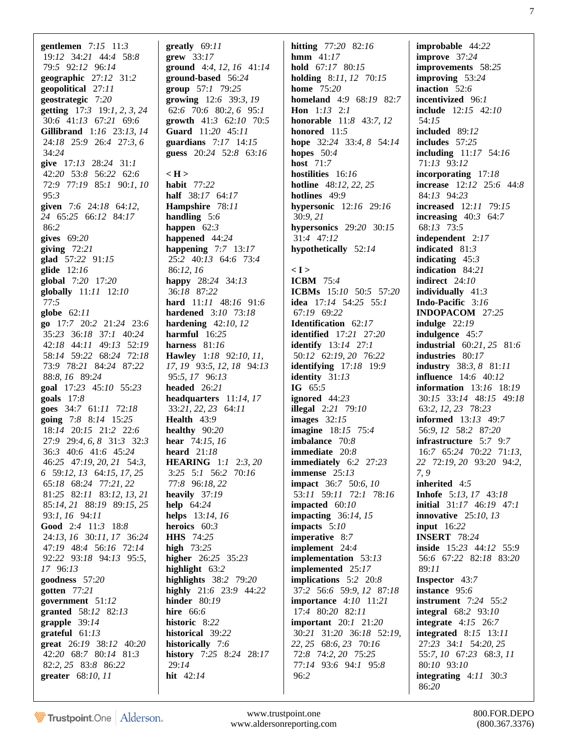**gentlemen** 7:*15* 11:*3* 19:*12* 34:*21* 44:*4* 58:*8* 79:*5* 92:*12* 96:*14* **geographic** 27:*12* 31:*2* **geopolitical** 27:*11* **geostrategic** 7:*20* **getting** 17:*3* 19:*1*, *2*, *3*, *24* 30:*6* 41:*13* 67:*21* 69:*6* **Gillibrand** 1:*16* 23:*13*, *14* 24:*18* 25:*9* 26:*4* 27:*3*, *6* 34:*24* **give** 17:*13* 28:*24* 31:*1* 42:*20* 53:*8* 56:*22* 62:*6* 72:*9* 77:*19* 85:*1* 90:*1*, *10* 95:*3* **given** 7:*6* 24:*18* 64:*12*, *24* 65:*25* 66:*12* 84:*17* 86:*2* **gives** 69:*20* **giving** 72:*21* **glad** 57:*22* 91:*15* **glide** 12:*16* **global** 7:*20* 17:*20* **globally** 11:*11* 12:*10* 77:*5* **globe** 62:*11* **go** 17:*7* 20:*2* 21:*24* 23:*6* 35:*23* 36:*18* 37:*1* 40:*24* 42:*18* 44:*11* 49:*13* 52:*19* 58:*14* 59:*22* 68:*24* 72:*18* 73:*9* 78:*21* 84:*24* 87:*22* 88:*8*, *16* 89:*24* **goal** 17:*23* 45:*10* 55:*23* **goals** 17:*8* **goes** 34:*7* 61:*11* 72:*18* **going** 7:*8* 8:*14* 15:*25* 18:*14* 20:*15* 21:*2* 22:*6* 27:*9* 29:*4*, *6*, *8* 31:*3* 32:*3* 36:*3* 40:*6* 41:*6* 45:*24* 46:*25* 47:*19*, *20*, *21* 54:*3*, *6* 59:*12*, *13* 64:*15*, *17*, *25* 65:*18* 68:*24* 77:*21*, *22* 81:*25* 82:*11* 83:*12*, *13*, *21* 85:*14*, *21* 88:*19* 89:*15*, *25* 93:*1*, *16* 94:*11* **Good** 2:*4* 11:*3* 18:*8* 24:*13*, *16* 30:*11*, *17* 36:*24* 47:*19* 48:*4* 56:*16* 72:*14* 92:*22* 93:*18* 94:*13* 95:*5*, *17* 96:*13* **goodness** 57:*20* **gotten** 77:*21* **government** 51:*12* **granted** 58:*12* 82:*13* **grapple** 39:*14* **grateful** 61:*13* **great** 26:*19* 38:*12* 40:*20* 42:*20* 68:*7* 80:*14* 81:*3* 82:*2*, *25* 83:*8* 86:*22* **greater** 68:*10*, *11*

**greatly** 69:*11* **grew** 33:*17* **ground** 4:*4*, *12*, *16* 41:*14* **ground-based** 56:*24* **group** 57:*1* 79:*25* **growing** 12:*6* 39:*3*, *19* 62:*6* 70:*6* 80:*2*, *6* 95:*1* **growth** 41:*3* 62:*10* 70:*5* **Guard** 11:*20* 45:*11* **guardians** 7:*17* 14:*15* **guess** 20:*24* 52:*8* 63:*16* **< H > habit** 77:*22* **half** 38:*17* 64:*17* **Hampshire** 78:*11* **handling** 5:*6* **happen** 62:*3* **happened** 44:*24* **happening** 7:*7* 13:*17* 25:*2* 40:*13* 64:*6* 73:*4* 86:*12*, *16* **happy** 28:*24* 34:*13* 36:*18* 87:*22* **hard** 11:*11* 48:*16* 91:*6* **hardened** 3:*10* 73:*18* **hardening** 42:*10*, *12* **harmful** 16:*25* **harness** 81:*16* **Hawley** 1:*18* 92:*10*, *11*, *17*, *19* 93:*5*, *12*, *18* 94:*13* 95:*5*, *17* 96:*13* **headed** 26:*21* **headquarters** 11:*14*, *17* 33:*21*, *22*, *23* 64:*11* **Health** 43:*9* **healthy** 90:*20* **hear** 74:*15*, *16* **heard** 21:*18* **HEARING** 1:*1* 2:*3*, *20* 3:*25* 5:*1* 56:*2* 70:*16* 77:*8* 96:*18*, *22* **heavily** 37:*19* **help** 64:*24* **helps** 13:*14*, *16* **heroics** 60:*3* **HHS** 74:*25* **high** 73:*25* **higher** 26:*25* 35:*23* **highlight** 63:*2* **highlights** 38:*2* 79:*20* **highly** 21:*6* 23:*9* 44:*22* **hinder** 80:*19* **hire** 66:*6* **historic** 8:*22* **historical** 39:*22* **historically** 7:*6* **history** 7:*25* 8:*24* 28:*17* 29:*14* **hit** 42:*14*

**hmm** 41:*17* **hold** 67:*17* 80:*15* **holding** 8:*11*, *12* 70:*15* **home** 75:*20* **homeland** 4:*9* 68:*19* 82:*7* **Hon** 1:*13* 2:*1* **honorable** 11:*8* 43:*7*, *12* **honored** 11:*5* **hope** 32:*24* 33:*4*, *8* 54:*14* **hopes** 50:*4* **host** 71:*7* **hostilities** 16:*16* **hotline** 48:*12*, *22*, *25* **hotlines** 49:*9* **hypersonic** 12:*16* 29:*16* 30:*9*, *21* **hypersonics** 29:*20* 30:*15* 31:*4* 47:*12* **hypothetically** 52:*14* **< I > ICBM** 75:*4* **ICBMs** 15:*10* 50:*5* 57:*20* **idea** 17:*14* 54:*25* 55:*1* 67:*19* 69:*22* **Identification** 62:*17* **identified** 17:*21* 27:*20* **identify** 13:*14* 27:*1* 50:*12* 62:*19*, *20* 76:*22* **identifying** 17:*18* 19:*9* **identity** 31:*13* **IG** 65:*5* **ignored** 44:*23* **illegal** 2:*21* 79:*10* **images** 32:*15* **imagine** 18:*15* 75:*4* **imbalance** 70:*8* **immediate** 20:*8* **immediately** 6:*2* 27:*23* **immense** 25:*13* **impact** 36:*7* 50:*6*, *10* 53:*11* 59:*11* 72:*1* 78:*16* **impacted** 60:*10* **impacting** 36:*14*, *15* **impacts** 5:*10* **imperative** 8:*7* **implement** 24:*4* **implementation** 53:*13* **implemented** 25:*17* **implications** 5:*2* 20:*8* 37:*2* 56:*6* 59:*9*, *12* 87:*18* **importance** 4:*10* 11:*21* 17:*4* 80:*20* 82:*11* **important** 20:*1* 21:*20* 30:*21* 31:*20* 36:*18* 52:*19*, *22*, *25* 68:*6*, *23* 70:*16* 72:*8* 74:*2*, *20* 75:*25* 77:*14* 93:*6* 94:*1* 95:*8* 96:*2*

**hitting** 77:*20* 82:*16*

**improbable** 44:*22* **improve** 37:*24* **improvements** 58:*25* **improving** 53:*24* **inaction** 52:*6* **incentivized** 96:*1* **include** 12:*15* 42:*10* 54:*15* **included** 89:*12* **includes** 57:*25* **including** 11:*17* 54:*16* 71:*13* 93:*12* **incorporating** 17:*18* **increase** 12:*12* 25:*6* 44:*8* 84:*13* 94:*23* **increased** 12:*11* 79:*15* **increasing** 40:*3* 64:*7* 68:*13* 73:*5* **independent** 2:*17* **indicated** 81:*3* **indicating** 45:*3* **indication** 84:*21* **indirect** 24:*10* **individually** 41:*3* **Indo-Pacific** 3:*16* **INDOPACOM** 27:*25* **indulge** 22:*19* **indulgence** 45:*7* **industrial** 60:*21*, *25* 81:*6* **industries** 80:*17* **industry** 38:*3*, *8* 81:*11* **influence** 14:*6* 40:*12* **information** 13:*16* 18:*19* 30:*15* 33:*14* 48:*15* 49:*18* 63:*2*, *12*, *23* 78:*23* **informed** 13:*13* 49:*7* 56:*9*, *12* 58:*2* 87:*20* **infrastructure** 5:*7* 9:*7* 16:*7* 65:*24* 70:*22* 71:*13*, *22* 72:*19*, *20* 93:*20* 94:*2*, *7*, *9* **inherited** 4:*5* **Inhofe** 5:*13*, *17* 43:*18* **initial** 31:*17* 46:*19* 47:*1* **innovative** 25:*10*, *13* **input** 16:*22* **INSERT** 78:*24* **inside** 15:*23* 44:*12* 55:*9* 56:*6* 67:*22* 82:*18* 83:*20* 89:*11* **Inspector** 43:*7* **instance** 95:*6* **instrument** 7:*24* 55:*2* **integral** 68:*2* 93:*10* **integrate** 4:*15* 26:*7* **integrated** 8:*15* 13:*11* 27:*23* 34:*1* 54:*20*, *25* 55:*7*, *10* 67:*23* 68:*3*, *11* 80:*10* 93:*10* **integrating** 4:*11* 30:*3* 86:*20*

7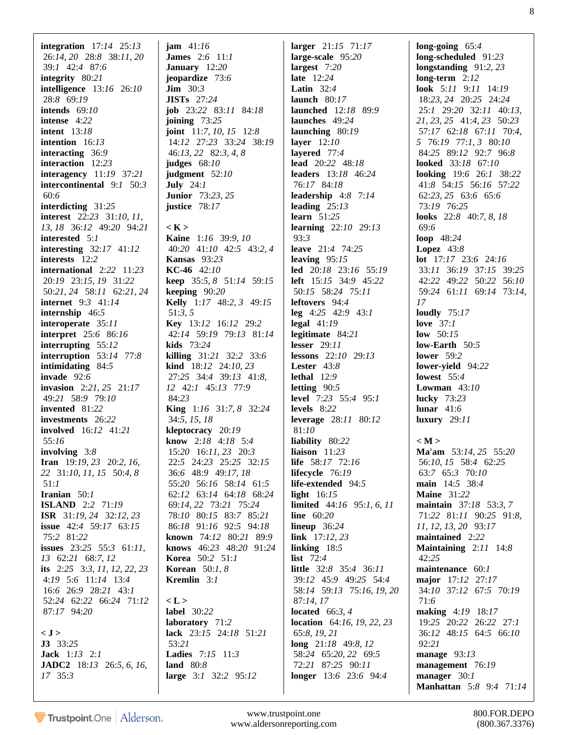**integration** 17:*14* 25:*13* 26:*14*, *20* 28:*8* 38:*11*, *20* 39:*1* 42:*4* 87:*6* **integrity** 80:*21* **intelligence** 13:*16* 26:*10* 28:*8* 69:*19* **intends** 69:*10* **intense** 4:*22* **intent** 13:*18* **intention** 16:*13* **interacting** 36:*9* **interaction** 12:*23* **interagency** 11:*19* 37:*21* **intercontinental** 9:*1* 50:*3* 60:*6* **interdicting** 31:*25* **interest** 22:*23* 31:*10*, *11*, *13*, *18* 36:*12* 49:*20* 94:*21* **interested** 5:*1* **interesting** 32:*17* 41:*12* **interests** 12:*2* **international** 2:*22* 11:*23* 20:*19* 23:*15*, *19* 31:*22* 50:*21*, *24* 58:*11* 62:*21*, *24* **internet** 9:*3* 41:*14* **internship** 46:*5* **interoperate** 35:*11* **interpret** 25:*6* 86:*16* **interrupting** 55:*12* **interruption** 53:*14* 77:*8* **intimidating** 84:*5* **invade** 92:*6* **invasion** 2:*21*, *25* 21:*17* 49:*21* 58:*9* 79:*10* **invented** 81:*22* **investments** 26:*22* **involved** 16:*12* 41:*21* 55:*16* **involving** 3:*8* **Iran** 19:*19*, *23* 20:*2*, *16*, *22* 31:*10*, *11*, *15* 50:*4*, *8* 51:*1* **Iranian** 50:*1* **ISLAND** 2:*2* 71:*19* **ISR** 31:*19*, *24* 32:*12*, *23* **issue** 42:*4* 59:*17* 63:*15* 75:*2* 81:*22* **issues** 23:*25* 55:*3* 61:*11*, *13* 62:*21* 68:*7*, *12* **its** 2:*25* 3:*3*, *11*, *12*, *22*, *23* 4:*19* 5:*6* 11:*14* 13:*4* 16:*6* 26:*9* 28:*21* 43:*1* 52:*24* 62:*22* 66:*24* 71:*12* 87:*17* 94:*20*

## **< J >**

**J3** 33:*25* **Jack** 1:*13* 2:*1* **JADC2** 18:*13* 26:*5*, *6*, *16*, *17* 35:*3*

**jam** 41:*16* **James** 2:*6* 11:*1* **January** 12:*20* **jeopardize** 73:*6* **Jim** 30:*3* **JISTs** 27:*24* **job** 23:*22* 83:*11* 84:*18* **joining** 73:*25* **joint** 11:*7*, *10*, *15* 12:*8* 14:*12* 27:*23* 33:*24* 38:*19* 46:*13*, *22* 82:*3*, *4*, *8* **judges** 68:*10* **judgment** 52:*10* **July** 24:*1* **Junior** 73:*23*, *25* **justice** 78:*17*

**< K > Kaine** 1:*16* 39:*9*, *10* 40:*20* 41:*10* 42:*5* 43:*2*, *4* **Kansas** 93:*23* **KC-46** 42:*10* **keep** 35:*5*, *8* 51:*14* 59:*15* **keeping** 90:*20* **Kelly** 1:*17* 48:*2*, *3* 49:*15* 51:*3*, *5* **Key** 13:*12* 16:*12* 29:*2* 42:*14* 59:*19* 79:*13* 81:*14* **kids** 73:*24* **killing** 31:*21* 32:*2* 33:*6* **kind** 18:*12* 24:*10*, *23* 27:*25* 34:*4* 39:*13* 41:*8*, *12* 42:*1* 45:*13* 77:*9* 84:*23* **King** 1:*16* 31:*7*, *8* 32:*24* 34:*5*, *15*, *18* **kleptocracy** 20:*19* **know** 2:*18* 4:*18* 5:*4* 15:*20* 16:*11*, *23* 20:*3* 22:*5* 24:*23* 25:*25* 32:*15* 36:*6* 48:*9* 49:*17*, *18* 55:*20* 56:*16* 58:*14* 61:*5* 62:*12* 63:*14* 64:*18* 68:*24* 69:*14*, *22* 73:*21* 75:*24* 78:*10* 80:*15* 83:*7* 85:*21* 86:*18* 91:*16* 92:*5* 94:*18* **known** 74:*12* 80:*21* 89:*9* **knows** 46:*23* 48:*20* 91:*24* **Korea** 50:*2* 51:*1* **Korean** 50:*1*, *8* **Kremlin** 3:*1*

**< L > label** 30:*22* **laboratory** 71:*2* **lack** 23:*15* 24:*18* 51:*21* 53:*21* **Ladies** 7:*15* 11:*3* **land** 80:*8* **large** 3:*1* 32:*2* 95:*12*

**larger** 21:*15* 71:*17* **large-scale** 95:*20* **largest** 7:*20* **late** 12:*24* **Latin** 32:*4* **launch** 80:*17* **launched** 12:*18* 89:*9* **launches** 49:*24* **launching** 80:*19* **layer** 12:*10* **layered** 77:*4* **lead** 20:*22* 48:*18* **leaders** 13:*18* 46:*24* 76:*17* 84:*18* **leadership** 4:*8* 7:*14* **leading** 25:*13* **learn** 51:*25* **learning** 22:*10* 29:*13* 93:*3* **leave** 21:*4* 74:*25* **leaving** 95:*15* **led** 20:*18* 23:*16* 55:*19* **left** 15:*15* 34:*9* 45:*22* 50:*15* 58:*24* 75:*11* **leftovers** 94:*4* **leg** 4:*25* 42:*9* 43:*1* **legal** 41:*19* **legitimate** 84:*21* **lesser** 29:*11* **lessons** 22:*10* 29:*13* **Lester** 43:*8* **lethal** 12:*9* **letting** 90:*5* **level** 7:*23* 55:*4* 95:*1* **levels** 8:*22* **leverage** 28:*11* 80:*12* 81:*10* **liability** 80:*22* **liaison** 11:*23* **life** 58:*17* 72:*16* **lifecycle** 76:*19* **life-extended** 94:*5* **light** 16:*15* **limited** 44:*16* 95:*1*, *6*, *11* **line** 60:*20* **lineup** 36:*24* **link** 17:*12*, *23* **linking** 18:*5* **list** 72:*4* **little** 32:*8* 35:*4* 36:*11* 39:*12* 45:*9* 49:*25* 54:*4* 58:*14* 59:*13* 75:*16*, *19*, *20* 87:*14*, *17* **located** 66:*3*, *4* **location** 64:*16*, *19*, *22*, *23* 65:*8*, *19*, *21* **long** 21:*18* 49:*8*, *12* 58:*24* 65:*20*, *22* 69:*5* 72:*21* 87:*25* 90:*11* **longer** 13:*6* 23:*6* 94:*4*

**long-going** 65:*4* **long-scheduled** 91:*23* **longstanding** 91:*2*, *23* **long-term** 2:*12* **look** 5:*11* 9:*11* 14:*19* 18:*23*, *24* 20:*25* 24:*24* 25:*1* 29:*20* 32:*11* 40:*13*, *21*, *23*, *25* 41:*4*, *23* 50:*23* 57:*17* 62:*18* 67:*11* 70:*4*, *5* 76:*19* 77:*1*, *3* 80:*10* 84:*25* 89:*12* 92:*7* 96:*8* **looked** 33:*18* 67:*10* **looking** 19:*6* 26:*1* 38:*22* 41:*8* 54:*15* 56:*16* 57:*22* 62:*23*, *25* 63:*6* 65:*6* 73:*19* 76:*25* **looks** 22:*8* 40:*7*, *8*, *18* 69:*6* **loop** 48:*24* **Lopez** 43:*8* **lot** 17:*17* 23:*6* 24:*16* 33:*11* 36:*19* 37:*15* 39:*25* 42:*22* 49:*22* 50:*22* 56:*10* 59:*24* 61:*11* 69:*14* 73:*14*, *17* **loudly** 75:*17* **love** 37:*1* **low** 50:*15* **low-Earth** 50:*5* **lower** 59:*2* **lower-yield** 94:*22* **lowest** 55:*4* **Lowman** 43:*10* **lucky** 73:*23* **lunar** 41:*6* **luxury** 29:*11* **< M > Ma'am** 53:*14*, *25* 55:*20* 56:*10*, *15* 58:*4* 62:*25* 63:*7* 65:*3* 70:*10* **main** 14:*5* 38:*4* **Maine** 31:*22* **maintain** 37:*18* 53:*3*, *7* 71:*22* 81:*11* 90:*25* 91:*8*, *11*, *12*, *13*, *20* 93:*17* **maintained** 2:*22* **Maintaining** 2:*11* 14:*8* 42:*25* **maintenance** 60:*1* **major** 17:*12* 27:*17* 34:*10* 37:*12* 67:*5* 70:*19* 71:*6* **making** 4:*19* 18:*17* 19:*25* 20:*22* 26:*22* 27:*1* 36:*12* 48:*15* 64:*5* 66:*10* 92:*21* **manage** 93:*13* **management** 76:*19* **manager** 30:*1* **Manhattan** 5:*8* 9:*4* 71:*14*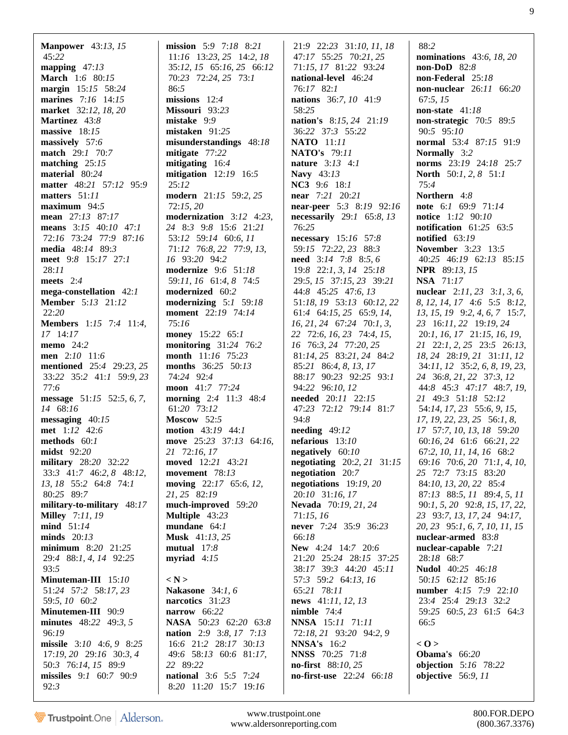**Manpower** 43:*13*, *15* 45:*22* **mapping** 47:*13* **March** 1:*6* 80:*15* **margin** 15:*15* 58:*24* **marines** 7:*16* 14:*15* **market** 32:*12*, *18*, *20* **Martinez** 43:*8* **massive** 18:*15* **massively** 57:*6* **match** 29:*1* 70:*7* **matching** 25:*15* **material** 80:*24* **matter** 48:*21* 57:*12* 95:*9* **matters** 51:*11* **maximum** 94:*5* **mean** 27:*13* 87:*17* **means** 3:*15* 40:*10* 47:*1* 72:*16* 73:*24* 77:*9* 87:*16* **media** 48:*14* 89:*3* **meet** 9:*8* 15:*17* 27:*1* 28:*11* **meets** 2:*4* **mega-constellation** 42:*1* **Member** 5:*13* 21:*12* 22:*20* **Members** 1:*15* 7:*4* 11:*4*, *17* 14:*17* **memo** 24:*2* **men** 2:*10* 11:*6* **mentioned** 25:*4* 29:*23*, *25* 33:*22* 35:*2* 41:*1* 59:*9*, *23* 77:*6* **message** 51:*15* 52:*5*, *6*, *7*, *14* 68:*16* **messaging** 40:*15* **met** 1:*12* 42:*6* **methods** 60:*1* **midst** 92:*20* **military** 28:*20* 32:*22* 33:*3* 41:*7* 46:*2*, *8* 48:*12*, *13*, *18* 55:*2* 64:*8* 74:*1* 80:*25* 89:*7* **military-to-military** 48:*17* **Milley** 7:*11*, *19* **mind** 51:*14* **minds** 20:*13* **minimum** 8:*20* 21:*25* 29:*4* 88:*1*, *4*, *14* 92:*25* 93:*5* **Minuteman-III** 15:*10* 51:*24* 57:*2* 58:*17*, *23* 59:*5*, *10* 60:*2* **Minutemen-III** 90:*9* **minutes** 48:*22* 49:*3*, *5* 96:*19* **missile** 3:*10* 4:*6*, *9* 8:*25* 17:*19*, *20* 29:*16* 30:*3*, *4* 50:*3* 76:*14*, *15* 89:*9* **missiles** 9:*1* 60:*7* 90:*9* 92:*3*

**mission** 5:*9* 7:*18* 8:*21* 11:*16* 13:*23*, *25* 14:*2*, *18* 35:*12*, *15* 65:*16*, *25* 66:*12* 70:*23* 72:*24*, *25* 73:*1* 86:*5* **missions** 12:*4* **Missouri** 93:*23* **mistake** 9:*9* **mistaken** 91:*25* **misunderstandings** 48:*18* **mitigate** 77:*22* **mitigating** 16:*4* **mitigation** 12:*19* 16:*5* 25:*12* **modern** 21:*15* 59:*2*, *25* 72:*15*, *20* **modernization** 3:*12* 4:*23*, *24* 8:*3* 9:*8* 15:*6* 21:*21* 53:*12* 59:*14* 60:*6*, *11* 71:*12* 76:*8*, *22* 77:*9*, *13*, *16* 93:*20* 94:*2* **modernize** 9:*6* 51:*18* 59:*11*, *16* 61:*4*, *8* 74:*5* **modernized** 60:*2* **modernizing** 5:*1* 59:*18* **moment** 22:*19* 74:*14* 75:*16* **money** 15:*22* 65:*1* **monitoring** 31:*24* 76:*2* **month** 11:*16* 75:*23* **months** 36:*25* 50:*13* 74:*24* 92:*4* **moon** 41:*7* 77:*24* **morning** 2:*4* 11:*3* 48:*4* 61:*20* 73:*12* **Moscow** 52:*5* **motion** 43:*19* 44:*1* **move** 25:*23* 37:*13* 64:*16*, *21* 72:*16*, *17* **moved** 12:*21* 43:*21* **movement** 78:*13* **moving** 22:*17* 65:*6*, *12*, *21*, *25* 82:*19* **much-improved** 59:*20* **Multiple** 43:*23* **mundane** 64:*1* **Musk** 41:*13*, *25* **mutual** 17:*8* **myriad** 4:*15* **< N > Nakasone** 34:*1*, *6* **narcotics** 31:*23* **narrow** 66:*22* **NASA** 50:*23* 62:*20* 63:*8* **nation** 2:*9* 3:*8*, *17* 7:*13* 16:*6* 21:*2* 28:*17* 30:*13* 49:*6* 58:*13* 60:*6* 81:*17*, *22* 89:*22* **national** 3:*6* 5:*5* 7:*24*

 21:*9* 22:*23* 31:*10*, *11*, *18* 47:*17* 55:*25* 70:*21*, *25* 71:*15*, *17* 81:*22* 93:*24* **national-level** 46:*24* 76:*17* 82:*1* **nations** 36:*7*, *10* 41:*9* 58:*25* **nation's** 8:*15*, *24* 21:*19* 36:*22* 37:*3* 55:*22* **NATO** 11:*11* **NATO's** 79:*11* **nature** 3:*13* 4:*1* **Navy** 43:*13* **NC3** 9:*6* 18:*1* **near** 7:*21* 20:*21* **near-peer** 5:*3* 8:*19* 92:*16* **necessarily** 29:*1* 65:*8*, *13* 76:*25* **necessary** 15:*16* 57:*8* 59:*15* 72:*22*, *23* 88:*3* **need** 3:*14* 7:*8* 8:*5*, *6* 19:*8* 22:*1*, *3*, *14* 25:*18* 29:*5*, *15* 37:*15*, *23* 39:*21* 44:*8* 45:*25* 47:*6*, *13* 51:*18*, *19* 53:*13* 60:*12*, *22* 61:*4* 64:*15*, *25* 65:*9*, *14*, *16*, *21*, *24* 67:*24* 70:*1*, *3*, *22* 72:*6*, *16*, *23* 74:*4*, *15*, *16* 76:*3*, *24* 77:*20*, *25* 81:*14*, *25* 83:*21*, *24* 84:*2* 85:*21* 86:*4*, *8*, *13*, *17* 88:*17* 90:*23* 92:*25* 93:*1* 94:*22* 96:*10*, *12* **needed** 20:*11* 22:*15* 47:*23* 72:*12* 79:*14* 81:*7* 94:*8* **needing** 49:*12* **nefarious** 13:*10* **negatively** 60:*10* **negotiating** 20:*2*, *21* 31:*15* **negotiation** 20:*7* **negotiations** 19:*19*, *20* 20:*10* 31:*16*, *17* **Nevada** 70:*19*, *21*, *24* 71:*15*, *16* **never** 7:*24* 35:*9* 36:*23* 66:*18* **New** 4:*24* 14:*7* 20:*6* 21:*20* 25:*24* 28:*15* 37:*25* 38:*17* 39:*3* 44:*20* 45:*11* 57:*3* 59:*2* 64:*13*, *16* 65:*21* 78:*11* **news** 41:*11*, *12*, *13* **nimble** 74:*4* **NNSA** 15:*11* 71:*11* 72:*18*, *21* 93:*20* 94:*2*, *9* **NNSA's** 16:*2* **NNSS** 70:*25* 71:*8* **no-first** 88:*10*, *25* **no-first-use** 22:*24* 66:*18*

 88:*2* **nominations** 43:*6*, *18*, *20* **non-DoD** 82:*8* **non-Federal** 25:*18* **non-nuclear** 26:*11* 66:*20* 67:*5*, *15* **non-state** 41:*18* **non-strategic** 70:*5* 89:*5* 90:*5* 95:*10* **normal** 53:*4* 87:*15* 91:*9* **Normally** 3:*2* **norms** 23:*19* 24:*18* 25:*7* **North** 50:*1*, *2*, *8* 51:*1* 75:*4* **Northern** 4:*8* **note** 6:*1* 69:*9* 71:*14* **notice** 1:*12* 90:*10* **notification** 61:*25* 63:*5* **notified** 63:*19* **November** 3:*23* 13:*5* 40:*25* 46:*19* 62:*13* 85:*15* **NPR** 89:*13*, *15* **NSA** 71:*17* **nuclear** 2:*11*, *23* 3:*1*, *3*, *6*, *8*, *12*, *14*, *17* 4:*6* 5:*5* 8:*12*, *13*, *15*, *19* 9:*2*, *4*, *6*, *7* 15:*7*, *23* 16:*11*, *22* 19:*19*, *24* 20:*1*, *16*, *17* 21:*15*, *16*, *19*, *21* 22:*1*, *2*, *25* 23:*5* 26:*13*, *18*, *24* 28:*19*, *21* 31:*11*, *12* 34:*11*, *12* 35:*2*, *6*, *8*, *19*, *23*, *24* 36:*8*, *21*, *22* 37:*3*, *12* 44:*8* 45:*3* 47:*17* 48:*7*, *19*, *21* 49:*3* 51:*18* 52:*12* 54:*14*, *17*, *23* 55:*6*, *9*, *15*, *17*, *19*, *22*, *23*, *25* 56:*1*, *8*, *17* 57:*7*, *10*, *13*, *18* 59:*20* 60:*16*, *24* 61:*6* 66:*21*, *22* 67:*2*, *10*, *11*, *14*, *16* 68:*2* 69:*16* 70:*6*, *20* 71:*1*, *4*, *10*, *25* 72:*7* 73:*15* 83:*20* 84:*10*, *13*, *20*, *22* 85:*4* 87:*13* 88:*5*, *11* 89:*4*, *5*, *11* 90:*1*, *5*, *20* 92:*8*, *15*, *17*, *22*, *23* 93:*7*, *13*, *17*, *24* 94:*17*, *20*, *23* 95:*1*, *6*, *7*, *10*, *11*, *15* **nuclear-armed** 83:*8* **nuclear-capable** 7:*21* 28:*18* 68:*7* **Nudol** 40:*25* 46:*18* 50:*15* 62:*12* 85:*16* **number** 4:*15* 7:*9* 22:*10* 23:*4* 25:*4* 29:*13* 32:*2* 59:*25* 60:*5*, *23* 61:*5* 64:*3* 66:*5*

 $< 0 >$ **Obama's** 66:*20* **objection** 5:*16* 78:*22* **objective** 56:*9*, *11*

8:*20* 11:*20* 15:*7* 19:*16*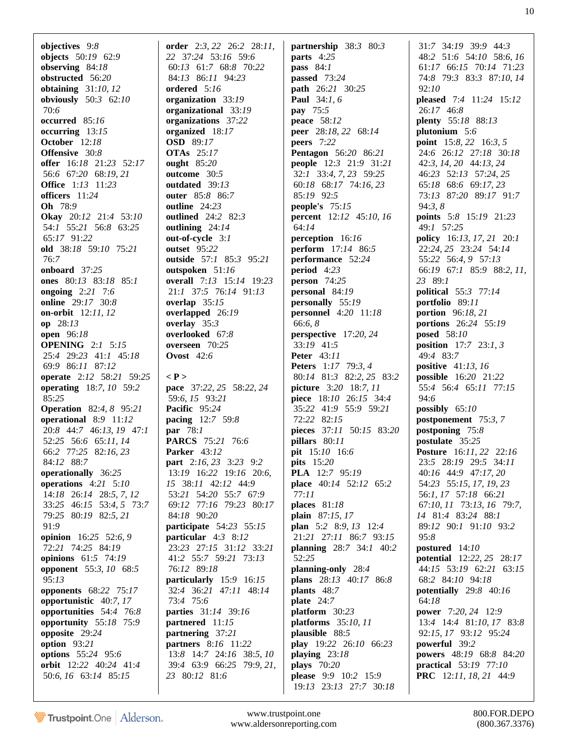**objectives** 9:*8* **objects** 50:*19* 62:*9* **observing** 84:*18* **obstructed** 56:*20* **obtaining** 31:*10*, *12* **obviously** 50:*3* 62:*10* 70:*6* **occurred** 85:*16* **occurring** 13:*15* **October** 12:*18* **Offensive** 30:*8* **offer** 16:*18* 21:*23* 52:*17* 56:*6* 67:*20* 68:*19*, *21* **Office** 1:*13* 11:*23* **officers** 11:*24* **Oh** 78:*9* **Okay** 20:*12* 21:*4* 53:*10* 54:*1* 55:*21* 56:*8* 63:*25* 65:*17* 91:*22* **old** 38:*18* 59:*10* 75:*21* 76:*7* **onboard** 37:*25* **ones** 80:*13* 83:*18* 85:*1* **ongoing** 2:*21* 7:*6* **online** 29:*17* 30:*8* **on-orbit** 12:*11*, *12* **op** 28:*13* **open** 96:*18* **OPENING** 2:*1* 5:*15* 25:*4* 29:*23* 41:*1* 45:*18* 69:*9* 86:*11* 87:*12* **operate** 2:*12* 58:*21* 59:*25* **operating** 18:*7*, *10* 59:*2* 85:*25* **Operation** 82:*4*, *8* 95:*21* **operational** 8:*9* 11:*12* 20:*8* 44:*7* 46:*13*, *19* 47:*1* 52:*25* 56:*6* 65:*11*, *14* 66:*2* 77:*25* 82:*16*, *23* 84:*12* 88:*7* **operationally** 36:*25* **operations** 4:*21* 5:*10* 14:*18* 26:*14* 28:*5*, *7*, *12* 33:*25* 46:*15* 53:*4*, *5* 73:*7* 79:*25* 80:*19* 82:*5*, *21* 91:*9* **opinion** 16:*25* 52:*6*, *9* 72:*21* 74:*25* 84:*19* **opinions** 61:*5* 74:*19* **opponent** 55:*3*, *10* 68:*5* 95:*13* **opponents** 68:*22* 75:*17* **opportunistic** 40:*7*, *17* **opportunities** 54:*4* 76:*8* **opportunity** 55:*18* 75:*9* **opposite** 29:*24* **option** 93:*21* **options** 55:*24* 95:*6* **orbit** 12:*22* 40:*24* 41:*4* 50:*6*, *16* 63:*14* 85:*15*

**order** 2:*3*, *22* 26:*2* 28:*11*, *22* 37:*24* 53:*16* 59:*6* 60:*13* 61:*7* 68:*8* 70:*22* 84:*13* 86:*11* 94:*23* **ordered** 5:*16* **organization** 33:*19* **organizational** 33:*19* **organizations** 37:*22* **organized** 18:*17* **OSD** 89:*17* **OTAs** 25:*17* **ought** 85:*20* **outcome** 30:*5* **outdated** 39:*13* **outer** 85:*8* 86:*7* **outline** 24:*23* **outlined** 24:*2* 82:*3* **outlining** 24:*14* **out-of-cycle** 3:*1* **outset** 95:*22* **outside** 57:*1* 85:*3* 95:*21* **outspoken** 51:*16* **overall** 7:*13* 15:*14* 19:*23* 21:*1* 37:*5* 76:*14* 91:*13* **overlap** 35:*15* **overlapped** 26:*19* **overlay** 35:*3* **overlooked** 67:*8* **overseen** 70:*25* **Ovost** 42:*6* **< P > pace** 37:*22*, *25* 58:*22*, *24* 59:*6*, *15* 93:*21* **Pacific** 95:*24* **pacing** 12:*7* 59:*8* **par** 78:*1* **PARCS** 75:*21* 76:*6* **Parker** 43:*12* **part** 2:*16*, *23* 3:*23* 9:*2* 13:*19* 16:*22* 19:*16* 20:*6*, *15* 38:*11* 42:*12* 44:*9* 53:*21* 54:*20* 55:*7* 67:*9* 69:*12* 77:*16* 79:*23* 80:*17* 84:*18* 90:*20* **participate** 54:*23* 55:*15* **particular** 4:*3* 8:*12* 23:*23* 27:*15* 31:*12* 33:*21* 41:*2* 55:*7* 59:*21* 73:*13* 76:*12* 89:*18* **particularly** 15:*9* 16:*15* 32:*4* 36:*21* 47:*11* 48:*14* 73:*4* 75:*6* **parties** 31:*14* 39:*16* **partnered** 11:*15* **partnering** 37:*21* **partners** 8:*16* 11:*22* 13:*8* 14:*7* 24:*16* 38:*5*, *10* 39:*4* 63:*9* 66:*25* 79:*9*, *21*, *23* 80:*12* 81:*6*

**partnership** 38:*3* 80:*3* **parts** 4:*25* **pass** 84:*1* **passed** 73:*24* **path** 26:*21* 30:*25* **Paul** 34:*1*, *6* **pay** 75:*5* **peace** 58:*12* **peer** 28:*18*, *22* 68:*14* **peers** 7:*22* **Pentagon** 56:*20* 86:*21* **people** 12:*3* 21:*9* 31:*21* 32:*1* 33:*4*, *7*, *23* 59:*25* 60:*18* 68:*17* 74:*16*, *23* 85:*19* 92:*5* **people's** 75:*15* **percent** 12:*12* 45:*10*, *16* 64:*14* **perception** 16:*16* **perform** 17:*14* 86:*5* **performance** 52:*24* **period** 4:*23* **person** 74:*25* **personal** 84:*19* **personally** 55:*19* **personnel** 4:*20* 11:*18* 66:*6*, *8* **perspective** 17:*20*, *24* 33:*19* 41:*5* **Peter** 43:*11* **Peters** 1:*17* 79:*3*, *4* 80:*14* 81:*3* 82:*2*, *25* 83:*2* **picture** 3:*20* 18:*7*, *11* **piece** 18:*10* 26:*15* 34:*4* 35:*22* 41:*9* 55:*9* 59:*21* 72:*22* 82:*15* **pieces** 37:*11* 50:*15* 83:*20* **pillars** 80:*11* **pit** 15:*10* 16:*6* **pits** 15:*20* **PLA** 12:*7* 95:*19* **place** 40:*14* 52:*12* 65:*2* 77:*11* **places** 81:*18* **plain** 87:*15*, *17* **plan** 5:*2* 8:*9*, *13* 12:*4* 21:*21* 27:*11* 86:*7* 93:*15* **planning** 28:*7* 34:*1* 40:*2* 52:*25* **planning-only** 28:*4* **plans** 28:*13* 40:*17* 86:*8* **plants** 48:*7* **plate** 24:*7* **platform** 30:*23* **platforms** 35:*10*, *11* **plausible** 88:*5* **play** 19:*22* 26:*10* 66:*23* **playing** 23:*18* **plays** 70:*20* **please** 9:*9* 10:*2* 15:*9* 19:*13* 23:*13* 27:*7* 30:*18*

 31:*7* 34:*19* 39:*9* 44:*3* 48:*2* 51:*6* 54:*10* 58:*6*, *16* 61:*17* 66:*15* 70:*14* 71:*23* 74:*8* 79:*3* 83:*3* 87:*10*, *14* 92:*10* **pleased** 7:*4* 11:*24* 15:*12* 26:*17* 46:*8* **plenty** 55:*18* 88:*13* **plutonium** 5:*6* **point** 15:*8*, *22* 16:*3*, *5* 24:*6* 26:*12* 27:*18* 30:*18* 42:*3*, *14*, *20* 44:*13*, *24* 46:*23* 52:*13* 57:*24*, *25* 65:*18* 68:*6* 69:*17*, *23* 73:*13* 87:*20* 89:*17* 91:*7* 94:*3*, *8* **points** 5:*8* 15:*19* 21:*23* 49:*1* 57:*25* **policy** 16:*13*, *17*, *21* 20:*1* 22:*24*, *25* 23:*24* 54:*14* 55:*22* 56:*4*, *9* 57:*13* 66:*19* 67:*1* 85:*9* 88:*2*, *11*, *23* 89:*1* **political** 55:*3* 77:*14* **portfolio** 89:*11* **portion** 96:*18*, *21* **portions** 26:*24* 55:*19* **posed** 58:*10* **position** 17:*7* 23:*1*, *3* 49:*4* 83:*7* **positive** 41:*13*, *16* **possible** 16:*20* 21:*22* 55:*4* 56:*4* 65:*11* 77:*15* 94:*6* **possibly** 65:*10* **postponement** 75:*3*, *7* **postponing** 75:*8* **postulate** 35:*25* **Posture** 16:*11*, *22* 22:*16* 23:*5* 28:*19* 29:*5* 34:*11* 40:*16* 44:*9* 47:*17*, *20* 54:*23* 55:*15*, *17*, *19*, *23* 56:*1*, *17* 57:*18* 66:*21* 67:*10*, *11* 73:*13*, *16* 79:*7*, *14* 81:*4* 83:*24* 88:*1* 89:*12* 90:*1* 91:*10* 93:*2* 95:*8* **postured** 14:*10* **potential** 12:*22*, *25* 28:*17* 44:*15* 53:*19* 62:*21* 63:*15* 68:*2* 84:*10* 94:*18* **potentially** 29:*8* 40:*16* 64:*18* **power** 7:*20*, *24* 12:*9* 13:*4* 14:*4* 81:*10*, *17* 83:*8* 92:*15*, *17* 93:*12* 95:*24* **powerful** 39:*2* **powers** 48:*19* 68:*8* 84:*20* **practical** 53:*19* 77:*10* **PRC** 12:*11*, *18*, *21* 44:*9*

Trustpoint.One Alderson.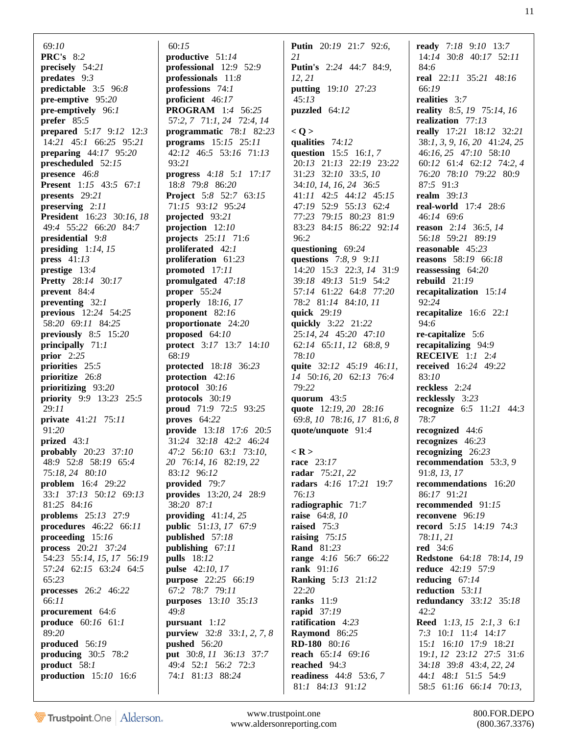69:*10* **PRC's** 8:*2* **precisely** 54:*21* **predates** 9:*3* **predictable** 3:*5* 96:*8* **pre-emptive** 95:*20* **pre-emptively** 96:*1* **prefer** 85:*5* **prepared** 5:*17* 9:*12* 12:*3* 14:*21* 45:*1* 66:*25* 95:*21* **preparing** 44:*17* 95:*20* **prescheduled** 52:*15* **presence** 46:*8* **Present** 1:*15* 43:*5* 67:*1* **presents** 29:*21* **preserving** 2:*11* **President** 16:*23* 30:*16*, *18* 49:*4* 55:*22* 66:*20* 84:*7* **presidential** 9:*8* **presiding** 1:*14*, *15* **press** 41:*13* **prestige** 13:*4* **Pretty** 28:*14* 30:*17* **prevent** 84:*4* **preventing** 32:*1* **previous** 12:*24* 54:*25* 58:*20* 69:*11* 84:*25* **previously** 8:*5* 15:*20* **principally** 71:*1* **prior** 2:*25* **priorities** 25:*5* **prioritize** 26:*8* **prioritizing** 93:*20* **priority** 9:*9* 13:*23* 25:*5* 29:*11* **private** 41:*21* 75:*11* 91:*20* **prized** 43:*1* **probably** 20:*23* 37:*10* 48:*9* 52:*8* 58:*19* 65:*4* 75:*18*, *24* 80:*10* **problem** 16:*4* 29:*22* 33:*1* 37:*13* 50:*12* 69:*13* 81:*25* 84:*16* **problems** 25:*13* 27:*9* **procedures** 46:*22* 66:*11* **proceeding** 15:*16* **process** 20:*21* 37:*24* 54:*23* 55:*14*, *15*, *17* 56:*19* 57:*24* 62:*15* 63:*24* 64:*5* 65:*23* **processes** 26:*2* 46:*22* 66:*11* **procurement** 64:*6* **produce** 60:*16* 61:*1* 89:*20* **produced** 56:*19* **producing** 30:*5* 78:*2* **product** 58:*1* **production** 15:*10* 16:*6*

 60:*15* **productive** 51:*14* **professional** 12:*9* 52:*9* **professionals** 11:*8* **professions** 74:*1* **proficient** 46:*17* **PROGRAM** 1:*4* 56:*25* 57:*2*, *7* 71:*1*, *24* 72:*4*, *14* **programmatic** 78:*1* 82:*23* **programs** 15:*15* 25:*11* 42:*12* 46:*5* 53:*16* 71:*13* 93:*21* **progress** 4:*18* 5:*1* 17:*17* 18:*8* 79:*8* 86:*20* **Project** 5:*8* 52:*7* 63:*15* 71:*15* 93:*12* 95:*24* **projected** 93:*21* **projection** 12:*10* **projects** 25:*11* 71:*6* **proliferated** 42:*1* **proliferation** 61:*23* **promoted** 17:*11* **promulgated** 47:*18* **proper** 55:*24* **properly** 18:*16*, *17* **proponent** 82:*16* **proportionate** 24:*20* **proposed** 64:*10* **protect** 3:*17* 13:*7* 14:*10* 68:*19* **protected** 18:*18* 36:*23* **protection** 42:*16* **protocol** 30:*16* **protocols** 30:*19* **proud** 71:*9* 72:*5* 93:*25* **proves** 64:*22* **provide** 13:*18* 17:*6* 20:*5* 31:*24* 32:*18* 42:*2* 46:*24* 47:*2* 56:*10* 63:*1* 73:*10*, *20* 76:*14*, *16* 82:*19*, *22* 83:*12* 96:*12* **provided** 79:*7* **provides** 13:*20*, *24* 28:*9* 38:*20* 87:*1* **providing** 41:*14*, *25* **public** 51:*13*, *17* 67:*9* **published** 57:*18* **publishing** 67:*11* **pulls** 18:*12* **pulse** 42:*10*, *17* **purpose** 22:*25* 66:*19* 67:*2* 78:*7* 79:*11* **purposes** 13:*10* 35:*13* 49:*8* **pursuant** 1:*12* **purview** 32:*8* 33:*1*, *2*, *7*, *8* **pushed** 56:*20* **put** 30:*8*, *11* 36:*13* 37:*7* 49:*4* 52:*1* 56:*2* 72:*3* 74:*1* 81:*13* 88:*24*

**Putin** 20:*19* 21:*7* 92:*6*, *21* **Putin's** 2:*24* 44:*7* 84:*9*, *12*, *21* **putting** 19:*10* 27:*23* 45:*13* **puzzled** 64:*12* **< Q > qualities** 74:*12* **question** 15:*5* 16:*1*, *7* 20:*13* 21:*13* 22:*19* 23:*22* 31:*23* 32:*10* 33:*5*, *10* 34:*10*, *14*, *16*, *24* 36:*5* 41:*11* 42:*5* 44:*12* 45:*15* 47:*19* 52:*9* 55:*13* 62:*4* 77:*23* 79:*15* 80:*23* 81:*9* 83:*23* 84:*15* 86:*22* 92:*14* 96:*2* **questioning** 69:*24* **questions** 7:*8*, *9* 9:*11* 14:*20* 15:*3* 22:*3*, *14* 31:*9* 39:*18* 49:*13* 51:*9* 54:*2* 57:*14* 61:*22* 64:*8* 77:*20* 78:*2* 81:*14* 84:*10*, *11* **quick** 29:*19* **quickly** 3:*22* 21:*22* 25:*14*, *24* 45:*20* 47:*10* 62:*14* 65:*11*, *12* 68:*8*, *9* 78:*10* **quite** 32:*12* 45:*19* 46:*11*, *14* 50:*16*, *20* 62:*13* 76:*4* 79:*22*

**quote/unquote** 91:*4* **< R > race** 23:*17* **radar** 75:*21*, *22* **radars** 4:*16* 17:*21* 19:*7* 76:*13* **radiographic** 71:*7* **raise** 64:*8*, *10* **raised** 75:*3* **raising** 75:*15* **Rand** 81:*23* **range** 4:*16* 56:*7* 66:*22* **rank** 91:*16* **Ranking** 5:*13* 21:*12* 22:*20* **ranks** 11:*9* **rapid** 37:*19* **ratification** 4:*23* **Raymond** 86:*25* **RD-180** 80:*16* **reach** 65:*14* 69:*16* **reached** 94:*3* **readiness** 44:*8* 53:*6*, *7* 81:*1* 84:*13* 91:*12*

**quorum** 43:*5*

**quote** 12:*19*, *20* 28:*16* 69:*8*, *10* 78:*16*, *17* 81:*6*, *8* **ready** 7:*18* 9:*10* 13:*7* 14:*14* 30:*8* 40:*17* 52:*11* 84:*6* **real** 22:*11* 35:*21* 48:*16* 66:*19* **realities** 3:*7* **reality** 8:*5*, *19* 75:*14*, *16* **realization** 77:*13* **really** 17:*21* 18:*12* 32:*21* 38:*1*, *3*, *9*, *16*, *20* 41:*24*, *25* 46:*16*, *25* 47:*10* 58:*10* 60:*12* 61:*4* 62:*12* 74:*2*, *4* 76:*20* 78:*10* 79:*22* 80:*9* 87:*5* 91:*3* **realm** 39:*13* **real-world** 17:*4* 28:*6* 46:*14* 69:*6* **reason** 2:*14* 36:*5*, *14* 56:*18* 59:*21* 89:*19* **reasonable** 45:*23* **reasons** 58:*19* 66:*18* **reassessing** 64:*20* **rebuild** 21:*19* **recapitalization** 15:*14* 92:*24* **recapitalize** 16:*6* 22:*1* 94:*6* **re-capitalize** 5:*6* **recapitalizing** 94:*9* **RECEIVE** 1:*1* 2:*4* **received** 16:*24* 49:*22* 83:*10* **reckless** 2:*24* **recklessly** 3:*23* **recognize** 6:*5* 11:*21* 44:*3* 78:*7* **recognized** 44:*6* **recognizes** 46:*23* **recognizing** 26:*23* **recommendation** 53:*3*, *9* 91:*8*, *13*, *17* **recommendations** 16:*20* 86:*17* 91:*21* **recommended** 91:*15* **reconvene** 96:*19* **record** 5:*15* 14:*19* 74:*3* 78:*11*, *21* **red** 34:*6* **Redstone** 64:*18* 78:*14*, *19* **reduce** 42:*19* 57:*9* **reducing** 67:*14* **reduction** 53:*11* **redundancy** 33:*12* 35:*18* 42:*2* **Reed** 1:*13*, *15* 2:*1*, *3* 6:*1* 7:*3* 10:*1* 11:*4* 14:*17* 15:*1* 16:*10* 17:*9* 18:*21* 19:*1*, *12* 23:*12* 27:*5* 31:*6* 34:*18* 39:*8* 43:*4*, *22*, *24* 44:*1* 48:*1* 51:*5* 54:*9* 58:*5* 61:*16* 66:*14* 70:*13*,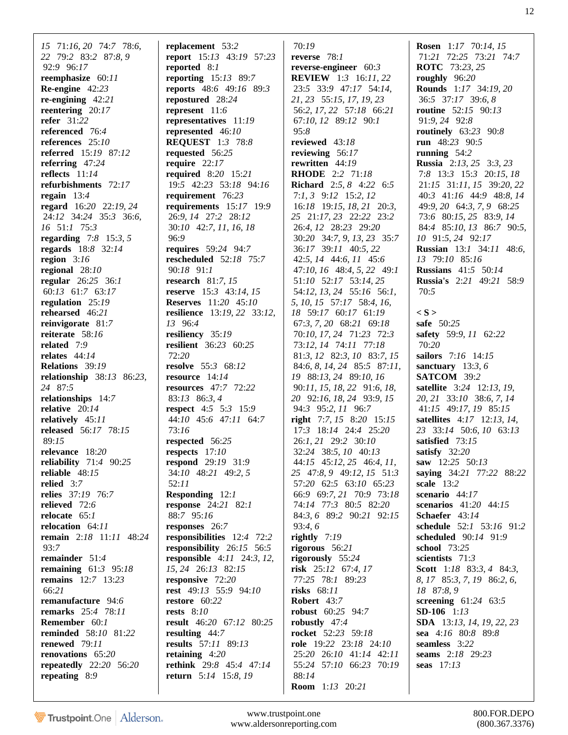*15* 71:*16*, *20* 74:*7* 78:*6*, *22* 79:*2* 83:*2* 87:*8*, *9* 92:*9* 96:*17* **reemphasize** 60:*11* **Re-engine** 42:*23* **re-engining** 42:*21* **reentering** 20:*17* **refer** 31:*22* **referenced** 76:*4* **references** 25:*10* **referred** 15:*19* 87:*12* **referring** 47:*24* **reflects** 11:*14* **refurbishments** 72:*17* **regain** 13:*4* **regard** 16:*20* 22:*19*, *24* 24:*12* 34:*24* 35:*3* 36:*6*, *16* 51:*1* 75:*3* **regarding** 7:*8* 15:*3*, *5* **regards** 18:*8* 32:*14* **region** 3:*16* **regional** 28:*10* **regular** 26:*25* 36:*1* 60:*13* 61:*7* 63:*17* **regulation** 25:*19* **rehearsed** 46:*21* **reinvigorate** 81:*7* **reiterate** 58:*16* **related** 7:*9* **relates** 44:*14* **Relations** 39:*19* **relationship** 38:*13* 86:*23*, *24* 87:*5* **relationships** 14:*7* **relative** 20:*14* **relatively** 45:*11* **released** 56:*17* 78:*15* 89:*15* **relevance** 18:*20* **reliability** 71:*4* 90:*25* **reliable** 48:*15* **relied** 3:*7* **relies** 37:*19* 76:*7* **relieved** 72:*6* **relocate** 65:*1* **relocation** 64:*11* **remain** 2:*18* 11:*11* 48:*24* 93:*7* **remainder** 51:*4* **remaining** 61:*3* 95:*18* **remains** 12:*7* 13:*23* 66:*21* **remanufacture** 94:*6* **remarks** 25:*4* 78:*11* **Remember** 60:*1* **reminded** 58:*10* 81:*22* **renewed** 79:*11* **renovations** 65:*20* **repeatedly** 22:*20* 56:*20* **repeating** 8:*9*

**replacement** 53:*2* **report** 15:*13* 43:*19* 57:*23* **reported** 8:*1* **reporting** 15:*13* 89:*7* **reports** 48:*6* 49:*16* 89:*3* **repostured** 28:*24* **represent** 11:*6* **representatives** 11:*19* **represented** 46:*10* **REQUEST** 1:*3* 78:*8* **requested** 56:*25* **require** 22:*17* **required** 8:*20* 15:*21* 19:*5* 42:*23* 53:*18* 94:*16* **requirement** 76:*23* **requirements** 15:*17* 19:*9* 26:*9*, *14* 27:*2* 28:*12* 30:*10* 42:*7*, *11*, *16*, *18* 96:*9* **requires** 59:*24* 94:*7* **rescheduled** 52:*18* 75:*7* 90:*18* 91:*1* **research** 81:*7*, *15* **reserve** 15:*3* 43:*14*, *15* **Reserves** 11:*20* 45:*10* **resilience** 13:*19*, *22* 33:*12*, *13* 96:*4* **resiliency** 35:*19* **resilient** 36:*23* 60:*25* 72:*20* **resolve** 55:*3* 68:*12* **resource** 14:*14* **resources** 47:*7* 72:*22* 83:*13* 86:*3*, *4* **respect** 4:*5* 5:*3* 15:*9* 44:*10* 45:*6* 47:*11* 64:*7* 73:*16* **respected** 56:*25* **respects** 17:*10* **respond** 29:*19* 31:*9* 34:*10* 48:*21* 49:*2*, *5* 52:*11* **Responding** 12:*1* **response** 24:*21* 82:*1* 88:*7* 95:*16* **responses** 26:*7* **responsibilities** 12:*4* 72:*2* **responsibility** 26:*15* 56:*5* **responsible** 4:*11* 24:*3*, *12*, *15*, *24* 26:*13* 82:*15* **responsive** 72:*20* **rest** 49:*13* 55:*9* 94:*10* **restore** 60:*22* **rests** 8:*10* **result** 46:*20* 67:*12* 80:*25* **resulting** 44:*7* **results** 57:*11* 89:*13* **retaining** 4:*20* **rethink** 29:*8* 45:*4* 47:*14* **return** 5:*14* 15:*8*, *19*

 70:*19* **reverse** 78:*1* **reverse-engineer** 60:*3* **REVIEW** 1:*3* 16:*11*, *22* 23:*5* 33:*9* 47:*17* 54:*14*, *21*, *23* 55:*15*, *17*, *19*, *23* 56:*2*, *17*, *22* 57:*18* 66:*21* 67:*10*, *12* 89:*12* 90:*1* 95:*8* **reviewed** 43:*18* **reviewing** 56:*17* **rewritten** 44:*19* **RHODE** 2:*2* 71:*18* **Richard** 2:*5*, *8* 4:*22* 6:*5* 7:*1*, *3* 9:*12* 15:*2*, *12* 16:*18* 19:*15*, *18*, *21* 20:*3*, *25* 21:*17*, *23* 22:*22* 23:*2* 26:*4*, *12* 28:*23* 29:*20* 30:*20* 34:*7*, *9*, *13*, *23* 35:*7* 36:*17* 39:*11* 40:*5*, *22* 42:*5*, *14* 44:*6*, *11* 45:*6* 47:*10*, *16* 48:*4*, *5*, *22* 49:*1* 51:*10* 52:*17* 53:*14*, *25* 54:*12*, *13*, *24* 55:*16* 56:*1*, *5*, *10*, *15* 57:*17* 58:*4*, *16*, *18* 59:*17* 60:*17* 61:*19* 67:*3*, *7*, *20* 68:*21* 69:*18* 70:*10*, *17*, *24* 71:*23* 72:*3* 73:*12*, *14* 74:*11* 77:*18* 81:*3*, *12* 82:*3*, *10* 83:*7*, *15* 84:*6*, *8*, *14*, *24* 85:*5* 87:*11*, *19* 88:*13*, *24* 89:*10*, *16* 90:*11*, *15*, *18*, *22* 91:*6*, *18*, *20* 92:*16*, *18*, *24* 93:*9*, *15* 94:*3* 95:*2*, *11* 96:*7* **right** 7:*7*, *15* 8:*20* 15:*15* 17:*3* 18:*14* 24:*4* 25:*20* 26:*1*, *21* 29:*2* 30:*10* 32:*24* 38:*5*, *10* 40:*13* 44:*15* 45:*12*, *25* 46:*4*, *11*, *25* 47:*8*, *9* 49:*12*, *15* 51:*3* 57:*20* 62:*5* 63:*10* 65:*23* 66:*9* 69:*7*, *21* 70:*9* 73:*18* 74:*14* 77:*3* 80:*5* 82:*20* 84:*3*, *6* 89:*2* 90:*21* 92:*15* 93:*4*, *6* **rightly** 7:*19* **rigorous** 56:*21* **rigorously** 55:*24* **risk** 25:*12* 67:*4*, *17* 77:*25* 78:*1* 89:*23* **risks** 68:*11* **Robert** 43:*7* **robust** 60:*25* 94:*7* **robustly** 47:*4* **rocket** 52:*23* 59:*18* **role** 19:*22* 23:*18* 24:*10* 25:*20* 26:*10* 41:*14* 42:*11* 55:*24* 57:*10* 66:*23* 70:*19* 88:*14* **Room** 1:*13* 20:*21*

**Rosen** 1:*17* 70:*14*, *15* 71:*21* 72:*25* 73:*21* 74:*7* **ROTC** 73:*23*, *25* **roughly** 96:*20* **Rounds** 1:*17* 34:*19*, *20* 36:*5* 37:*17* 39:*6*, *8* **routine** 52:*15* 90:*13* 91:*9*, *24* 92:*8* **routinely** 63:*23* 90:*8* **run** 48:*23* 90:*5* **running** 54:*2* **Russia** 2:*13*, *25* 3:*3*, *23* 7:*8* 13:*3* 15:*3* 20:*15*, *18* 21:*15* 31:*11*, *15* 39:*20*, *22* 40:*3* 41:*16* 44:*9* 48:*8*, *14* 49:*9*, *20* 64:*3*, *7*, *9* 68:*25* 73:*6* 80:*15*, *25* 83:*9*, *14* 84:*4* 85:*10*, *13* 86:*7* 90:*5*, *10* 91:*5*, *24* 92:*17* **Russian** 13:*1* 34:*11* 48:*6*, *13* 79:*10* 85:*16* **Russians** 41:*5* 50:*14* **Russia's** 2:*21* 49:*21* 58:*9* 70:*5* **< S > safe** 50:*25* **safety** 59:*9*, *11* 62:*22* 70:*20* **sailors** 7:*16* 14:*15* **sanctuary** 13:*3*, *6* **SATCOM** 39:*2* **satellite** 3:*24* 12:*13*, *19*, *20*, *21* 33:*10* 38:*6*, *7*, *14* 41:*15* 49:*17*, *19* 85:*15* **satellites** 4:*17* 12:*13*, *14*, *23* 33:*14* 50:*6*, *10* 63:*13* **satisfied** 73:*15* **satisfy** 32:*20* **saw** 12:*25* 50:*13* **saying** 34:*21* 77:*22* 88:*22* **scale** 13:*2* **scenario** 44:*17* **scenarios** 41:*20* 44:*15* **Schaefer** 43:*14* **schedule** 52:*1* 53:*16* 91:*2* **scheduled** 90:*14* 91:*9* **school** 73:*25* **scientists** 71:*3* **Scott** 1:*18* 83:*3*, *4* 84:*3*, *8*, *17* 85:*3*, *7*, *19* 86:*2*, *6*, *18* 87:*8*, *9* **screening** 61:*24* 63:*5* **SD-106** 1:*13* **SDA** 13:*13*, *14*, *19*, *22*, *23* **sea** 4:*16* 80:*8* 89:*8* **seamless** 3:*22* **seams** 2:*18* 29:*23* **seas** 17:*13*

Trustpoint.One Alderson.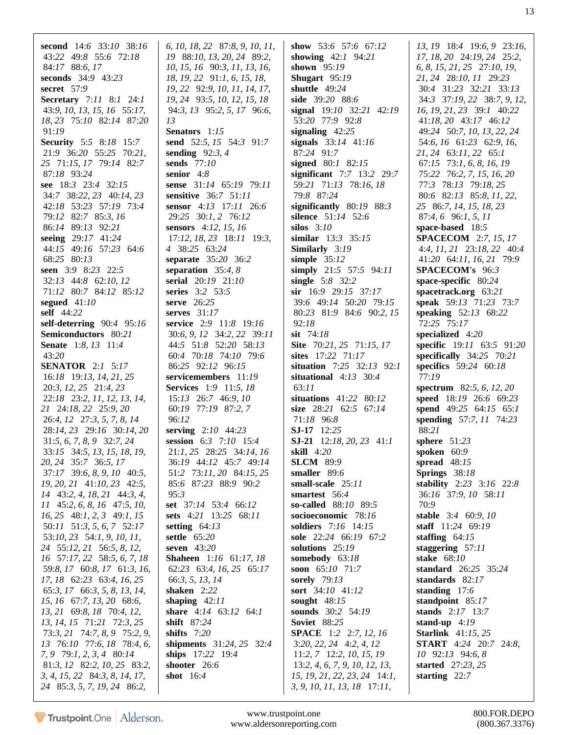second 14:6 33:10 38:16 43:22 49:8 55:6 72:18 84:17 88:6, 17 seconds 34:9 43:23 secret  $57:9$ Secretary 7:11 8:1 24:1 43:9, 10, 13, 15, 16 55:17, 18, 23 75:10 82:14 87:20 91:19 **Security** 5:5 8:18 15:7 21:9 36:20 55:25 70:21, 25 71:15, 17 79:14 82:7 87:18 93:24 see 18:3 23:4 32:15 34:7 38:22, 23 40:14, 23 42:18 53:23 57:19 73:4 79:12 82:7 85:3, 16 86:14 89:13 92:21 seeing 29:17 41:24 44:15 49:16 57:23 64:6 68:25 80:13 seen 3:9 8:23 22:5 32:13 44:8 62:10, 12 71:12 80:7 84:12 85:12 segued  $41:10$ self 44:22 self-deterring  $90:4$  95:16 Semiconductors 80:21 **Senate** 1:8, 13 11:4  $43:20$ **SENATOR** 2:1 5:17 16:18 19:13, 14, 21, 25 20:3, 12, 25 21:4, 23 22:18 23:2, 11, 12, 13, 14, 21 24:18, 22 25:9, 20 26:4, 12 27:3, 5, 7, 8, 14 28:14, 23 29:16 30:14, 20  $31:5, 6, 7, 8, 9$   $32:7, 24$ 33:15 34:5, 13, 15, 18, 19, 20, 24 35:7 36:5, 17 37:17 39:6, 8, 9, 10 40:5, 19, 20, 21 41:10, 23 42:5, 14 43:2, 4, 18, 21 44:3, 4, 11 45:2, 6, 8, 16 47:5, 10,  $16, 25$  48:1, 2, 3 49:1, 15 50:11 51:3, 5, 6, 7 52:17 53:10, 23 54:1, 9, 10, 11, 24 55:12, 21 56:5, 8, 12, 16 57:17, 22 58:5, 6, 7, 18 59:8, 17 60:8, 17 61:3, 16, 17, 18 62:23 63:4, 16, 25 65:3, 17 66:3, 5, 8, 13, 14, 15, 16 67:7, 13, 20 68:6, 13, 21 69:8, 18 70:4, 12, 13, 14, 15 71:21 72:3, 25 73:3, 21 74:7, 8, 9 75:2, 9, 13 76:10 77:6, 18 78:4, 6, 7, 9 79:1, 2, 3, 4 80:14 81:3, 12 82:2, 10, 25 83:2, 3, 4, 15, 22, 84:3, 8, 14, 17, 24 85:3, 5, 7, 19, 24 86:2,

6, 10, 18, 22 87:8, 9, 10, 11, 19 88:10, 13, 20, 24 89:2, 10, 15, 16, 90:3, 11, 13, 16, 18, 19, 22, 91:1, 6, 15, 18, 19, 22 92:9, 10, 11, 14, 17, 19, 24, 93:5, 10, 12, 15, 18 94:3, 13 95:2, 5, 17 96:6,  $13$ Senators 1:15 send 52:5, 15 54:3 91:7 sending  $92:3, 4$ sends 77:10 senior  $4:8$ sense 31:14 65:19 79:11 sensitive 36:7 51:11 sensor 4:13 17:11 26:6 29:25 30:1, 2 76:12 sensors 4:12, 15, 16  $17:12$ ,  $18$ ,  $23$   $18:11$   $19:3$ , 4 38:25 63:24 separate 35:20 36:2 separation  $35:4, 8$ serial 20:19 21:10 series 3:2 53:5 serve 26:25 serves  $31:17$ service 2:9 11:8 19:16 30:6, 9, 12 34:2, 22 39:11 44:5 51:8 52:20 58:13 60:4 70:18 74:10 79:6 86:25 92:12 96:15 servicemembers 11:19 **Services** 1:9 11:5, 18 15:13 26:7 46:9, 10 60:19 77:19 87:2, 7 96:12 serving  $2:10$  44:23 session  $6:3$   $7:10$   $15:4$ 21:1, 25 28:25 34:14, 16 36:19 44:12 45:7 49:14 51:2 73:11, 20 84:15, 25 85:6 87:23 88:9 90:2  $95:3$ set 37:14 53:4 66:12 sets 4:21 13:25 68:11 setting  $64:13$ settle  $65:20$ seven 43:20 **Shaheen** 1:16 61:17, 18 62:23 63:4, 16, 25 65:17 66:3, 5, 13, 14 shaken  $2:22$ shaping  $42:11$ share 4:14 63:12 64:1 shift 87:24 shifts 7:20 shipments 31:24, 25 32:4 ships 17:22 19:4 shooter 26:6 shot  $16:4$ 

show 53:6 57:6 67:12 showing  $42:1$  94:21 shown  $95:19$ Shugart 95:19 shuttle  $49:24$ side 39:20 88:6 signal 19:10 32:21 42:19 53:20 77:9 92:8 signaling  $42:25$ signals 33:14 41:16 87:24 91:7 signed  $80:1$   $82:15$ significant 7:7 13:2 29:7 59:21 71:13 78:16, 18 79:8 87:24 significantly  $80:19$  88:3 silence 51:14 52:6 silos  $3:10$ similar 13:3 35:15 Similarly 3:19 simple  $35:12$ simply 21:5 57:5 94:11 single  $5:8$  32:2 sir  $16:9$  29:15 37:17 39:6 49:14 50:20 79:15 80:23 81:9 84:6 90:2.15  $92:18$ sit 74:18 **Site** 70:21, 25 71:15, 17 sites  $17:22$   $71:17$ situation 7:25 32:13 92:1 situational  $4:13$  30:4  $63:11$ situations  $41:22$  80:12 size 28:21 62:5 67:14 71:18 96:8 SJ-17 12:25 **SJ-21** 12:18, 20, 23 41:1 skill  $4:20$ **SLCM** 89:9 smaller 89:6 small-scale 25:11 smartest 56:4 so-called 88:10 89:5 socioeconomic 78:16 soldiers 7:16 14:15 sole 22:24 66:19 67:2 solutions 25:19 somebody  $63:18$ soon 65:10 71:7 sorely 79:13 sort 34:10 41:12 sought  $48:15$ sounds 30:2 54:19 **Soviet** 88:25 **SPACE** 1:2 2:7, 12, 16  $3:20, 22, 24$  4:2, 4, 12 11:2, 7 12:2, 10, 15, 19  $13:2, 4, 6, 7, 9, 10, 12, 13,$ 15, 19, 21, 22, 23, 24 14:1, 3, 9, 10, 11, 13, 18 17:11,

13, 19 18:4 19:6, 9 23:16, 17, 18, 20 24:19, 24 25:2, 6, 8, 15, 21, 25, 27:10, 19, 21, 24 28:10, 11 29:23 30:4 31:23 32:21 33:13 34:3 37:19, 22 38:7, 9, 12, 16, 19, 21, 23 39:1 40:22 41:18, 20 43:17 46:12 49:24 50:7, 10, 13, 22, 24 54:6, 16 61:23 62:9, 16, 21, 24 63:11, 22 65:1  $67:15$   $73:1, 6, 8, 16, 19$ 75:22 76:2, 7, 15, 16, 20 77:3 78:13 79:18, 25 80:6 82:13 85:8, 11, 22, 25 86:7, 14, 15, 18, 23  $87:4, 6$  96:1, 5, 11 space-based 18:5 **SPACECOM** 2:7, 15, 17 4:4, 11, 21 23:18, 22 40:4 41:20 64:11, 16, 21 79:9 SPACECOM's 96:3 space-specific 80:24 spacetrack.org 63:21 speak 59:13 71:23 73:7 speaking  $52:13$  68:22 72:25 75:17 specialized  $4:20$ **specific** 19:11 63:5 91:20 specifically  $34:25$  70:21 specifics 59:24 60:18  $77:19$ spectrum 82:5, 6, 12, 20 speed 18:19 26:6 69:23 spend 49:25 64:15 65:1 spending 57:7, 11 74:23 88:21 sphere  $51:23$ spoken  $60:9$ spread  $48:15$ Springs  $38:18$ stability 2:23 3:16 22:8 36:16 37:9, 10 58:11 70:9 stable 3:4 60:9, 10 staff 11:24 69:19 staffing  $64:15$ staggering  $57:11$ stake 68:10 standard 26:25 35:24 standards 82:17 standing  $17:6$ standpoint 85:17 stands 2:17 13:7 stand-up  $4:19$ **Starlink** 41:15, 25 **START** 4:24 20:7 24:8,  $10\quad 92:13\quad 94:6.8$ started 27:23, 25 starting  $22:7$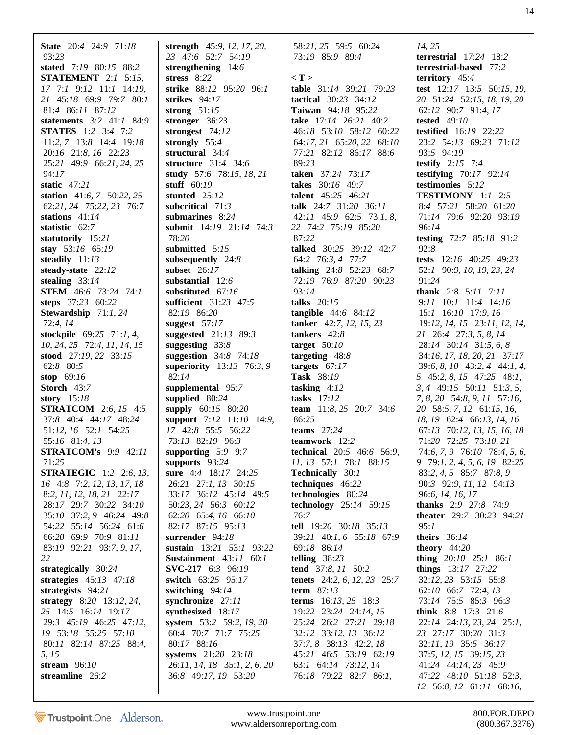**State** 20:*4* 24:*9* 71:*18* 93:*23* **stated** 7:*19* 80:*15* 88:*2* **STATEMENT** 2:*1* 5:*15*, *17* 7:*1* 9:*12* 11:*1* 14:*19*, *21* 45:*18* 69:*9* 79:*7* 80:*1* 81:*4* 86:*11* 87:*12* **statements** 3:*2* 41:*1* 84:*9* **STATES** 1:*2* 3:*4* 7:*2* 11:*2*, *7* 13:*8* 14:*4* 19:*18* 20:*16* 21:*8*, *16* 22:*23* 25:*21* 49:*9* 66:*21*, *24*, *25* 94:*17* **static** 47:*21* **station** 41:*6*, *7* 50:*22*, *25* 62:*21*, *24* 75:*22*, *23* 76:*7* **stations** 41:*14* **statistic** 62:*7* **statutorily** 15:*21* **stay** 53:*16* 65:*19* **steadily** 11:*13* **steady-state** 22:*12* **stealing** 33:*14* **STEM** 46:*6* 73:*24* 74:*1* **steps** 37:*23* 60:*22* **Stewardship** 71:*1*, *24* 72:*4*, *14* **stockpile** 69:*25* 71:*1*, *4*, *10*, *24*, *25* 72:*4*, *11*, *14*, *15* **stood** 27:*19*, *22* 33:*15* 62:*8* 80:*5* **stop** 69:*16* **Storch** 43:*7* **story** 15:*18* **STRATCOM** 2:*6*, *15* 4:*5* 37:*8* 40:*4* 44:*17* 48:*24* 51:*12*, *16* 52:*1* 54:*25* 55:*16* 81:*4*, *13* **STRATCOM's** 9:*9* 42:*11* 71:*25* **STRATEGIC** 1:*2* 2:*6*, *13*, *16* 4:*8* 7:*2*, *12*, *13*, *17*, *18* 8:*2*, *11*, *12*, *18*, *21* 22:*17* 28:*17* 29:*7* 30:*22* 34:*10* 35:*10* 37:*2*, *9* 46:*24* 49:*8* 54:*22* 55:*14* 56:*24* 61:*6* 66:*20* 69:*9* 70:*9* 81:*11* 83:*19* 92:*21* 93:*7*, *9*, *17*, *22* **strategically** 30:*24* **strategies** 45:*13* 47:*18* **strategists** 94:*21* **strategy** 8:*20* 13:*12*, *24*, *25* 14:*5* 16:*14* 19:*17* 29:*3* 45:*19* 46:*25* 47:*12*, *19* 53:*18* 55:*25* 57:*10* 80:*11* 82:*14* 87:*25* 88:*4*, *5*, *15* **stream** 96:*10* **streamline** 26:*2*

**strength** 45:*9*, *12*, *17*, *20*, *23* 47:*6* 52:*7* 54:*19* **strengthening** 14:*6* **stress** 8:*22* **strike** 88:*12* 95:*20* 96:*1* **strikes** 94:*17* **strong** 51:*15* **stronger** 36:*23* **strongest** 74:*12* **strongly** 55:*4* **structural** 34:*4* **structure** 31:*4* 34:*6* **study** 57:*6* 78:*15*, *18*, *21* **stuff** 60:*19* **stunted** 25:*12* **subcritical** 71:*3* **submarines** 8:*24* **submit** 14:*19* 21:*14* 74:*3* 78:*20* **submitted** 5:*15* **subsequently** 24:*8* **subset** 26:*17* **substantial** 12:*6* **substituted** 67:*16* **sufficient** 31:*23* 47:*5* 82:*19* 86:*20* **suggest** 57:*17* **suggested** 21:*13* 89:*3* **suggesting** 33:*8* **suggestion** 34:*8* 74:*18* **superiority** 13:*13* 76:*3*, *9* 82:*14* **supplemental** 95:*7* **supplied** 80:*24* **supply** 60:*15* 80:*20* **support** 7:*12* 11:*10* 14:*9*, *17* 42:*8* 55:*5* 56:*22* 73:*13* 82:*19* 96:*3* **supporting** 5:*9* 9:*7* **supports** 93:*24* **sure** 4:*4* 18:*17* 24:*25* 26:*21* 27:*1*, *13* 30:*15* 33:*17* 36:*12* 45:*14* 49:*5* 50:*23*, *24* 56:*3* 60:*12* 62:*20* 65:*4*, *16* 66:*10* 82:*17* 87:*15* 95:*13* **surrender** 94:*18* **sustain** 13:*21* 53:*1* 93:*22* **Sustainment** 43:*11* 60:*1* **SVC-217** 6:*3* 96:*19* **switch** 63:*25* 95:*17* **switching** 94:*14* **synchronize** 27:*11* **synthesized** 18:*17* **system** 53:*2* 59:*2*, *19*, *20* 60:*4* 70:*7* 71:*7* 75:*25* 80:*17* 88:*16* **systems** 21:*20* 23:*18* 26:*11*, *14*, *18* 35:*1*, *2*, *6*, *20* 36:*8* 49:*17*, *19* 53:*20*

 58:*21*, *25* 59:*5* 60:*24* 73:*19* 85:*9* 89:*4*

**< T > table** 31:*14* 39:*21* 79:*23* **tactical** 30:*23* 34:*12* **Taiwan** 94:*18* 95:*22* **take** 17:*14* 26:*21* 40:*2* 46:*18* 53:*10* 58:*12* 60:*22* 64:*17*, *21* 65:*20*, *22* 68:*10* 77:*21* 82:*12* 86:*17* 88:*6* 89:*23* **taken** 37:*24* 73:*17* **takes** 30:*16* 49:*7* **talent** 45:*25* 46:*21* **talk** 24:*7* 31:*20* 36:*11* 42:*11* 45:*9* 62:*5* 73:*1*, *8*, *22* 74:*2* 75:*19* 85:*20* 87:*22* **talked** 30:*25* 39:*12* 42:*7* 64:*2* 76:*3*, *4* 77:*7* **talking** 24:*8* 52:*23* 68:*7* 72:*19* 76:*9* 87:*20* 90:*23* 93:*14* **talks** 20:*15* **tangible** 44:*6* 84:*12* **tanker** 42:*7*, *12*, *15*, *23* **tankers** 42:*8* **target** 50:*10* **targeting** 48:*8* **targets** 67:*17* **Task** 38:*19* **tasking** 4:*12* **tasks** 17:*12* **team** 11:*8*, *25* 20:*7* 34:*6* 86:*25* **teams** 27:*24* **teamwork** 12:*2* **technical** 20:*5* 46:*6* 56:*9*, *11*, *13* 57:*1* 78:*1* 88:*15* **Technically** 30:*1* **techniques** 46:*22* **technologies** 80:*24* **technology** 25:*14* 59:*15* 76:*7* **tell** 19:*20* 30:*18* 35:*13* 39:*21* 40:*1*, *6* 55:*18* 67:*9* 69:*18* 86:*14* **telling** 38:*23* **tend** 37:*8*, *11* 50:*2* **tenets** 24:*2*, *6*, *12*, *23* 25:*7* **term** 87:*13* **terms** 16:*13*, *25* 18:*3* 19:*22* 23:*24* 24:*14*, *15* 25:*24* 26:*2* 27:*21* 29:*18* 32:*12* 33:*12*, *13* 36:*12* 37:*7*, *8* 38:*13* 42:*2*, *18* 45:*21* 46:*5* 53:*19* 62:*19* 63:*1* 64:*14* 73:*12*, *14* 76:*18* 79:*22* 82:*7* 86:*1*,

*14*, *25* **terrestrial** 17:*24* 18:*2* **terrestrial-based** 77:*2* **territory** 45:*4* **test** 12:*17* 13:*5* 50:*15*, *19*, *20* 51:*24* 52:*15*, *18*, *19*, *20* 62:*12* 90:*7* 91:*4*, *17* **tested** 49:*10* **testified** 16:*19* 22:*22* 23:*2* 54:*13* 69:*23* 71:*12* 93:*5* 94:*19* **testify** 2:*15* 7:*4* **testifying** 70:*17* 92:*14* **testimonies** 5:*12* **TESTIMONY** 1:*1* 2:*5* 8:*4* 57:*21* 58:*20* 61:*20* 71:*14* 79:*6* 92:*20* 93:*19* 96:*14* **testing** 72:*7* 85:*18* 91:*2* 92:*8* **tests** 12:*16* 40:*25* 49:*23* 52:*1* 90:*9*, *10*, *19*, *23*, *24* 91:*24* **thank** 2:*8* 5:*11* 7:*11* 9:*11* 10:*1* 11:*4* 14:*16* 15:*1* 16:*10* 17:*9*, *16* 19:*12*, *14*, *15* 23:*11*, *12*, *14*, *21* 26:*4* 27:*3*, *5*, *8*, *14* 28:*14* 30:*14* 31:*5*, *6*, *8* 34:*16*, *17*, *18*, *20*, *21* 37:*17* 39:*6*, *8*, *10* 43:*2*, *4* 44:*1*, *4*, *5* 45:*2*, *8*, *15* 47:*25* 48:*1*, *3*, *4* 49:*15* 50:*11* 51:*3*, *5*, *7*, *8*, *20* 54:*8*, *9*, *11* 57:*16*, *20* 58:*5*, *7*, *12* 61:*15*, *16*, *18*, *19* 62:*4* 66:*13*, *14*, *16* 67:*13* 70:*12*, *13*, *15*, *16*, *18* 71:*20* 72:*25* 73:*10*, *21* 74:*6*, *7*, *9* 76:*10* 78:*4*, *5*, *6*, *9* 79:*1*, *2*, *4*, *5*, *6*, *19* 82:*25* 83:*2*, *4*, *5* 85:*7* 87:*8*, *9* 90:*3* 92:*9*, *11*, *12* 94:*13* 96:*6*, *14*, *16*, *17* **thanks** 2:*9* 27:*8* 74:*9* **theater** 29:*7* 30:*23* 94:*21* 95:*1* **theirs** 36:*14* **theory** 44:*20* **thing** 20:*10* 25:*1* 86:*1* **things** 13:*17* 27:*22* 32:*12*, *23* 53:*15* 55:*8* 62:*10* 66:*7* 72:*4*, *13* 73:*14* 75:*5* 85:*3* 96:*3* **think** 8:*8* 17:*3* 21:*6* 22:*14* 24:*13*, *23*, *24* 25:*1*, *23* 27:*17* 30:*20* 31:*3* 32:*11*, *19* 35:*5* 36:*17* 37:*5*, *12*, *15* 39:*15*, *23* 41:*24* 44:*14*, *23* 45:*9* 47:*22* 48:*10* 51:*18* 52:*3*, *12* 56:*8*, *12* 61:*11* 68:*16*,

Trustpoint.One Alderson.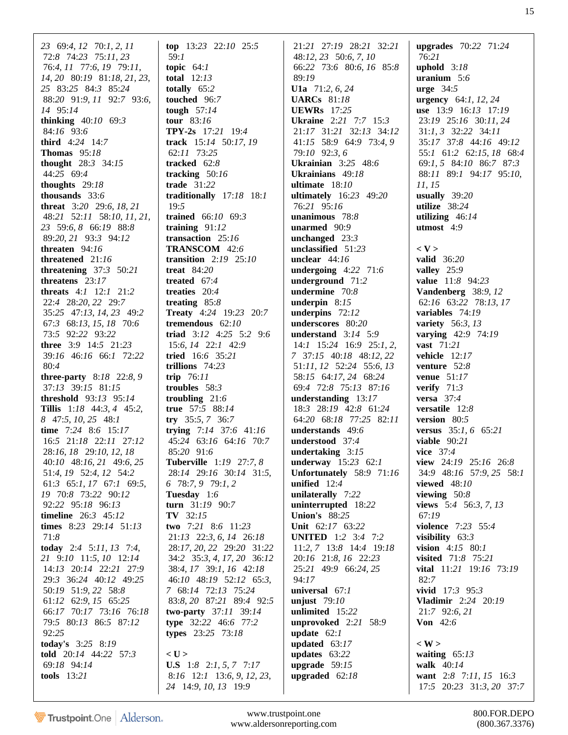*23* 69:*4*, *12* 70:*1*, *2*, *11* 72:*8* 74:*23* 75:*11*, *23* 76:*4*, *11* 77:*6*, *19* 79:*11*, *14*, *20* 80:*19* 81:*18*, *21*, *23*, *25* 83:*25* 84:*3* 85:*24* 88:*20* 91:*9*, *11* 92:*7* 93:*6*, *14* 95:*14* **thinking** 40:*10* 69:*3* 84:*16* 93:*6* **third** 4:*24* 14:*7* **Thomas** 95:*18* **thought** 28:*3* 34:*15* 44:*25* 69:*4* **thoughts** 29:*18* **thousands** 33:*6* **threat** 3:*20* 29:*6*, *18*, *21* 48:*21* 52:*11* 58:*10*, *11*, *21*, *23* 59:*6*, *8* 66:*19* 88:*8* 89:*20*, *21* 93:*3* 94:*12* **threaten** 94:*16* **threatened** 21:*16* **threatening** 37:*3* 50:*21* **threatens** 23:*17* **threats** 4:*1* 12:*1* 21:*2* 22:*4* 28:*20*, *22* 29:*7* 35:*25* 47:*13*, *14*, *23* 49:*2* 67:*3* 68:*13*, *15*, *18* 70:*6* 73:*5* 92:*22* 93:*22* **three** 3:*9* 14:*5* 21:*23* 39:*16* 46:*16* 66:*1* 72:*22* 80:*4* **three-party** 8:*18* 22:*8*, *9* 37:*13* 39:*15* 81:*15* **threshold** 93:*13* 95:*14* **Tillis** 1:*18* 44:*3*, *4* 45:*2*, *8* 47:*5*, *10*, *25* 48:*1* **time** 7:*24* 8:*6* 15:*17* 16:*5* 21:*18* 22:*11* 27:*12* 28:*16*, *18* 29:*10*, *12*, *18* 40:*10* 48:*16*, *21* 49:*6*, *25* 51:*4*, *19* 52:*4*, *12* 54:*2* 61:*3* 65:*1*, *17* 67:*1* 69:*5*, *19* 70:*8* 73:*22* 90:*12* 92:*22* 95:*18* 96:*13* **timeline** 26:*3* 45:*12* **times** 8:*23* 29:*14* 51:*13* 71:*8* **today** 2:*4* 5:*11*, *13* 7:*4*, *21* 9:*10* 11:*5*, *10* 12:*14* 14:*13* 20:*14* 22:*21* 27:*9* 29:*3* 36:*24* 40:*12* 49:*25* 50:*19* 51:*9*, *22* 58:*8* 61:*12* 62:*9*, *15* 65:*25* 66:*17* 70:*17* 73:*16* 76:*18* 79:*5* 80:*13* 86:*5* 87:*12* 92:*25* **today's** 3:*25* 8:*19* **told** 20:*14* 44:*22* 57:*3* 69:*18* 94:*14* **tools** 13:*21*

**top** 13:*23* 22:*10* 25:*5* 59:*1* **topic** 64:*1* **total** 12:*13* **totally** 65:*2* **touched** 96:*7* **tough** 57:*14* **tour** 83:*16* **TPY-2s** 17:*21* 19:*4* **track** 15:*14* 50:*17*, *19* 62:*11* 73:*25* **tracked** 62:*8* **tracking** 50:*16* **trade** 31:*22* **traditionally** 17:*18* 18:*1* 19:*5* **trained** 66:*10* 69:*3* **training** 91:*12* **transaction** 25:*16* **TRANSCOM** 42:*6* **transition** 2:*19* 25:*10* **treat** 84:*20* **treated** 67:*4* **treaties** 20:*4* **treating** 85:*8* **Treaty** 4:*24* 19:*23* 20:*7* **tremendous** 62:*10* **triad** 3:*12* 4:*25* 5:*2* 9:*6* 15:*6*, *14* 22:*1* 42:*9* **tried** 16:*6* 35:*21* **trillions** 74:*23* **trip** 76:*11* **troubles** 58:*3* **troubling** 21:*6* **true** 57:*5* 88:*14* **try** 35:*5*, *7* 36:*7* **trying** 7:*14* 37:*6* 41:*16* 45:*24* 63:*16* 64:*16* 70:*7* 85:*20* 91:*6* **Tuberville** 1:*19* 27:*7*, *8* 28:*14* 29:*16* 30:*14* 31:*5*, *6* 78:*7*, *9* 79:*1*, *2* **Tuesday** 1:*6* **turn** 31:*19* 90:*7* **TV** 32:*15* **two** 7:*21* 8:*6* 11:*23* 21:*13* 22:*3*, *6*, *14* 26:*18* 28:*17*, *20*, *22* 29:*20* 31:*22* 34:*2* 35:*3*, *4*, *17*, *20* 36:*12* 38:*4*, *17* 39:*1*, *16* 42:*18* 46:*10* 48:*19* 52:*12* 65:*3*, *7* 68:*14* 72:*13* 75:*24* 83:*8*, *20* 87:*21* 89:*4* 92:*5* **two-party** 37:*11* 39:*14* **type** 32:*22* 46:*6* 77:*2* **types** 23:*25* 73:*18* **< U > U.S** 1:*8* 2:*1*, *5*, *7* 7:*17* 8:*16* 12:*1* 13:*6*, *9*, *12*, *23*, *24* 14:*9*, *10*, *13* 19:*9*

 21:*21* 27:*19* 28:*21* 32:*21* 48:*12*, *23* 50:*6*, *7*, *10* 66:*22* 73:*6* 80:*6*, *16* 85:*8* 89:*19* **U1a** 71:*2*, *6*, *24* **UARCs** 81:*18* **UEWRs** 17:*25* **Ukraine** 2:*21* 7:*7* 15:*3* 21:*17* 31:*21* 32:*13* 34:*12* 41:*15* 58:*9* 64:*9* 73:*4*, *9* 79:*10* 92:*3*, *6* **Ukrainian** 3:*25* 48:*6* **Ukrainians** 49:*18* **ultimate** 18:*10* **ultimately** 16:*23* 49:*20* 76:*21* 95:*16* **unanimous** 78:*8* **unarmed** 90:*9* **unchanged** 23:*3* **unclassified** 51:*23* **unclear** 44:*16* **undergoing** 4:*22* 71:*6* **underground** 71:*2* **undermine** 70:*8* **underpin** 8:*15* **underpins** 72:*12* **underscores** 80:*20* **understand** 3:*14* 5:*9* 14:*1* 15:*24* 16:*9* 25:*1*, *2*, *7* 37:*15* 40:*18* 48:*12*, *22* 51:*11*, *12* 52:*24* 55:*6*, *13* 58:*15* 64:*17*, *24* 68:*24* 69:*4* 72:*8* 75:*13* 87:*16* **understanding** 13:*17* 18:*3* 28:*19* 42:*8* 61:*24* 64:*20* 68:*18* 77:*25* 82:*11* **understands** 49:*6* **understood** 37:*4* **undertaking** 3:*15* **underway** 15:*23* 62:*1* **Unfortunately** 58:*9* 71:*16* **unified** 12:*4* **unilaterally** 7:*22* **uninterrupted** 18:*22* **Union's** 88:*25* **Unit** 62:*17* 63:*22* **UNITED** 1:*2* 3:*4* 7:*2* 11:*2*, *7* 13:*8* 14:*4* 19:*18* 20:*16* 21:*8*, *16* 22:*23* 25:*21* 49:*9* 66:*24*, *25* 94:*17* **universal** 67:*1* **unjust** 79:*10* **unlimited** 15:*22* **unprovoked** 2:*21* 58:*9* **update** 62:*1* **updated** 63:*17* **updates** 63:*22* **upgrade** 59:*15* **upgraded** 62:*18*

**upgrades** 70:*22* 71:*24* 76:*21* **uphold** 3:*18* **uranium** 5:*6* **urge** 34:*5* **urgency** 64:*1*, *12*, *24* **use** 13:*9* 16:*13* 17:*19* 23:*19* 25:*16* 30:*11*, *24* 31:*1*, *3* 32:*22* 34:*11* 35:*17* 37:*8* 44:*16* 49:*12* 55:*1* 61:*2* 62:*15*, *18* 68:*4* 69:*1*, *5* 84:*10* 86:*7* 87:*3* 88:*11* 89:*1* 94:*17* 95:*10*, *11*, *15* **usually** 39:*20* **utilize** 38:*24* **utilizing** 46:*14* **utmost** 4:*9* **< V > valid** 36:*20* **valley** 25:*9* **value** 11:*8* 94:*23* **Vandenberg** 38:*9*, *12* 62:*16* 63:*22* 78:*13*, *17* **variables** 74:*19* **variety** 56:*3*, *13* **varying** 42:*9* 74:*19* **vast** 71:*21* **vehicle** 12:*17* **venture** 52:*8* **venue** 51:*17* **verify** 71:*3* **versa** 37:*4* **versatile** 12:*8* **version** 80:*5* **versus** 35:*1*, *6* 65:*21* **viable** 90:*21* **vice** 37:*4* **view** 24:*19* 25:*16* 26:*8* 34:*9* 48:*16* 57:*9*, *25* 58:*1* **viewed** 48:*10* **viewing** 50:*8* **views** 5:*4* 56:*3*, *7*, *13* 67:*19* **violence** 7:*23* 55:*4* **visibility** 63:*3* **vision** 4:*15* 80:*1* **visited** 71:*8* 75:*21* **vital** 11:*21* 19:*16* 73:*19* 82:*7* **vivid** 17:*3* 95:*3* **Vladimir** 2:*24* 20:*19* 21:*7* 92:*6*, *21* **Von** 42:*6* **< W >**

**waiting** 65:*13* **walk** 40:*14* **want** 2:*8* 7:*11*, *15* 16:*3* 17:*5* 20:*23* 31:*3*, *20* 37:*7*

Trustpoint.One Alderson.